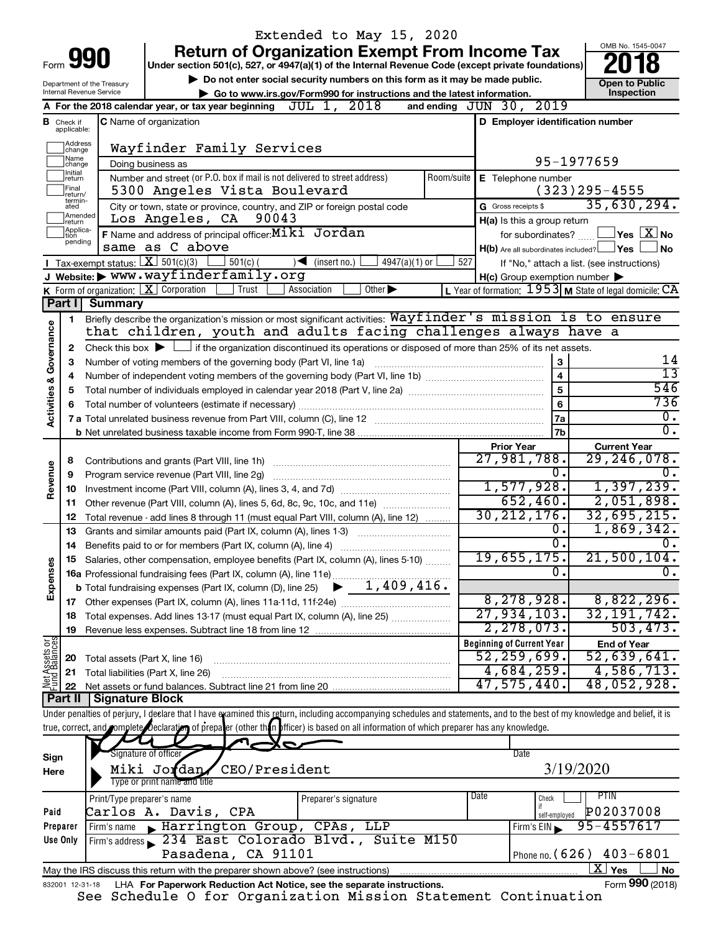|                         |                                                                                                   |                                | Extended to May 15, 2020                                                                                                                                                   |                                                             |                |                                                                     |  |  |  |  |  |
|-------------------------|---------------------------------------------------------------------------------------------------|--------------------------------|----------------------------------------------------------------------------------------------------------------------------------------------------------------------------|-------------------------------------------------------------|----------------|---------------------------------------------------------------------|--|--|--|--|--|
|                         |                                                                                                   | Form <b>990</b>                | <b>Return of Organization Exempt From Income Tax</b>                                                                                                                       |                                                             |                | OMB No. 1545-0047                                                   |  |  |  |  |  |
|                         |                                                                                                   |                                | Under section 501(c), 527, or 4947(a)(1) of the Internal Revenue Code (except private foundations)                                                                         |                                                             |                |                                                                     |  |  |  |  |  |
|                         |                                                                                                   | Department of the Treasury     | Do not enter social security numbers on this form as it may be made public.                                                                                                |                                                             |                | <b>Open to Public</b>                                               |  |  |  |  |  |
|                         |                                                                                                   | Internal Revenue Service       | Go to www.irs.gov/Form990 for instructions and the latest information.<br>2018<br>JUL 1,<br>A For the 2018 calendar year, or tax year beginning                            | and ending JUN 30, 2019                                     |                | Inspection                                                          |  |  |  |  |  |
|                         |                                                                                                   |                                |                                                                                                                                                                            |                                                             |                |                                                                     |  |  |  |  |  |
|                         | <b>B</b> Check if applicable:                                                                     |                                | <b>C</b> Name of organization                                                                                                                                              | D Employer identification number                            |                |                                                                     |  |  |  |  |  |
|                         | Address<br> change                                                                                |                                | Wayfinder Family Services                                                                                                                                                  |                                                             |                |                                                                     |  |  |  |  |  |
|                         | Name<br>change                                                                                    | 95-1977659                     |                                                                                                                                                                            |                                                             |                |                                                                     |  |  |  |  |  |
|                         | Initial<br>return                                                                                 |                                | Doing business as<br>Number and street (or P.O. box if mail is not delivered to street address)<br>Room/suite                                                              | E Telephone number                                          |                |                                                                     |  |  |  |  |  |
|                         | Final<br>return/                                                                                  |                                | 5300 Angeles Vista Boulevard                                                                                                                                               |                                                             |                | $(323)$ 295-4555                                                    |  |  |  |  |  |
|                         | termin-<br>ated                                                                                   |                                | City or town, state or province, country, and ZIP or foreign postal code                                                                                                   | G Gross receipts \$                                         |                | 35,630,294.                                                         |  |  |  |  |  |
|                         | Amended<br>Los Angeles, CA<br>90043<br>H(a) Is this a group return<br>return<br>Applica-<br>Ition |                                |                                                                                                                                                                            |                                                             |                |                                                                     |  |  |  |  |  |
|                         | pending                                                                                           |                                | F Name and address of principal officer: Miki Jordan<br>same as C above                                                                                                    | for subordinates?                                           |                | $ {\mathsf Y}{\mathsf e}{\mathsf s} \mid {\mathsf X}{\mathsf J}$ No |  |  |  |  |  |
|                         |                                                                                                   |                                | Tax-exempt status: $X \over 301(c)(3)$<br>$501(c)$ (<br>$\sqrt{\frac{1}{1}}$ (insert no.)<br>$4947(a)(1)$ or                                                               | $H(b)$ Are all subordinates included? $\Box$ Yes<br>527     |                | No.                                                                 |  |  |  |  |  |
|                         |                                                                                                   |                                | J Website: WWW.wayfinderfamily.org                                                                                                                                         | $H(c)$ Group exemption number $\blacktriangleright$         |                | If "No," attach a list. (see instructions)                          |  |  |  |  |  |
|                         |                                                                                                   |                                | <b>K</b> Form of organization: $\boxed{\textbf{X}}$ Corporation<br>Trust<br>Other $\blacktriangleright$<br>Association                                                     | L Year of formation: $1953$ M State of legal domicile: $CA$ |                |                                                                     |  |  |  |  |  |
|                         | Part I                                                                                            | <b>Summary</b>                 |                                                                                                                                                                            |                                                             |                |                                                                     |  |  |  |  |  |
|                         | 1                                                                                                 |                                | Briefly describe the organization's mission or most significant activities: Wayfinder's mission is to ensure                                                               |                                                             |                |                                                                     |  |  |  |  |  |
|                         |                                                                                                   |                                | that children, youth and adults facing challenges always have a                                                                                                            |                                                             |                |                                                                     |  |  |  |  |  |
| Activities & Governance | 2                                                                                                 |                                | Check this box $\blacktriangleright$ $\Box$ if the organization discontinued its operations or disposed of more than 25% of its net assets.                                |                                                             |                |                                                                     |  |  |  |  |  |
|                         | 3                                                                                                 |                                | Number of voting members of the governing body (Part VI, line 1a)                                                                                                          |                                                             |                | 14                                                                  |  |  |  |  |  |
|                         | 4                                                                                                 |                                |                                                                                                                                                                            |                                                             | 4              | $\overline{13}$<br>546                                              |  |  |  |  |  |
|                         | 5                                                                                                 |                                |                                                                                                                                                                            |                                                             | 5              | 736                                                                 |  |  |  |  |  |
|                         | 6                                                                                                 |                                | Total number of volunteers (estimate if necessary)                                                                                                                         |                                                             | 6<br>7a        | $\overline{0}$ .                                                    |  |  |  |  |  |
|                         |                                                                                                   |                                |                                                                                                                                                                            |                                                             | 7 <sub>b</sub> | $\overline{0}$ .                                                    |  |  |  |  |  |
|                         |                                                                                                   |                                |                                                                                                                                                                            | <b>Prior Year</b>                                           |                | <b>Current Year</b>                                                 |  |  |  |  |  |
|                         | 8                                                                                                 |                                | Contributions and grants (Part VIII, line 1h)                                                                                                                              | 27,981,788.                                                 |                | 29,246,078.                                                         |  |  |  |  |  |
| Revenue                 | 9                                                                                                 |                                | Program service revenue (Part VIII, line 2g)                                                                                                                               |                                                             | 0.             | Ō.<br>1,397,239.                                                    |  |  |  |  |  |
|                         | 10                                                                                                |                                |                                                                                                                                                                            |                                                             | 1,577,928.     |                                                                     |  |  |  |  |  |
|                         | 11                                                                                                |                                | Other revenue (Part VIII, column (A), lines 5, 6d, 8c, 9c, 10c, and 11e)                                                                                                   | 652,460.                                                    |                | 2,051,898.                                                          |  |  |  |  |  |
|                         | 12                                                                                                |                                | Total revenue - add lines 8 through 11 (must equal Part VIII, column (A), line 12)                                                                                         | 30, 212, 176.                                               |                | 32,695,215.                                                         |  |  |  |  |  |
|                         | 13                                                                                                |                                | Grants and similar amounts paid (Part IX, column (A), lines 1-3)                                                                                                           |                                                             | о.<br>σ.       | 1,869,342.<br>0.                                                    |  |  |  |  |  |
|                         | 14                                                                                                |                                | Benefits paid to or for members (Part IX, column (A), line 4)<br>Salaries, other compensation, employee benefits (Part IX, column (A), lines 5-10)                         | 19,655,175 <b>.</b>                                         |                | $21,500,104$ .                                                      |  |  |  |  |  |
| Expenses                |                                                                                                   |                                | 16a Professional fundraising fees (Part IX, column (A), line 11e)                                                                                                          |                                                             | $\mathbf{0}$ . | $\overline{0}$ .                                                    |  |  |  |  |  |
|                         |                                                                                                   |                                | 1,409,416.<br><b>b</b> Total fundraising expenses (Part IX, column (D), line 25)                                                                                           |                                                             |                |                                                                     |  |  |  |  |  |
|                         |                                                                                                   |                                |                                                                                                                                                                            | 8, 278, 928.                                                |                | 8,822,296.                                                          |  |  |  |  |  |
|                         | 18                                                                                                |                                | Total expenses. Add lines 13-17 (must equal Part IX, column (A), line 25) [                                                                                                | 27,934,103.                                                 |                | 32, 191, 742.                                                       |  |  |  |  |  |
|                         | 19                                                                                                |                                |                                                                                                                                                                            | 2,278,073.                                                  |                | 503, 473.                                                           |  |  |  |  |  |
| Net Assets or           |                                                                                                   |                                |                                                                                                                                                                            | <b>Beginning of Current Year</b>                            |                | <b>End of Year</b>                                                  |  |  |  |  |  |
|                         | 20                                                                                                | Total assets (Part X, line 16) |                                                                                                                                                                            | 52,259,699.                                                 |                | 52,639,641.                                                         |  |  |  |  |  |
|                         | 21                                                                                                |                                | Total liabilities (Part X, line 26)                                                                                                                                        | 4,684,259.<br>47,575,440.                                   |                | 4,586,713.<br>48,052,928.                                           |  |  |  |  |  |
|                         | 22<br><b>Part II</b>                                                                              | <b>Signature Block</b>         | Net assets or fund balances. Subtract line 21 from line 20                                                                                                                 |                                                             |                |                                                                     |  |  |  |  |  |
|                         |                                                                                                   |                                | Under penalties of perjury, I deelare that I have examined this return, including accompanying schedules and statements, and to the best of my knowledge and belief, it is |                                                             |                |                                                                     |  |  |  |  |  |
|                         |                                                                                                   |                                | true, correct, and complete Declaration of prepater (other than officer) is based on all information of which preparer has any knowledge.                                  |                                                             |                |                                                                     |  |  |  |  |  |
|                         |                                                                                                   |                                |                                                                                                                                                                            |                                                             |                |                                                                     |  |  |  |  |  |
| Sign                    |                                                                                                   |                                | Signature of officer                                                                                                                                                       | Date                                                        |                |                                                                     |  |  |  |  |  |
| Here                    |                                                                                                   |                                | Miki Jordan<br>CEO/President                                                                                                                                               |                                                             | 3/19/2020      |                                                                     |  |  |  |  |  |
|                         |                                                                                                   |                                | Type or print name and title                                                                                                                                               |                                                             |                |                                                                     |  |  |  |  |  |
|                         |                                                                                                   | Print/Type preparer's name     | Preparer's signature                                                                                                                                                       | Date<br>Check                                               |                | <b>PTIN</b><br>P02037008                                            |  |  |  |  |  |
| Paid                    | Preparer                                                                                          |                                | Carlos A. Davis, CPA<br>Firm's name Farrington Group, CPAs, LLP                                                                                                            | Firm's EIN                                                  | self-employed  | 95-4557617                                                          |  |  |  |  |  |
|                         | Use Only                                                                                          |                                | Firm's address 234 East Colorado Blvd., Suite M150                                                                                                                         |                                                             |                |                                                                     |  |  |  |  |  |
|                         |                                                                                                   |                                | Pasadena, CA 91101                                                                                                                                                         | Phone no. (626)                                             |                | $403 - 6801$                                                        |  |  |  |  |  |
|                         |                                                                                                   |                                | May the IRS discuss this return with the preparer shown above? (see instructions)                                                                                          |                                                             |                | $\overline{\text{X}}$ Yes<br>No                                     |  |  |  |  |  |
|                         | 832001 12-31-18                                                                                   |                                | LHA For Paperwork Reduction Act Notice, see the separate instructions.                                                                                                     |                                                             |                | Form 990 (2018)                                                     |  |  |  |  |  |
|                         |                                                                                                   |                                | $Cahodu1a$ $C. 5a$ $Omaon1soth1an$ $M1ca1an$ $Cha1$                                                                                                                        |                                                             |                |                                                                     |  |  |  |  |  |

See Schedule O for Organization Mission Statement Continuation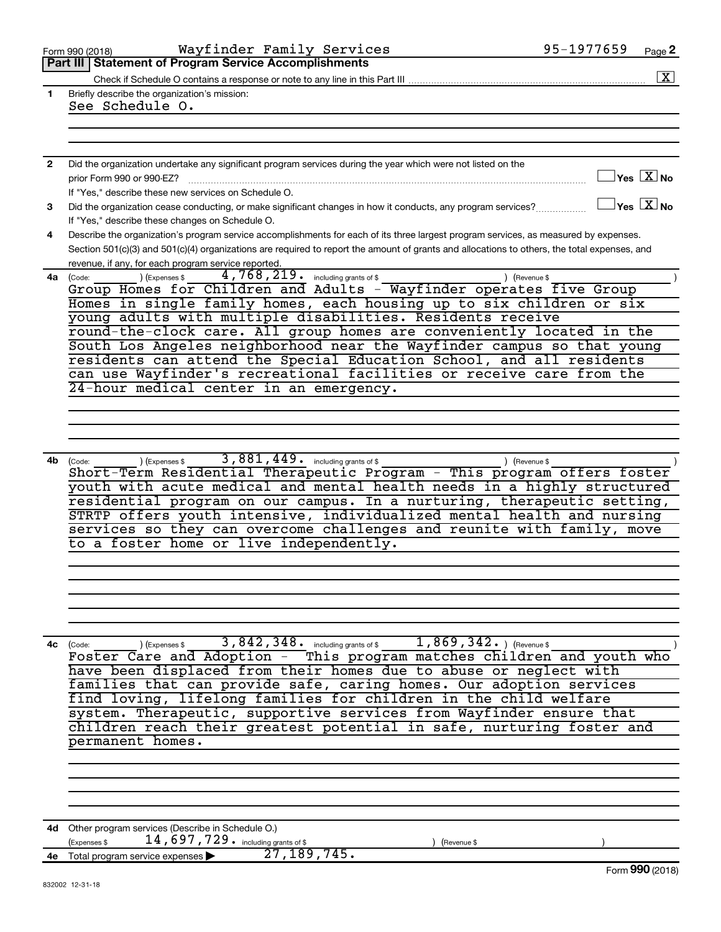|              | Wayfinder Family Services<br>Form 990 (2018)                                                                                                                                                       | 95-1977659<br>Page 2                        |                      |
|--------------|----------------------------------------------------------------------------------------------------------------------------------------------------------------------------------------------------|---------------------------------------------|----------------------|
|              | Part III   Statement of Program Service Accomplishments                                                                                                                                            |                                             |                      |
|              |                                                                                                                                                                                                    |                                             | $\boxed{\textbf{X}}$ |
| 1            | Briefly describe the organization's mission:                                                                                                                                                       |                                             |                      |
|              | See Schedule O.                                                                                                                                                                                    |                                             |                      |
|              |                                                                                                                                                                                                    |                                             |                      |
|              |                                                                                                                                                                                                    |                                             |                      |
|              |                                                                                                                                                                                                    |                                             |                      |
| $\mathbf{2}$ | Did the organization undertake any significant program services during the year which were not listed on the                                                                                       |                                             |                      |
|              | prior Form 990 or 990-EZ?                                                                                                                                                                          | $\Box$ Yes $[\,\overline{\mathrm{X}}\,]$ No |                      |
|              | If "Yes." describe these new services on Schedule O.                                                                                                                                               |                                             |                      |
| 3            | Did the organization cease conducting, or make significant changes in how it conducts, any program services?                                                                                       | $\Box$ Yes $[\overline{\mathrm{X}}]$ No     |                      |
|              | If "Yes," describe these changes on Schedule O.                                                                                                                                                    |                                             |                      |
|              |                                                                                                                                                                                                    |                                             |                      |
| 4            | Describe the organization's program service accomplishments for each of its three largest program services, as measured by expenses.                                                               |                                             |                      |
|              | Section 501(c)(3) and 501(c)(4) organizations are required to report the amount of grants and allocations to others, the total expenses, and                                                       |                                             |                      |
|              | revenue, if any, for each program service reported.                                                                                                                                                |                                             |                      |
|              | 4,768,219. including grants of \$<br>) (Expenses \$<br>) (Revenue \$<br>4a (Code:                                                                                                                  |                                             |                      |
|              | Group Homes for Children and Adults - Wayfinder operates five Group                                                                                                                                |                                             |                      |
|              | Homes in single family homes, each housing up to six children or six                                                                                                                               |                                             |                      |
|              | young adults with multiple disabilities. Residents receive                                                                                                                                         |                                             |                      |
|              | round-the-clock care. All group homes are conveniently located in the                                                                                                                              |                                             |                      |
|              | South Los Angeles neighborhood near the Wayfinder campus so that young                                                                                                                             |                                             |                      |
|              | residents can attend the Special Education School, and all residents                                                                                                                               |                                             |                      |
|              | can use Wayfinder's recreational facilities or receive care from the                                                                                                                               |                                             |                      |
|              | 24-hour medical center in an emergency.                                                                                                                                                            |                                             |                      |
|              |                                                                                                                                                                                                    |                                             |                      |
|              |                                                                                                                                                                                                    |                                             |                      |
|              |                                                                                                                                                                                                    |                                             |                      |
|              |                                                                                                                                                                                                    |                                             |                      |
|              | 3,881,449. including grants of \$<br>4b (Code:<br>) (Expenses \$<br>) (Revenue \$                                                                                                                  |                                             |                      |
|              | Short-Term Residential Therapeutic Program - This program offers foster                                                                                                                            |                                             |                      |
|              | youth with acute medical and mental health needs in a highly structured                                                                                                                            |                                             |                      |
|              | residential program on our campus. In a nurturing, therapeutic setting,                                                                                                                            |                                             |                      |
|              | STRTP offers youth intensive, individualized mental health and nursing                                                                                                                             |                                             |                      |
|              | services so they can overcome challenges and reunite with family, move                                                                                                                             |                                             |                      |
|              | to a foster home or live independently.                                                                                                                                                            |                                             |                      |
|              |                                                                                                                                                                                                    |                                             |                      |
|              |                                                                                                                                                                                                    |                                             |                      |
|              |                                                                                                                                                                                                    |                                             |                      |
|              |                                                                                                                                                                                                    |                                             |                      |
|              |                                                                                                                                                                                                    |                                             |                      |
|              |                                                                                                                                                                                                    |                                             |                      |
|              |                                                                                                                                                                                                    |                                             |                      |
|              | (Code: ) (Expenses \$ 3,842,348. including grants of \$ 1,869,342. ) (Revenue \$ Foster Care and Adoption - This program matches children and youth who<br>$1,869,342.$ ) (Revenue \$<br>4c (Code: |                                             |                      |
|              |                                                                                                                                                                                                    |                                             |                      |
|              | have been displaced from their homes due to abuse or neglect with                                                                                                                                  |                                             |                      |
|              | families that can provide safe, caring homes. Our adoption services                                                                                                                                |                                             |                      |
|              | find loving, lifelong families for children in the child welfare                                                                                                                                   |                                             |                      |
|              | system. Therapeutic, supportive services from Wayfinder ensure that                                                                                                                                |                                             |                      |
|              | children reach their greatest potential in safe, nurturing foster and                                                                                                                              |                                             |                      |
|              | permanent homes.                                                                                                                                                                                   |                                             |                      |
|              |                                                                                                                                                                                                    |                                             |                      |
|              |                                                                                                                                                                                                    |                                             |                      |
|              |                                                                                                                                                                                                    |                                             |                      |
|              |                                                                                                                                                                                                    |                                             |                      |
|              |                                                                                                                                                                                                    |                                             |                      |
|              |                                                                                                                                                                                                    |                                             |                      |
|              | 4d Other program services (Describe in Schedule O.)<br>14,697,729. including grants of \$                                                                                                          |                                             |                      |
|              | (Expenses \$<br>(Revenue \$<br>27, 189, 745.                                                                                                                                                       |                                             |                      |
|              | 4e Total program service expenses >                                                                                                                                                                |                                             |                      |
|              | 832002 12-31-18                                                                                                                                                                                    | Form 990 (2018)                             |                      |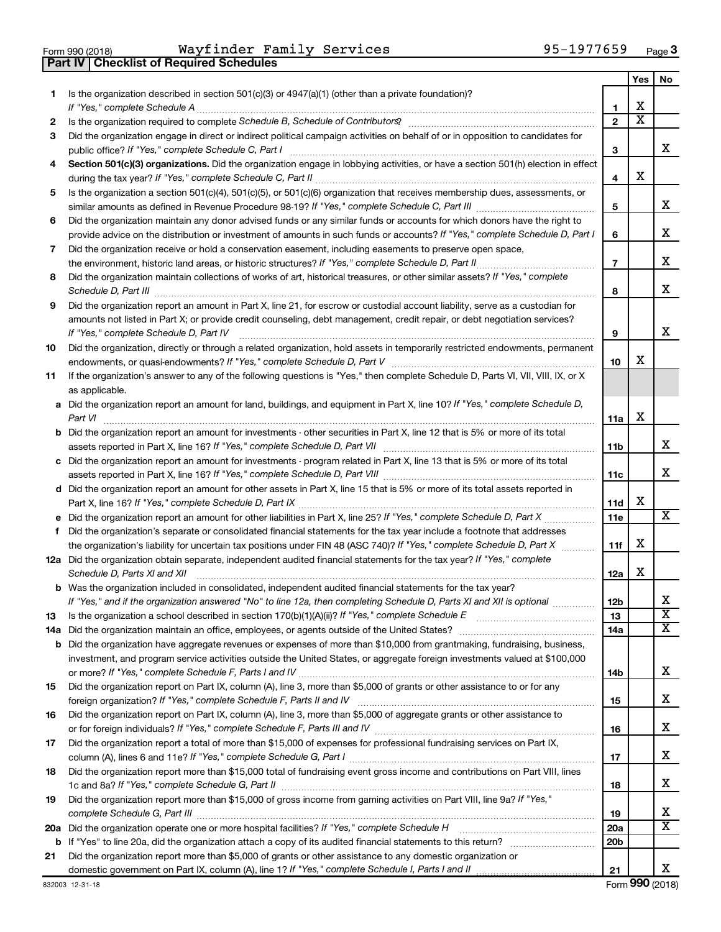| Form 990 (2018) |  |  |
|-----------------|--|--|

**Part IV Checklist of Required Schedules**

 $_{\rm Form}$   $990$  (2018) <code>Wayrinder</code> <code>Family</code> <code>Services</code>  $990$  <code>Page</code>  $95$  <code>Page</code> Wayfinder Family Services 95-1977659

| 1.<br>2<br>3<br>4<br>5 | Is the organization described in section $501(c)(3)$ or $4947(a)(1)$ (other than a private foundation)?<br>If "Yes," complete Schedule A<br>Did the organization engage in direct or indirect political campaign activities on behalf of or in opposition to candidates for<br>Section 501(c)(3) organizations. Did the organization engage in lobbying activities, or have a section 501(h) election in effect<br>Is the organization a section 501(c)(4), 501(c)(5), or 501(c)(6) organization that receives membership dues, assessments, or<br>Did the organization maintain any donor advised funds or any similar funds or accounts for which donors have the right to | 1<br>$\mathbf{2}$<br>3<br>4   | х<br>х | x                       |
|------------------------|------------------------------------------------------------------------------------------------------------------------------------------------------------------------------------------------------------------------------------------------------------------------------------------------------------------------------------------------------------------------------------------------------------------------------------------------------------------------------------------------------------------------------------------------------------------------------------------------------------------------------------------------------------------------------|-------------------------------|--------|-------------------------|
|                        |                                                                                                                                                                                                                                                                                                                                                                                                                                                                                                                                                                                                                                                                              |                               |        |                         |
|                        |                                                                                                                                                                                                                                                                                                                                                                                                                                                                                                                                                                                                                                                                              |                               |        |                         |
|                        |                                                                                                                                                                                                                                                                                                                                                                                                                                                                                                                                                                                                                                                                              |                               |        |                         |
|                        |                                                                                                                                                                                                                                                                                                                                                                                                                                                                                                                                                                                                                                                                              |                               |        |                         |
|                        |                                                                                                                                                                                                                                                                                                                                                                                                                                                                                                                                                                                                                                                                              |                               |        |                         |
|                        |                                                                                                                                                                                                                                                                                                                                                                                                                                                                                                                                                                                                                                                                              |                               | х      |                         |
|                        |                                                                                                                                                                                                                                                                                                                                                                                                                                                                                                                                                                                                                                                                              | 5                             |        | x                       |
| 6                      |                                                                                                                                                                                                                                                                                                                                                                                                                                                                                                                                                                                                                                                                              |                               |        |                         |
|                        | provide advice on the distribution or investment of amounts in such funds or accounts? If "Yes," complete Schedule D, Part I                                                                                                                                                                                                                                                                                                                                                                                                                                                                                                                                                 | 6                             |        | х                       |
| 7                      | Did the organization receive or hold a conservation easement, including easements to preserve open space,                                                                                                                                                                                                                                                                                                                                                                                                                                                                                                                                                                    |                               |        |                         |
|                        |                                                                                                                                                                                                                                                                                                                                                                                                                                                                                                                                                                                                                                                                              | $\overline{7}$                |        | х                       |
| 8                      | Did the organization maintain collections of works of art, historical treasures, or other similar assets? If "Yes," complete<br>Schedule D, Part III                                                                                                                                                                                                                                                                                                                                                                                                                                                                                                                         | 8                             |        | х                       |
| 9                      | Did the organization report an amount in Part X, line 21, for escrow or custodial account liability, serve as a custodian for                                                                                                                                                                                                                                                                                                                                                                                                                                                                                                                                                |                               |        |                         |
|                        | amounts not listed in Part X; or provide credit counseling, debt management, credit repair, or debt negotiation services?<br>If "Yes," complete Schedule D, Part IV                                                                                                                                                                                                                                                                                                                                                                                                                                                                                                          | 9                             |        | х                       |
| 10                     | Did the organization, directly or through a related organization, hold assets in temporarily restricted endowments, permanent                                                                                                                                                                                                                                                                                                                                                                                                                                                                                                                                                |                               |        |                         |
|                        |                                                                                                                                                                                                                                                                                                                                                                                                                                                                                                                                                                                                                                                                              | 10                            | х      |                         |
| 11                     | If the organization's answer to any of the following questions is "Yes," then complete Schedule D, Parts VI, VII, VIII, IX, or X<br>as applicable.                                                                                                                                                                                                                                                                                                                                                                                                                                                                                                                           |                               |        |                         |
|                        | a Did the organization report an amount for land, buildings, and equipment in Part X, line 10? If "Yes," complete Schedule D,                                                                                                                                                                                                                                                                                                                                                                                                                                                                                                                                                |                               |        |                         |
|                        | Part VI                                                                                                                                                                                                                                                                                                                                                                                                                                                                                                                                                                                                                                                                      | 11a                           | х      |                         |
| b                      | Did the organization report an amount for investments - other securities in Part X, line 12 that is 5% or more of its total                                                                                                                                                                                                                                                                                                                                                                                                                                                                                                                                                  | 11b                           |        | х                       |
|                        | c Did the organization report an amount for investments - program related in Part X, line 13 that is 5% or more of its total                                                                                                                                                                                                                                                                                                                                                                                                                                                                                                                                                 |                               |        |                         |
|                        |                                                                                                                                                                                                                                                                                                                                                                                                                                                                                                                                                                                                                                                                              | 11c                           |        | x                       |
|                        | d Did the organization report an amount for other assets in Part X, line 15 that is 5% or more of its total assets reported in                                                                                                                                                                                                                                                                                                                                                                                                                                                                                                                                               |                               |        |                         |
|                        |                                                                                                                                                                                                                                                                                                                                                                                                                                                                                                                                                                                                                                                                              | 11d                           | х      |                         |
| е                      |                                                                                                                                                                                                                                                                                                                                                                                                                                                                                                                                                                                                                                                                              | 11e                           |        | х                       |
| f                      | Did the organization's separate or consolidated financial statements for the tax year include a footnote that addresses                                                                                                                                                                                                                                                                                                                                                                                                                                                                                                                                                      |                               |        |                         |
|                        | the organization's liability for uncertain tax positions under FIN 48 (ASC 740)? If "Yes," complete Schedule D, Part X                                                                                                                                                                                                                                                                                                                                                                                                                                                                                                                                                       | 11f                           | х      |                         |
|                        | 12a Did the organization obtain separate, independent audited financial statements for the tax year? If "Yes," complete<br>Schedule D, Parts XI and XII                                                                                                                                                                                                                                                                                                                                                                                                                                                                                                                      | 12a                           | х      |                         |
|                        | <b>b</b> Was the organization included in consolidated, independent audited financial statements for the tax year?                                                                                                                                                                                                                                                                                                                                                                                                                                                                                                                                                           |                               |        |                         |
|                        | If "Yes," and if the organization answered "No" to line 12a, then completing Schedule D, Parts XI and XII is optional                                                                                                                                                                                                                                                                                                                                                                                                                                                                                                                                                        | 12 <sub>b</sub>               |        | х                       |
| 13                     |                                                                                                                                                                                                                                                                                                                                                                                                                                                                                                                                                                                                                                                                              | 13                            |        | $\overline{\textbf{x}}$ |
| 14a                    |                                                                                                                                                                                                                                                                                                                                                                                                                                                                                                                                                                                                                                                                              | 14a                           |        | х                       |
|                        | <b>b</b> Did the organization have aggregate revenues or expenses of more than \$10,000 from grantmaking, fundraising, business,<br>investment, and program service activities outside the United States, or aggregate foreign investments valued at \$100,000                                                                                                                                                                                                                                                                                                                                                                                                               |                               |        |                         |
|                        |                                                                                                                                                                                                                                                                                                                                                                                                                                                                                                                                                                                                                                                                              | 14b                           |        | х                       |
| 15                     | Did the organization report on Part IX, column (A), line 3, more than \$5,000 of grants or other assistance to or for any                                                                                                                                                                                                                                                                                                                                                                                                                                                                                                                                                    |                               |        |                         |
|                        |                                                                                                                                                                                                                                                                                                                                                                                                                                                                                                                                                                                                                                                                              | 15                            |        | х                       |
| 16                     | Did the organization report on Part IX, column (A), line 3, more than \$5,000 of aggregate grants or other assistance to                                                                                                                                                                                                                                                                                                                                                                                                                                                                                                                                                     |                               |        |                         |
|                        |                                                                                                                                                                                                                                                                                                                                                                                                                                                                                                                                                                                                                                                                              | 16                            |        | х                       |
| 17                     | Did the organization report a total of more than \$15,000 of expenses for professional fundraising services on Part IX,                                                                                                                                                                                                                                                                                                                                                                                                                                                                                                                                                      |                               |        |                         |
|                        |                                                                                                                                                                                                                                                                                                                                                                                                                                                                                                                                                                                                                                                                              | 17                            |        | х                       |
| 18                     | Did the organization report more than \$15,000 total of fundraising event gross income and contributions on Part VIII, lines                                                                                                                                                                                                                                                                                                                                                                                                                                                                                                                                                 |                               |        |                         |
|                        |                                                                                                                                                                                                                                                                                                                                                                                                                                                                                                                                                                                                                                                                              | 18                            |        | х                       |
| 19                     | Did the organization report more than \$15,000 of gross income from gaming activities on Part VIII, line 9a? If "Yes,"                                                                                                                                                                                                                                                                                                                                                                                                                                                                                                                                                       |                               |        |                         |
|                        |                                                                                                                                                                                                                                                                                                                                                                                                                                                                                                                                                                                                                                                                              | 19                            |        | х<br>х                  |
| 20a                    |                                                                                                                                                                                                                                                                                                                                                                                                                                                                                                                                                                                                                                                                              | <b>20a</b><br>20 <sub>b</sub> |        |                         |
| 21                     | Did the organization report more than \$5,000 of grants or other assistance to any domestic organization or                                                                                                                                                                                                                                                                                                                                                                                                                                                                                                                                                                  |                               |        |                         |
|                        |                                                                                                                                                                                                                                                                                                                                                                                                                                                                                                                                                                                                                                                                              | 21                            |        | x                       |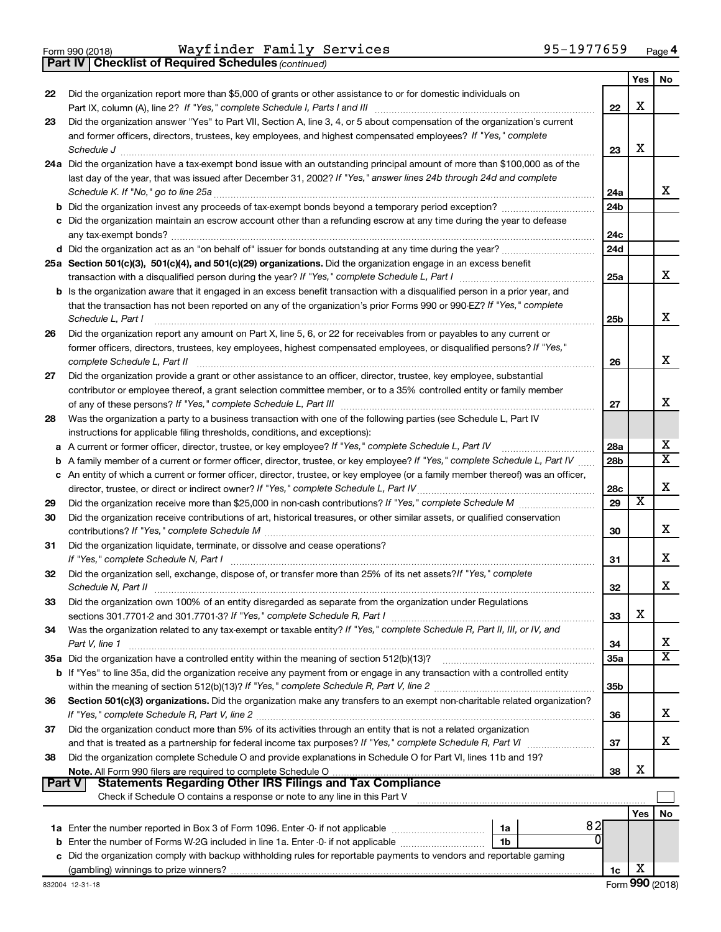**Part IV Checklist of Required Schedules**

*(continued)*

|               |                                                                                                                                                                                                                                                 |                 | Yes | No                      |  |  |  |  |  |
|---------------|-------------------------------------------------------------------------------------------------------------------------------------------------------------------------------------------------------------------------------------------------|-----------------|-----|-------------------------|--|--|--|--|--|
| 22            | Did the organization report more than \$5,000 of grants or other assistance to or for domestic individuals on                                                                                                                                   |                 |     |                         |  |  |  |  |  |
|               | Part IX, column (A), line 2? If "Yes," complete Schedule I, Parts I and III [11]] [11]] [11] [11] [11] [11] [1                                                                                                                                  | 22              | X   |                         |  |  |  |  |  |
| 23            | Did the organization answer "Yes" to Part VII, Section A, line 3, 4, or 5 about compensation of the organization's current                                                                                                                      |                 |     |                         |  |  |  |  |  |
|               | and former officers, directors, trustees, key employees, and highest compensated employees? If "Yes," complete                                                                                                                                  |                 |     |                         |  |  |  |  |  |
|               | Schedule J                                                                                                                                                                                                                                      | 23              | х   |                         |  |  |  |  |  |
|               | 24a Did the organization have a tax-exempt bond issue with an outstanding principal amount of more than \$100,000 as of the                                                                                                                     |                 |     |                         |  |  |  |  |  |
|               | last day of the year, that was issued after December 31, 2002? If "Yes," answer lines 24b through 24d and complete                                                                                                                              |                 |     | x                       |  |  |  |  |  |
|               | 24a                                                                                                                                                                                                                                             |                 |     |                         |  |  |  |  |  |
|               | <b>b</b> Did the organization invest any proceeds of tax-exempt bonds beyond a temporary period exception?<br>24 <sub>b</sub>                                                                                                                   |                 |     |                         |  |  |  |  |  |
|               | c Did the organization maintain an escrow account other than a refunding escrow at any time during the year to defease                                                                                                                          |                 |     |                         |  |  |  |  |  |
|               |                                                                                                                                                                                                                                                 | 24c             |     |                         |  |  |  |  |  |
|               |                                                                                                                                                                                                                                                 | 24d             |     |                         |  |  |  |  |  |
|               | 25a Section 501(c)(3), 501(c)(4), and 501(c)(29) organizations. Did the organization engage in an excess benefit                                                                                                                                |                 |     | x                       |  |  |  |  |  |
|               |                                                                                                                                                                                                                                                 | 25a             |     |                         |  |  |  |  |  |
|               | <b>b</b> Is the organization aware that it engaged in an excess benefit transaction with a disqualified person in a prior year, and                                                                                                             |                 |     |                         |  |  |  |  |  |
|               | that the transaction has not been reported on any of the organization's prior Forms 990 or 990-EZ? If "Yes," complete                                                                                                                           |                 |     | x                       |  |  |  |  |  |
|               | Schedule L, Part I                                                                                                                                                                                                                              | 25b             |     |                         |  |  |  |  |  |
| 26            | Did the organization report any amount on Part X, line 5, 6, or 22 for receivables from or payables to any current or<br>former officers, directors, trustees, key employees, highest compensated employees, or disqualified persons? If "Yes," |                 |     |                         |  |  |  |  |  |
|               | complete Schedule L, Part II                                                                                                                                                                                                                    | 26              |     | x                       |  |  |  |  |  |
| 27            | Did the organization provide a grant or other assistance to an officer, director, trustee, key employee, substantial                                                                                                                            |                 |     |                         |  |  |  |  |  |
|               | contributor or employee thereof, a grant selection committee member, or to a 35% controlled entity or family member                                                                                                                             |                 |     |                         |  |  |  |  |  |
|               |                                                                                                                                                                                                                                                 | 27              |     | x                       |  |  |  |  |  |
| 28            | Was the organization a party to a business transaction with one of the following parties (see Schedule L, Part IV                                                                                                                               |                 |     |                         |  |  |  |  |  |
|               | instructions for applicable filing thresholds, conditions, and exceptions):                                                                                                                                                                     |                 |     |                         |  |  |  |  |  |
|               | a A current or former officer, director, trustee, or key employee? If "Yes," complete Schedule L, Part IV                                                                                                                                       | 28a             |     | x                       |  |  |  |  |  |
|               | <b>b</b> A family member of a current or former officer, director, trustee, or key employee? If "Yes," complete Schedule L, Part IV                                                                                                             | 28b             |     | $\overline{\mathtt{x}}$ |  |  |  |  |  |
|               | c An entity of which a current or former officer, director, trustee, or key employee (or a family member thereof) was an officer,                                                                                                               |                 |     |                         |  |  |  |  |  |
|               | director, trustee, or direct or indirect owner? If "Yes," complete Schedule L, Part IV.                                                                                                                                                         | 28c             |     | X                       |  |  |  |  |  |
| 29            |                                                                                                                                                                                                                                                 | 29              | х   |                         |  |  |  |  |  |
| 30            | Did the organization receive contributions of art, historical treasures, or other similar assets, or qualified conservation                                                                                                                     |                 |     |                         |  |  |  |  |  |
|               |                                                                                                                                                                                                                                                 | 30              |     | x                       |  |  |  |  |  |
| 31            | Did the organization liquidate, terminate, or dissolve and cease operations?                                                                                                                                                                    |                 |     |                         |  |  |  |  |  |
|               |                                                                                                                                                                                                                                                 | 31              |     | x                       |  |  |  |  |  |
| 32            | Did the organization sell, exchange, dispose of, or transfer more than 25% of its net assets? If "Yes," complete                                                                                                                                |                 |     |                         |  |  |  |  |  |
|               | Schedule N, Part II                                                                                                                                                                                                                             | 32              |     | X                       |  |  |  |  |  |
| 33            | Did the organization own 100% of an entity disregarded as separate from the organization under Regulations                                                                                                                                      |                 |     |                         |  |  |  |  |  |
|               |                                                                                                                                                                                                                                                 | 33              | х   |                         |  |  |  |  |  |
| 34            | Was the organization related to any tax-exempt or taxable entity? If "Yes," complete Schedule R, Part II, III, or IV, and                                                                                                                       |                 |     |                         |  |  |  |  |  |
|               | Part V, line 1                                                                                                                                                                                                                                  | 34              |     | x                       |  |  |  |  |  |
|               |                                                                                                                                                                                                                                                 | 35a             |     | $\overline{\mathtt{x}}$ |  |  |  |  |  |
|               | b If "Yes" to line 35a, did the organization receive any payment from or engage in any transaction with a controlled entity                                                                                                                     |                 |     |                         |  |  |  |  |  |
|               |                                                                                                                                                                                                                                                 | 35 <sub>b</sub> |     |                         |  |  |  |  |  |
| 36            | Section 501(c)(3) organizations. Did the organization make any transfers to an exempt non-charitable related organization?                                                                                                                      |                 |     |                         |  |  |  |  |  |
|               |                                                                                                                                                                                                                                                 | 36              |     | x                       |  |  |  |  |  |
| 37            | Did the organization conduct more than 5% of its activities through an entity that is not a related organization                                                                                                                                |                 |     | x                       |  |  |  |  |  |
|               | and that is treated as a partnership for federal income tax purposes? If "Yes," complete Schedule R, Part VI                                                                                                                                    | 37              |     |                         |  |  |  |  |  |
| 38            | Did the organization complete Schedule O and provide explanations in Schedule O for Part VI, lines 11b and 19?                                                                                                                                  | 38              | х   |                         |  |  |  |  |  |
| <b>Part V</b> | <b>Statements Regarding Other IRS Filings and Tax Compliance</b>                                                                                                                                                                                |                 |     |                         |  |  |  |  |  |
|               | Check if Schedule O contains a response or note to any line in this Part V                                                                                                                                                                      |                 |     |                         |  |  |  |  |  |
|               |                                                                                                                                                                                                                                                 |                 | Yes | No                      |  |  |  |  |  |
|               | 82<br>1a                                                                                                                                                                                                                                        |                 |     |                         |  |  |  |  |  |
|               | <sup>0</sup><br>1b                                                                                                                                                                                                                              |                 |     |                         |  |  |  |  |  |
|               | c Did the organization comply with backup withholding rules for reportable payments to vendors and reportable gaming                                                                                                                            |                 |     |                         |  |  |  |  |  |
|               |                                                                                                                                                                                                                                                 | 1c              | х   |                         |  |  |  |  |  |
|               |                                                                                                                                                                                                                                                 |                 |     |                         |  |  |  |  |  |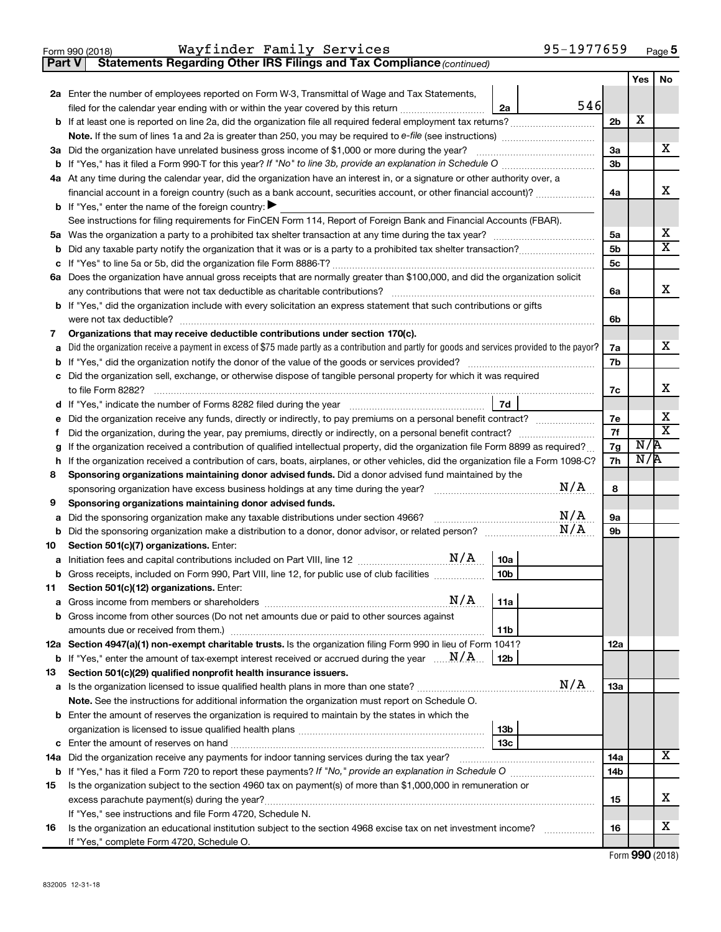| Form 990 (2018) | Wayfinder Family Services |                                                                                     | 95-1977659 | Page ${\bf 5}$ |
|-----------------|---------------------------|-------------------------------------------------------------------------------------|------------|----------------|
|                 |                           | <b>Part V</b> Statements Regarding Other IRS Filings and Tax Compliance (continued) |            |                |

|          |                                                                                                                                                 |     | Yes | No |  |  |  |  |  |  |
|----------|-------------------------------------------------------------------------------------------------------------------------------------------------|-----|-----|----|--|--|--|--|--|--|
|          | 2a Enter the number of employees reported on Form W-3, Transmittal of Wage and Tax Statements,                                                  |     |     |    |  |  |  |  |  |  |
|          | 546<br>filed for the calendar year ending with or within the year covered by this return <i>manumumumum</i><br>2a                               |     |     |    |  |  |  |  |  |  |
|          |                                                                                                                                                 | 2b  | х   |    |  |  |  |  |  |  |
|          | Note. If the sum of lines 1a and 2a is greater than 250, you may be required to e-file (see instructions) <i></i>                               |     |     |    |  |  |  |  |  |  |
|          | 3a Did the organization have unrelated business gross income of \$1,000 or more during the year?                                                | За  |     | х  |  |  |  |  |  |  |
|          |                                                                                                                                                 | 3b  |     |    |  |  |  |  |  |  |
|          | 4a At any time during the calendar year, did the organization have an interest in, or a signature or other authority over, a                    | 4a  |     | x  |  |  |  |  |  |  |
|          | financial account in a foreign country (such as a bank account, securities account, or other financial account)?                                |     |     |    |  |  |  |  |  |  |
|          | <b>b</b> If "Yes," enter the name of the foreign country: $\blacktriangleright$                                                                 |     |     |    |  |  |  |  |  |  |
|          | See instructions for filing requirements for FinCEN Form 114, Report of Foreign Bank and Financial Accounts (FBAR).                             | 5a  |     | х  |  |  |  |  |  |  |
| b        |                                                                                                                                                 | 5b  |     | X  |  |  |  |  |  |  |
| с        |                                                                                                                                                 | 5c  |     |    |  |  |  |  |  |  |
|          | 6a Does the organization have annual gross receipts that are normally greater than \$100,000, and did the organization solicit                  |     |     |    |  |  |  |  |  |  |
|          |                                                                                                                                                 | 6a  |     | х  |  |  |  |  |  |  |
|          | <b>b</b> If "Yes," did the organization include with every solicitation an express statement that such contributions or gifts                   |     |     |    |  |  |  |  |  |  |
|          |                                                                                                                                                 | 6b  |     |    |  |  |  |  |  |  |
| 7        | Organizations that may receive deductible contributions under section 170(c).                                                                   |     |     |    |  |  |  |  |  |  |
| а        | Did the organization receive a payment in excess of \$75 made partly as a contribution and partly for goods and services provided to the payor? | 7a  |     | x. |  |  |  |  |  |  |
|          |                                                                                                                                                 | 7b  |     |    |  |  |  |  |  |  |
|          | c Did the organization sell, exchange, or otherwise dispose of tangible personal property for which it was required                             |     |     |    |  |  |  |  |  |  |
|          |                                                                                                                                                 | 7c  |     | х  |  |  |  |  |  |  |
|          |                                                                                                                                                 |     |     |    |  |  |  |  |  |  |
| е        | Did the organization receive any funds, directly or indirectly, to pay premiums on a personal benefit contract?                                 | 7е  |     | х  |  |  |  |  |  |  |
| f.       | Did the organization, during the year, pay premiums, directly or indirectly, on a personal benefit contract?                                    | 7f  |     | X  |  |  |  |  |  |  |
| g        | If the organization received a contribution of qualified intellectual property, did the organization file Form 8899 as required?                | 7g  | N/R |    |  |  |  |  |  |  |
| h        | If the organization received a contribution of cars, boats, airplanes, or other vehicles, did the organization file a Form 1098-C?              | 7h  | N/R |    |  |  |  |  |  |  |
| 8        | Sponsoring organizations maintaining donor advised funds. Did a donor advised fund maintained by the                                            |     |     |    |  |  |  |  |  |  |
|          | N/A                                                                                                                                             | 8   |     |    |  |  |  |  |  |  |
| 9        | Sponsoring organizations maintaining donor advised funds.                                                                                       |     |     |    |  |  |  |  |  |  |
| а        | N/A<br>Did the sponsoring organization make any taxable distributions under section 4966?<br>N/A                                                | 9а  |     |    |  |  |  |  |  |  |
| b        |                                                                                                                                                 | 9b  |     |    |  |  |  |  |  |  |
| 10       | Section 501(c)(7) organizations. Enter:<br>10a                                                                                                  |     |     |    |  |  |  |  |  |  |
|          | Gross receipts, included on Form 990, Part VIII, line 12, for public use of club facilities<br>10 <sub>b</sub>                                  |     |     |    |  |  |  |  |  |  |
| b<br>11. | Section 501(c)(12) organizations. Enter:                                                                                                        |     |     |    |  |  |  |  |  |  |
|          | 11a                                                                                                                                             |     |     |    |  |  |  |  |  |  |
|          | b Gross income from other sources (Do not net amounts due or paid to other sources against                                                      |     |     |    |  |  |  |  |  |  |
|          | 11 <sub>b</sub>                                                                                                                                 |     |     |    |  |  |  |  |  |  |
|          | 12a Section 4947(a)(1) non-exempt charitable trusts. Is the organization filing Form 990 in lieu of Form 1041?                                  | 12a |     |    |  |  |  |  |  |  |
|          | <b>b</b> If "Yes," enter the amount of tax-exempt interest received or accrued during the year $\ldots$ $\mathbf{N}/\mathbf{A}$ .<br>  12b      |     |     |    |  |  |  |  |  |  |
| 13       | Section 501(c)(29) qualified nonprofit health insurance issuers.                                                                                |     |     |    |  |  |  |  |  |  |
|          | N/A                                                                                                                                             | 13a |     |    |  |  |  |  |  |  |
|          | Note. See the instructions for additional information the organization must report on Schedule O.                                               |     |     |    |  |  |  |  |  |  |
|          | <b>b</b> Enter the amount of reserves the organization is required to maintain by the states in which the                                       |     |     |    |  |  |  |  |  |  |
|          | 13 <sub>b</sub>                                                                                                                                 |     |     |    |  |  |  |  |  |  |
|          | 13 <sub>c</sub>                                                                                                                                 |     |     |    |  |  |  |  |  |  |
|          | 14a Did the organization receive any payments for indoor tanning services during the tax year?                                                  | 14a |     | x  |  |  |  |  |  |  |
|          |                                                                                                                                                 | 14b |     |    |  |  |  |  |  |  |
| 15       | Is the organization subject to the section 4960 tax on payment(s) of more than \$1,000,000 in remuneration or                                   |     |     |    |  |  |  |  |  |  |
|          |                                                                                                                                                 | 15  |     | х  |  |  |  |  |  |  |
|          | If "Yes," see instructions and file Form 4720, Schedule N.                                                                                      |     |     |    |  |  |  |  |  |  |
| 16       | Is the organization an educational institution subject to the section 4968 excise tax on net investment income?                                 | 16  |     | х  |  |  |  |  |  |  |
|          | If "Yes," complete Form 4720, Schedule O.                                                                                                       |     |     |    |  |  |  |  |  |  |

Form (2018) **990**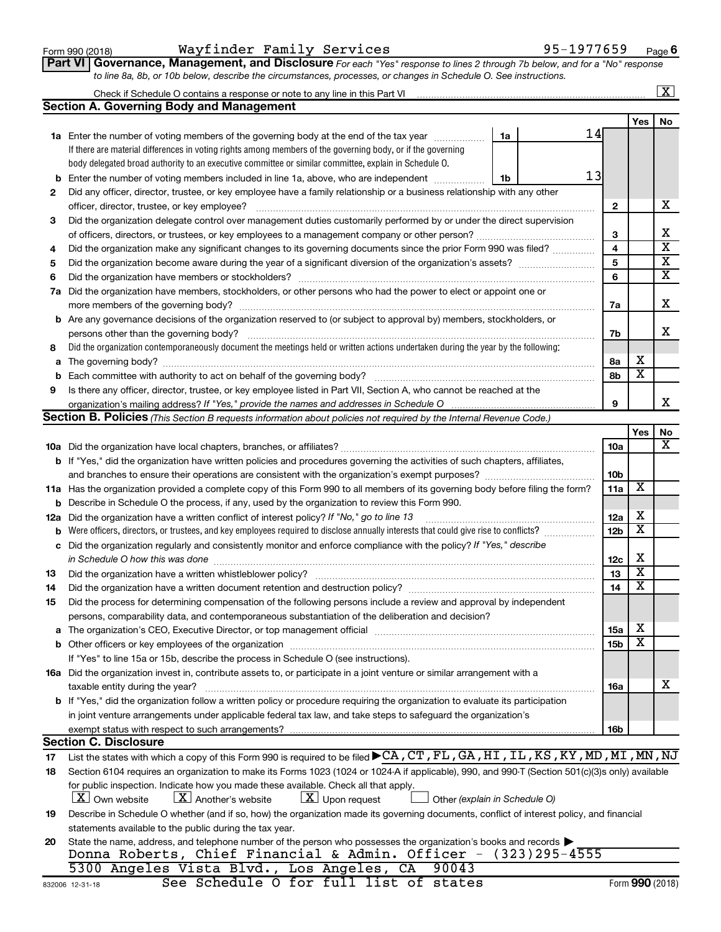| Form 990 (2018) |  |
|-----------------|--|
|-----------------|--|

#### Form 990 (2018) **Wayfinder Family Services** 95-1977659 <sub>Page</sub>

**Part VI** Governance, Management, and Disclosure For each "Yes" response to lines 2 through 7b below, and for a "No" response *to line 8a, 8b, or 10b below, describe the circumstances, processes, or changes in Schedule O. See instructions.*

|     | Check if Schedule O contains a response or note to any line in this Part VI                                                                                                                                                    |                 |                         | $\overline{\mathbf{x}}$ |
|-----|--------------------------------------------------------------------------------------------------------------------------------------------------------------------------------------------------------------------------------|-----------------|-------------------------|-------------------------|
|     | <b>Section A. Governing Body and Management</b>                                                                                                                                                                                |                 |                         |                         |
|     |                                                                                                                                                                                                                                |                 | <b>Yes</b>              | No                      |
|     | 14<br>1a Enter the number of voting members of the governing body at the end of the tax year <i>manumum</i><br>1a                                                                                                              |                 |                         |                         |
|     | If there are material differences in voting rights among members of the governing body, or if the governing                                                                                                                    |                 |                         |                         |
|     | body delegated broad authority to an executive committee or similar committee, explain in Schedule O.                                                                                                                          |                 |                         |                         |
| b   | 13<br>Enter the number of voting members included in line 1a, above, who are independent<br>1b                                                                                                                                 |                 |                         |                         |
| 2   | Did any officer, director, trustee, or key employee have a family relationship or a business relationship with any other                                                                                                       |                 |                         |                         |
|     | officer, director, trustee, or key employee?                                                                                                                                                                                   | $\mathbf{2}$    |                         | х                       |
| 3   | Did the organization delegate control over management duties customarily performed by or under the direct supervision                                                                                                          |                 |                         |                         |
|     |                                                                                                                                                                                                                                | 3               |                         | х                       |
| 4   | Did the organization make any significant changes to its governing documents since the prior Form 990 was filed?                                                                                                               | 4               |                         | $\overline{\mathbf{x}}$ |
| 5   |                                                                                                                                                                                                                                | 5               |                         | х                       |
| 6   |                                                                                                                                                                                                                                | 6               |                         | x                       |
| 7a  | Did the organization have members, stockholders, or other persons who had the power to elect or appoint one or                                                                                                                 |                 |                         |                         |
|     |                                                                                                                                                                                                                                | 7a              |                         | х                       |
|     | <b>b</b> Are any governance decisions of the organization reserved to (or subject to approval by) members, stockholders, or                                                                                                    |                 |                         |                         |
|     | persons other than the governing body?                                                                                                                                                                                         | 7b              |                         | x                       |
| 8   | Did the organization contemporaneously document the meetings held or written actions undertaken during the year by the following:                                                                                              |                 |                         |                         |
| a   |                                                                                                                                                                                                                                | 8a              | х                       |                         |
|     |                                                                                                                                                                                                                                | 8b              | $\overline{\textbf{x}}$ |                         |
| 9   | Is there any officer, director, trustee, or key employee listed in Part VII, Section A, who cannot be reached at the                                                                                                           |                 |                         |                         |
|     |                                                                                                                                                                                                                                | 9               |                         | x                       |
|     | Section B. Policies (This Section B requests information about policies not required by the Internal Revenue Code.)                                                                                                            |                 |                         |                         |
|     |                                                                                                                                                                                                                                |                 | Yes                     | No                      |
|     |                                                                                                                                                                                                                                | 10a             |                         | x                       |
|     | <b>b</b> If "Yes," did the organization have written policies and procedures governing the activities of such chapters, affiliates,                                                                                            |                 |                         |                         |
|     |                                                                                                                                                                                                                                | 10 <sub>b</sub> |                         |                         |
|     | 11a Has the organization provided a complete copy of this Form 990 to all members of its governing body before filing the form?                                                                                                | 11a             | х                       |                         |
| b   | Describe in Schedule O the process, if any, used by the organization to review this Form 990.                                                                                                                                  |                 |                         |                         |
| 12a | Did the organization have a written conflict of interest policy? If "No," go to line 13                                                                                                                                        | 12a             | х                       |                         |
| b   | Were officers, directors, or trustees, and key employees required to disclose annually interests that could give rise to conflicts?                                                                                            | 12 <sub>b</sub> | х                       |                         |
| с   | Did the organization regularly and consistently monitor and enforce compliance with the policy? If "Yes," describe                                                                                                             |                 |                         |                         |
|     | in Schedule O how this was done [11, 12] manufacture in the schedule of the schedule O how this was done                                                                                                                       | 12c             | X                       |                         |
| 13  |                                                                                                                                                                                                                                | 13              | X                       |                         |
| 14  |                                                                                                                                                                                                                                | 14              | X                       |                         |
| 15  | Did the process for determining compensation of the following persons include a review and approval by independent                                                                                                             |                 |                         |                         |
|     | persons, comparability data, and contemporaneous substantiation of the deliberation and decision?                                                                                                                              |                 |                         |                         |
| a   | The organization's CEO, Executive Director, or top management official manufactured content of the organization's CEO, Executive Director, or top management official manufactured content of the state of the state of the st | 15a             | х                       |                         |
|     | Other officers or key employees of the organization                                                                                                                                                                            | <b>15b</b>      | x                       |                         |
|     | If "Yes" to line 15a or 15b, describe the process in Schedule O (see instructions).                                                                                                                                            |                 |                         |                         |
|     | 16a Did the organization invest in, contribute assets to, or participate in a joint venture or similar arrangement with a                                                                                                      |                 |                         |                         |
|     | taxable entity during the year?                                                                                                                                                                                                | <b>16a</b>      |                         | x                       |
|     | b If "Yes," did the organization follow a written policy or procedure requiring the organization to evaluate its participation                                                                                                 |                 |                         |                         |
|     | in joint venture arrangements under applicable federal tax law, and take steps to safeguard the organization's                                                                                                                 |                 |                         |                         |
|     | exempt status with respect to such arrangements?                                                                                                                                                                               | 16b             |                         |                         |
|     | <b>Section C. Disclosure</b>                                                                                                                                                                                                   |                 |                         |                         |
| 17  | List the states with which a copy of this Form 990 is required to be filed CA, CT, FL, GA, HI, IL, KS, KY, MD, MI, MN, NJ                                                                                                      |                 |                         |                         |
| 18  | Section 6104 requires an organization to make its Forms 1023 (1024 or 1024 A if applicable), 990, and 990 T (Section 501(c)(3)s only) available                                                                                |                 |                         |                         |
|     | for public inspection. Indicate how you made these available. Check all that apply.                                                                                                                                            |                 |                         |                         |
|     | $\lfloor x \rfloor$ Upon request<br>$\lfloor X \rfloor$ Own website<br>$ \mathbf{X} $ Another's website<br>Other (explain in Schedule O)                                                                                       |                 |                         |                         |
| 19  | Describe in Schedule O whether (and if so, how) the organization made its governing documents, conflict of interest policy, and financial                                                                                      |                 |                         |                         |
|     | statements available to the public during the tax year.                                                                                                                                                                        |                 |                         |                         |
| 20  | State the name, address, and telephone number of the person who possesses the organization's books and records<br>Donna Roberts, Chief Financial & Admin. Officer - (323)295-4555                                              |                 |                         |                         |
|     | 5300 Angeles Vista Blvd., Los Angeles, CA<br>90043                                                                                                                                                                             |                 |                         |                         |
|     |                                                                                                                                                                                                                                |                 |                         |                         |

See Schedule O for full list of states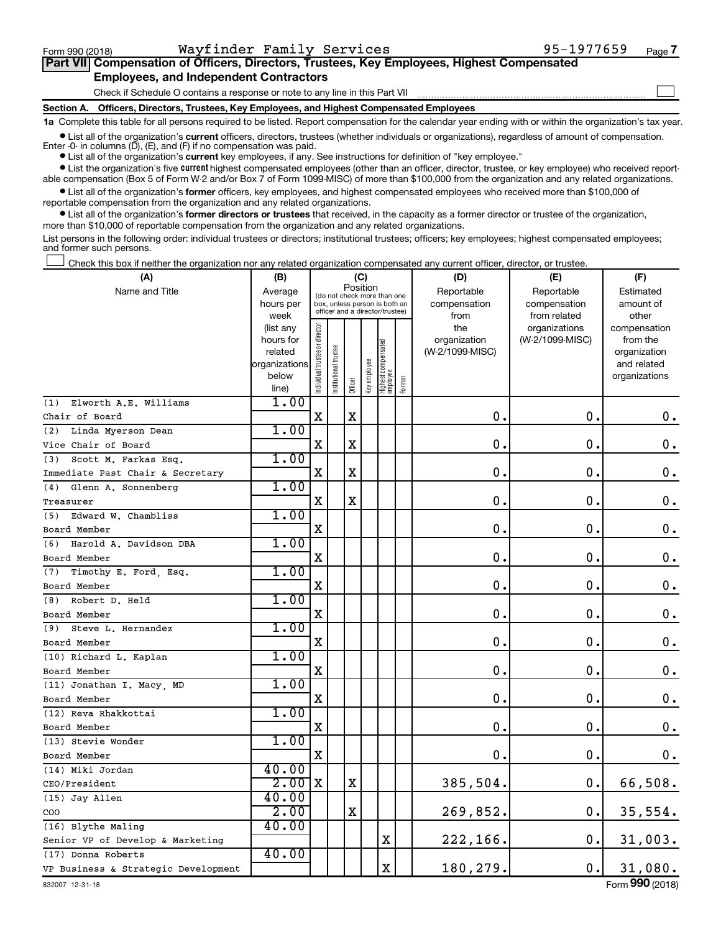$\Box$ 

| Part VII Compensation of Officers, Directors, Trustees, Key Employees, Highest Compensated |  |  |  |
|--------------------------------------------------------------------------------------------|--|--|--|
| <b>Employees, and Independent Contractors</b>                                              |  |  |  |

Check if Schedule O contains a response or note to any line in this Part VII

**Section A. Officers, Directors, Trustees, Key Employees, and Highest Compensated Employees**

**1a**  Complete this table for all persons required to be listed. Report compensation for the calendar year ending with or within the organization's tax year.

**•** List all of the organization's current officers, directors, trustees (whether individuals or organizations), regardless of amount of compensation. Enter -0- in columns  $(D)$ ,  $(E)$ , and  $(F)$  if no compensation was paid.

**•** List all of the organization's **current** key employees, if any. See instructions for definition of "key employee."

**•** List the organization's five current highest compensated employees (other than an officer, director, trustee, or key employee) who received reportable compensation (Box 5 of Form W-2 and/or Box 7 of Form 1099-MISC) of more than \$100,000 from the organization and any related organizations.

**•** List all of the organization's former officers, key employees, and highest compensated employees who received more than \$100,000 of reportable compensation from the organization and any related organizations.

**•** List all of the organization's former directors or trustees that received, in the capacity as a former director or trustee of the organization, more than \$10,000 of reportable compensation from the organization and any related organizations.

List persons in the following order: individual trustees or directors; institutional trustees; officers; key employees; highest compensated employees; and former such persons.

Check this box if neither the organization nor any related organization compensated any current officer, director, or trustee.  $\overline{a}$ 

| Position<br>Name and Title<br>Reportable<br>Average<br>Reportable<br>Estimated<br>(do not check more than one<br>compensation<br>compensation<br>amount of<br>hours per<br>box, unless person is both an<br>officer and a director/trustee)<br>week<br>from<br>from related<br>other<br>Individual trustee or director<br>the<br>organizations<br>compensation<br>(list any<br>(W-2/1099-MISC)<br>hours for<br>organization<br>from the<br>Highest compensated<br>employee<br>(W-2/1099-MISC)<br>related<br>organization<br>Key employee<br>organizations<br>and related<br>Institutional t<br>below<br>organizations<br>Former<br>Officer<br>line)<br>1.00<br>Elworth A.E. Williams<br>(1)<br>$\mathbf x$<br>X<br>0.<br>0.<br>$0$ .<br>1.00<br>Linda Myerson Dean<br>(2)<br>$\mathbf X$<br>$\mathbf 0$ .<br>X<br>0.<br>0.<br>1.00<br>(3)<br>Scott M. Farkas Esq.<br>$\mathbf X$<br>$\mathbf 0$<br>$\mathbf 0$ .<br>$\mathbf 0$ .<br>X<br>Immediate Past Chair & Secretary<br>1.00<br>(4) Glenn A. Sonnenberg<br>$\mathbf 0$ .<br>X<br>$\mathbf X$<br>$\mathbf 0$<br>0.<br>1.00<br>(5) Edward W. Chambliss<br>X<br>$\mathbf 0$<br>$\mathbf 0$ .<br>$\mathbf 0$ .<br>1.00<br>Harold A. Davidson DBA<br>(6)<br>$\mathbf X$<br>0<br>$\mathbf 0$ .<br>$\mathbf 0$ .<br>1.00<br>(7)<br>Timothy E. Ford, Esq.<br>$\mathbf 0$ .<br>X<br>0<br>0.<br>1.00<br>(8) Robert D. Held<br>X<br>$\mathbf 0$<br>$\mathbf 0$<br>0.<br>1.00<br>(9) Steve L. Hernandez<br>X<br>$\mathbf 0$ .<br>$0 \cdot$<br>0.<br>1.00<br>(10) Richard L. Kaplan<br>$\mathbf 0$ .<br>X<br>0<br>$\mathbf 0$ .<br>1.00<br>(11) Jonathan I. Macy, MD<br>X<br>$\mathbf 0$<br>$\mathbf 0$ .<br>0.<br>1.00<br>(12) Reva Rhakkottai<br>$\mathbf X$<br>$\mathbf 0$<br>$\mathbf 0$ .<br>$\mathbf 0$ .<br>1.00<br>(13) Stevie Wonder<br>0.<br>$\mathbf 0$ .<br>X<br>$0$ .<br>40.00<br>(14) Miki Jordan<br>2.00<br>$\mathbf X$<br>$\mathbf 0$ .<br>66,508.<br>X<br>385,504.<br>40.00<br>(15) Jay Allen<br>2.00<br>$\mathbf X$<br>269,852.<br>$\mathbf 0$ .<br>35,554.<br>COO<br>40.00<br>(16) Blythe Maling<br>0.<br>X<br>222,166.<br>31,003.<br>Senior VP of Develop & Marketing<br>40.00<br>(17) Donna Roberts | (A)                                 | (B) |  |  |  | (C) |   | (D)      | (E) | (F)     |
|-------------------------------------------------------------------------------------------------------------------------------------------------------------------------------------------------------------------------------------------------------------------------------------------------------------------------------------------------------------------------------------------------------------------------------------------------------------------------------------------------------------------------------------------------------------------------------------------------------------------------------------------------------------------------------------------------------------------------------------------------------------------------------------------------------------------------------------------------------------------------------------------------------------------------------------------------------------------------------------------------------------------------------------------------------------------------------------------------------------------------------------------------------------------------------------------------------------------------------------------------------------------------------------------------------------------------------------------------------------------------------------------------------------------------------------------------------------------------------------------------------------------------------------------------------------------------------------------------------------------------------------------------------------------------------------------------------------------------------------------------------------------------------------------------------------------------------------------------------------------------------------------------------------------------------------------------------------------------------------------------------------------------------------------------------------------------------------------------------------------------------------------------------------------|-------------------------------------|-----|--|--|--|-----|---|----------|-----|---------|
|                                                                                                                                                                                                                                                                                                                                                                                                                                                                                                                                                                                                                                                                                                                                                                                                                                                                                                                                                                                                                                                                                                                                                                                                                                                                                                                                                                                                                                                                                                                                                                                                                                                                                                                                                                                                                                                                                                                                                                                                                                                                                                                                                                   |                                     |     |  |  |  |     |   |          |     |         |
|                                                                                                                                                                                                                                                                                                                                                                                                                                                                                                                                                                                                                                                                                                                                                                                                                                                                                                                                                                                                                                                                                                                                                                                                                                                                                                                                                                                                                                                                                                                                                                                                                                                                                                                                                                                                                                                                                                                                                                                                                                                                                                                                                                   |                                     |     |  |  |  |     |   |          |     |         |
|                                                                                                                                                                                                                                                                                                                                                                                                                                                                                                                                                                                                                                                                                                                                                                                                                                                                                                                                                                                                                                                                                                                                                                                                                                                                                                                                                                                                                                                                                                                                                                                                                                                                                                                                                                                                                                                                                                                                                                                                                                                                                                                                                                   |                                     |     |  |  |  |     |   |          |     |         |
|                                                                                                                                                                                                                                                                                                                                                                                                                                                                                                                                                                                                                                                                                                                                                                                                                                                                                                                                                                                                                                                                                                                                                                                                                                                                                                                                                                                                                                                                                                                                                                                                                                                                                                                                                                                                                                                                                                                                                                                                                                                                                                                                                                   |                                     |     |  |  |  |     |   |          |     |         |
|                                                                                                                                                                                                                                                                                                                                                                                                                                                                                                                                                                                                                                                                                                                                                                                                                                                                                                                                                                                                                                                                                                                                                                                                                                                                                                                                                                                                                                                                                                                                                                                                                                                                                                                                                                                                                                                                                                                                                                                                                                                                                                                                                                   |                                     |     |  |  |  |     |   |          |     |         |
|                                                                                                                                                                                                                                                                                                                                                                                                                                                                                                                                                                                                                                                                                                                                                                                                                                                                                                                                                                                                                                                                                                                                                                                                                                                                                                                                                                                                                                                                                                                                                                                                                                                                                                                                                                                                                                                                                                                                                                                                                                                                                                                                                                   |                                     |     |  |  |  |     |   |          |     |         |
|                                                                                                                                                                                                                                                                                                                                                                                                                                                                                                                                                                                                                                                                                                                                                                                                                                                                                                                                                                                                                                                                                                                                                                                                                                                                                                                                                                                                                                                                                                                                                                                                                                                                                                                                                                                                                                                                                                                                                                                                                                                                                                                                                                   |                                     |     |  |  |  |     |   |          |     |         |
|                                                                                                                                                                                                                                                                                                                                                                                                                                                                                                                                                                                                                                                                                                                                                                                                                                                                                                                                                                                                                                                                                                                                                                                                                                                                                                                                                                                                                                                                                                                                                                                                                                                                                                                                                                                                                                                                                                                                                                                                                                                                                                                                                                   |                                     |     |  |  |  |     |   |          |     |         |
|                                                                                                                                                                                                                                                                                                                                                                                                                                                                                                                                                                                                                                                                                                                                                                                                                                                                                                                                                                                                                                                                                                                                                                                                                                                                                                                                                                                                                                                                                                                                                                                                                                                                                                                                                                                                                                                                                                                                                                                                                                                                                                                                                                   |                                     |     |  |  |  |     |   |          |     |         |
|                                                                                                                                                                                                                                                                                                                                                                                                                                                                                                                                                                                                                                                                                                                                                                                                                                                                                                                                                                                                                                                                                                                                                                                                                                                                                                                                                                                                                                                                                                                                                                                                                                                                                                                                                                                                                                                                                                                                                                                                                                                                                                                                                                   | Chair of Board                      |     |  |  |  |     |   |          |     |         |
|                                                                                                                                                                                                                                                                                                                                                                                                                                                                                                                                                                                                                                                                                                                                                                                                                                                                                                                                                                                                                                                                                                                                                                                                                                                                                                                                                                                                                                                                                                                                                                                                                                                                                                                                                                                                                                                                                                                                                                                                                                                                                                                                                                   |                                     |     |  |  |  |     |   |          |     |         |
|                                                                                                                                                                                                                                                                                                                                                                                                                                                                                                                                                                                                                                                                                                                                                                                                                                                                                                                                                                                                                                                                                                                                                                                                                                                                                                                                                                                                                                                                                                                                                                                                                                                                                                                                                                                                                                                                                                                                                                                                                                                                                                                                                                   | Vice Chair of Board                 |     |  |  |  |     |   |          |     |         |
|                                                                                                                                                                                                                                                                                                                                                                                                                                                                                                                                                                                                                                                                                                                                                                                                                                                                                                                                                                                                                                                                                                                                                                                                                                                                                                                                                                                                                                                                                                                                                                                                                                                                                                                                                                                                                                                                                                                                                                                                                                                                                                                                                                   |                                     |     |  |  |  |     |   |          |     |         |
|                                                                                                                                                                                                                                                                                                                                                                                                                                                                                                                                                                                                                                                                                                                                                                                                                                                                                                                                                                                                                                                                                                                                                                                                                                                                                                                                                                                                                                                                                                                                                                                                                                                                                                                                                                                                                                                                                                                                                                                                                                                                                                                                                                   |                                     |     |  |  |  |     |   |          |     |         |
|                                                                                                                                                                                                                                                                                                                                                                                                                                                                                                                                                                                                                                                                                                                                                                                                                                                                                                                                                                                                                                                                                                                                                                                                                                                                                                                                                                                                                                                                                                                                                                                                                                                                                                                                                                                                                                                                                                                                                                                                                                                                                                                                                                   |                                     |     |  |  |  |     |   |          |     |         |
|                                                                                                                                                                                                                                                                                                                                                                                                                                                                                                                                                                                                                                                                                                                                                                                                                                                                                                                                                                                                                                                                                                                                                                                                                                                                                                                                                                                                                                                                                                                                                                                                                                                                                                                                                                                                                                                                                                                                                                                                                                                                                                                                                                   | Treasurer                           |     |  |  |  |     |   |          |     |         |
|                                                                                                                                                                                                                                                                                                                                                                                                                                                                                                                                                                                                                                                                                                                                                                                                                                                                                                                                                                                                                                                                                                                                                                                                                                                                                                                                                                                                                                                                                                                                                                                                                                                                                                                                                                                                                                                                                                                                                                                                                                                                                                                                                                   |                                     |     |  |  |  |     |   |          |     |         |
|                                                                                                                                                                                                                                                                                                                                                                                                                                                                                                                                                                                                                                                                                                                                                                                                                                                                                                                                                                                                                                                                                                                                                                                                                                                                                                                                                                                                                                                                                                                                                                                                                                                                                                                                                                                                                                                                                                                                                                                                                                                                                                                                                                   | Board Member                        |     |  |  |  |     |   |          |     |         |
|                                                                                                                                                                                                                                                                                                                                                                                                                                                                                                                                                                                                                                                                                                                                                                                                                                                                                                                                                                                                                                                                                                                                                                                                                                                                                                                                                                                                                                                                                                                                                                                                                                                                                                                                                                                                                                                                                                                                                                                                                                                                                                                                                                   |                                     |     |  |  |  |     |   |          |     |         |
|                                                                                                                                                                                                                                                                                                                                                                                                                                                                                                                                                                                                                                                                                                                                                                                                                                                                                                                                                                                                                                                                                                                                                                                                                                                                                                                                                                                                                                                                                                                                                                                                                                                                                                                                                                                                                                                                                                                                                                                                                                                                                                                                                                   | Board Member                        |     |  |  |  |     |   |          |     |         |
|                                                                                                                                                                                                                                                                                                                                                                                                                                                                                                                                                                                                                                                                                                                                                                                                                                                                                                                                                                                                                                                                                                                                                                                                                                                                                                                                                                                                                                                                                                                                                                                                                                                                                                                                                                                                                                                                                                                                                                                                                                                                                                                                                                   |                                     |     |  |  |  |     |   |          |     |         |
|                                                                                                                                                                                                                                                                                                                                                                                                                                                                                                                                                                                                                                                                                                                                                                                                                                                                                                                                                                                                                                                                                                                                                                                                                                                                                                                                                                                                                                                                                                                                                                                                                                                                                                                                                                                                                                                                                                                                                                                                                                                                                                                                                                   | Board Member                        |     |  |  |  |     |   |          |     |         |
|                                                                                                                                                                                                                                                                                                                                                                                                                                                                                                                                                                                                                                                                                                                                                                                                                                                                                                                                                                                                                                                                                                                                                                                                                                                                                                                                                                                                                                                                                                                                                                                                                                                                                                                                                                                                                                                                                                                                                                                                                                                                                                                                                                   |                                     |     |  |  |  |     |   |          |     |         |
|                                                                                                                                                                                                                                                                                                                                                                                                                                                                                                                                                                                                                                                                                                                                                                                                                                                                                                                                                                                                                                                                                                                                                                                                                                                                                                                                                                                                                                                                                                                                                                                                                                                                                                                                                                                                                                                                                                                                                                                                                                                                                                                                                                   | Board Member                        |     |  |  |  |     |   |          |     |         |
|                                                                                                                                                                                                                                                                                                                                                                                                                                                                                                                                                                                                                                                                                                                                                                                                                                                                                                                                                                                                                                                                                                                                                                                                                                                                                                                                                                                                                                                                                                                                                                                                                                                                                                                                                                                                                                                                                                                                                                                                                                                                                                                                                                   |                                     |     |  |  |  |     |   |          |     |         |
|                                                                                                                                                                                                                                                                                                                                                                                                                                                                                                                                                                                                                                                                                                                                                                                                                                                                                                                                                                                                                                                                                                                                                                                                                                                                                                                                                                                                                                                                                                                                                                                                                                                                                                                                                                                                                                                                                                                                                                                                                                                                                                                                                                   | Board Member                        |     |  |  |  |     |   |          |     |         |
|                                                                                                                                                                                                                                                                                                                                                                                                                                                                                                                                                                                                                                                                                                                                                                                                                                                                                                                                                                                                                                                                                                                                                                                                                                                                                                                                                                                                                                                                                                                                                                                                                                                                                                                                                                                                                                                                                                                                                                                                                                                                                                                                                                   |                                     |     |  |  |  |     |   |          |     |         |
|                                                                                                                                                                                                                                                                                                                                                                                                                                                                                                                                                                                                                                                                                                                                                                                                                                                                                                                                                                                                                                                                                                                                                                                                                                                                                                                                                                                                                                                                                                                                                                                                                                                                                                                                                                                                                                                                                                                                                                                                                                                                                                                                                                   | Board Member                        |     |  |  |  |     |   |          |     |         |
|                                                                                                                                                                                                                                                                                                                                                                                                                                                                                                                                                                                                                                                                                                                                                                                                                                                                                                                                                                                                                                                                                                                                                                                                                                                                                                                                                                                                                                                                                                                                                                                                                                                                                                                                                                                                                                                                                                                                                                                                                                                                                                                                                                   |                                     |     |  |  |  |     |   |          |     |         |
|                                                                                                                                                                                                                                                                                                                                                                                                                                                                                                                                                                                                                                                                                                                                                                                                                                                                                                                                                                                                                                                                                                                                                                                                                                                                                                                                                                                                                                                                                                                                                                                                                                                                                                                                                                                                                                                                                                                                                                                                                                                                                                                                                                   | Board Member                        |     |  |  |  |     |   |          |     |         |
|                                                                                                                                                                                                                                                                                                                                                                                                                                                                                                                                                                                                                                                                                                                                                                                                                                                                                                                                                                                                                                                                                                                                                                                                                                                                                                                                                                                                                                                                                                                                                                                                                                                                                                                                                                                                                                                                                                                                                                                                                                                                                                                                                                   |                                     |     |  |  |  |     |   |          |     |         |
|                                                                                                                                                                                                                                                                                                                                                                                                                                                                                                                                                                                                                                                                                                                                                                                                                                                                                                                                                                                                                                                                                                                                                                                                                                                                                                                                                                                                                                                                                                                                                                                                                                                                                                                                                                                                                                                                                                                                                                                                                                                                                                                                                                   | Board Member                        |     |  |  |  |     |   |          |     |         |
|                                                                                                                                                                                                                                                                                                                                                                                                                                                                                                                                                                                                                                                                                                                                                                                                                                                                                                                                                                                                                                                                                                                                                                                                                                                                                                                                                                                                                                                                                                                                                                                                                                                                                                                                                                                                                                                                                                                                                                                                                                                                                                                                                                   |                                     |     |  |  |  |     |   |          |     |         |
|                                                                                                                                                                                                                                                                                                                                                                                                                                                                                                                                                                                                                                                                                                                                                                                                                                                                                                                                                                                                                                                                                                                                                                                                                                                                                                                                                                                                                                                                                                                                                                                                                                                                                                                                                                                                                                                                                                                                                                                                                                                                                                                                                                   | Board Member                        |     |  |  |  |     |   |          |     |         |
|                                                                                                                                                                                                                                                                                                                                                                                                                                                                                                                                                                                                                                                                                                                                                                                                                                                                                                                                                                                                                                                                                                                                                                                                                                                                                                                                                                                                                                                                                                                                                                                                                                                                                                                                                                                                                                                                                                                                                                                                                                                                                                                                                                   |                                     |     |  |  |  |     |   |          |     |         |
|                                                                                                                                                                                                                                                                                                                                                                                                                                                                                                                                                                                                                                                                                                                                                                                                                                                                                                                                                                                                                                                                                                                                                                                                                                                                                                                                                                                                                                                                                                                                                                                                                                                                                                                                                                                                                                                                                                                                                                                                                                                                                                                                                                   | CEO/President                       |     |  |  |  |     |   |          |     |         |
|                                                                                                                                                                                                                                                                                                                                                                                                                                                                                                                                                                                                                                                                                                                                                                                                                                                                                                                                                                                                                                                                                                                                                                                                                                                                                                                                                                                                                                                                                                                                                                                                                                                                                                                                                                                                                                                                                                                                                                                                                                                                                                                                                                   |                                     |     |  |  |  |     |   |          |     |         |
|                                                                                                                                                                                                                                                                                                                                                                                                                                                                                                                                                                                                                                                                                                                                                                                                                                                                                                                                                                                                                                                                                                                                                                                                                                                                                                                                                                                                                                                                                                                                                                                                                                                                                                                                                                                                                                                                                                                                                                                                                                                                                                                                                                   |                                     |     |  |  |  |     |   |          |     |         |
|                                                                                                                                                                                                                                                                                                                                                                                                                                                                                                                                                                                                                                                                                                                                                                                                                                                                                                                                                                                                                                                                                                                                                                                                                                                                                                                                                                                                                                                                                                                                                                                                                                                                                                                                                                                                                                                                                                                                                                                                                                                                                                                                                                   |                                     |     |  |  |  |     |   |          |     |         |
|                                                                                                                                                                                                                                                                                                                                                                                                                                                                                                                                                                                                                                                                                                                                                                                                                                                                                                                                                                                                                                                                                                                                                                                                                                                                                                                                                                                                                                                                                                                                                                                                                                                                                                                                                                                                                                                                                                                                                                                                                                                                                                                                                                   |                                     |     |  |  |  |     |   |          |     |         |
|                                                                                                                                                                                                                                                                                                                                                                                                                                                                                                                                                                                                                                                                                                                                                                                                                                                                                                                                                                                                                                                                                                                                                                                                                                                                                                                                                                                                                                                                                                                                                                                                                                                                                                                                                                                                                                                                                                                                                                                                                                                                                                                                                                   |                                     |     |  |  |  |     |   |          |     |         |
|                                                                                                                                                                                                                                                                                                                                                                                                                                                                                                                                                                                                                                                                                                                                                                                                                                                                                                                                                                                                                                                                                                                                                                                                                                                                                                                                                                                                                                                                                                                                                                                                                                                                                                                                                                                                                                                                                                                                                                                                                                                                                                                                                                   | VP Business & Strategic Development |     |  |  |  |     | X | 180,279. | 0.  | 31,080. |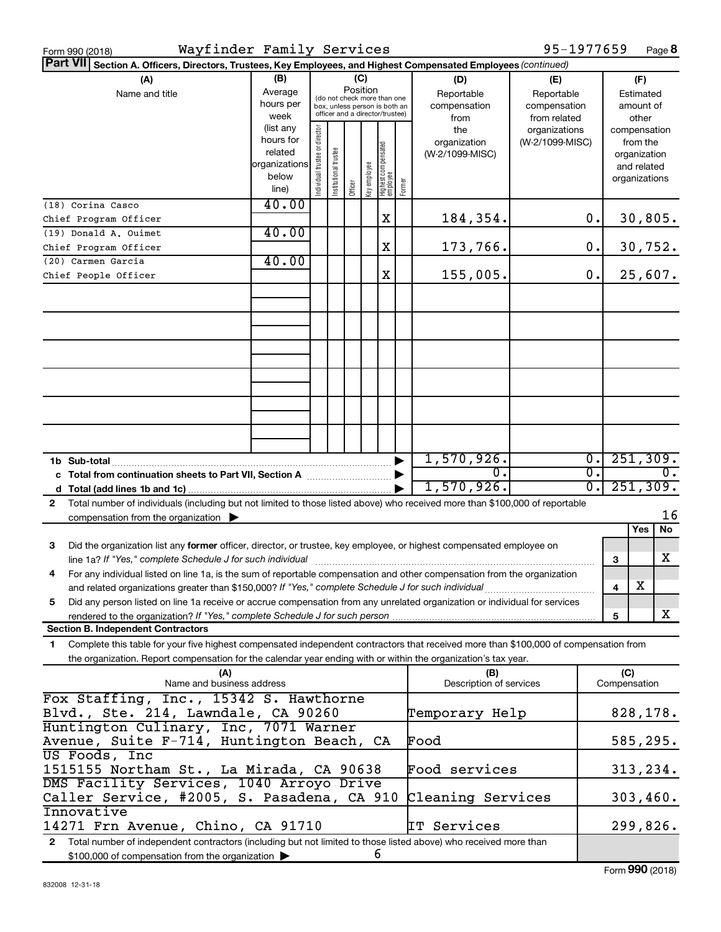| Wayfinder Family Services<br>Form 990 (2018)                                                                                                                                                                                                                |                                                                      |                                |                       |         |              |                                                                                                             |        |                                           | 95-1977659                                        |    |                                                                          | Page 8                                 |
|-------------------------------------------------------------------------------------------------------------------------------------------------------------------------------------------------------------------------------------------------------------|----------------------------------------------------------------------|--------------------------------|-----------------------|---------|--------------|-------------------------------------------------------------------------------------------------------------|--------|-------------------------------------------|---------------------------------------------------|----|--------------------------------------------------------------------------|----------------------------------------|
| <b>Part VII</b><br>Section A. Officers, Directors, Trustees, Key Employees, and Highest Compensated Employees (continued)                                                                                                                                   |                                                                      |                                |                       |         |              |                                                                                                             |        |                                           |                                                   |    |                                                                          |                                        |
| (A)<br>Name and title                                                                                                                                                                                                                                       | (B)<br>Average<br>hours per<br>week                                  |                                |                       |         |              | Position<br>(do not check more than one<br>box, unless person is both an<br>officer and a director/trustee) |        | (D)<br>Reportable<br>compensation<br>from | (E)<br>Reportable<br>compensation<br>from related |    |                                                                          | (F)<br>Estimated<br>amount of<br>other |
|                                                                                                                                                                                                                                                             | (list any<br>hours for<br>related<br>organizations<br>below<br>line) | Individual trustee or director | Institutional trustee | Officer | Key employee | Highest compensated<br>  employee                                                                           | Former | the<br>organization<br>(W-2/1099-MISC)    | organizations<br>(W-2/1099-MISC)                  |    | compensation<br>from the<br>organization<br>and related<br>organizations |                                        |
| (18) Corina Casco                                                                                                                                                                                                                                           | 40.00                                                                |                                |                       |         |              |                                                                                                             |        |                                           |                                                   |    |                                                                          |                                        |
| Chief Program Officer                                                                                                                                                                                                                                       | 40.00                                                                |                                |                       |         |              | Χ                                                                                                           |        | 184,354.                                  |                                                   | 0. |                                                                          | 30,805.                                |
| (19) Donald A. Ouimet<br>Chief Program Officer                                                                                                                                                                                                              |                                                                      |                                |                       |         |              | Χ                                                                                                           |        | 173,766.                                  |                                                   | 0. |                                                                          | 30,752.                                |
| (20) Carmen Garcia                                                                                                                                                                                                                                          | 40.00                                                                |                                |                       |         |              |                                                                                                             |        |                                           |                                                   |    |                                                                          |                                        |
| Chief People Officer                                                                                                                                                                                                                                        |                                                                      |                                |                       |         |              | X                                                                                                           |        | 155,005.                                  |                                                   | 0. |                                                                          | 25,607.                                |
|                                                                                                                                                                                                                                                             |                                                                      |                                |                       |         |              |                                                                                                             |        |                                           |                                                   |    |                                                                          |                                        |
|                                                                                                                                                                                                                                                             |                                                                      |                                |                       |         |              |                                                                                                             |        |                                           |                                                   |    |                                                                          |                                        |
|                                                                                                                                                                                                                                                             |                                                                      |                                |                       |         |              |                                                                                                             |        |                                           |                                                   |    |                                                                          |                                        |
|                                                                                                                                                                                                                                                             |                                                                      |                                |                       |         |              |                                                                                                             |        |                                           |                                                   |    |                                                                          |                                        |
|                                                                                                                                                                                                                                                             |                                                                      |                                |                       |         |              |                                                                                                             |        |                                           |                                                   |    |                                                                          |                                        |
|                                                                                                                                                                                                                                                             |                                                                      |                                |                       |         |              |                                                                                                             |        |                                           |                                                   |    |                                                                          |                                        |
|                                                                                                                                                                                                                                                             |                                                                      |                                |                       |         |              |                                                                                                             |        | 1,570,926.                                |                                                   | Ο. |                                                                          | 251, 309.                              |
| c Total from continuation sheets to Part VII, Section A manufactured by                                                                                                                                                                                     |                                                                      |                                |                       |         |              |                                                                                                             |        | $\overline{0}$ .                          |                                                   | σ. |                                                                          | 0.                                     |
|                                                                                                                                                                                                                                                             |                                                                      |                                |                       |         |              |                                                                                                             |        | 1,570,926.                                |                                                   | σ. |                                                                          | 251,309.                               |
| Total number of individuals (including but not limited to those listed above) who received more than \$100,000 of reportable<br>$\mathbf{2}$<br>compensation from the organization $\blacktriangleright$                                                    |                                                                      |                                |                       |         |              |                                                                                                             |        |                                           |                                                   |    |                                                                          | 16                                     |
|                                                                                                                                                                                                                                                             |                                                                      |                                |                       |         |              |                                                                                                             |        |                                           |                                                   |    | Yes                                                                      | No                                     |
| Did the organization list any former officer, director, or trustee, key employee, or highest compensated employee on<br>з<br>line 1a? If "Yes," complete Schedule J for such individual [11] manufacture manufacture in the set of the set o                |                                                                      |                                |                       |         |              |                                                                                                             |        |                                           |                                                   |    | 3                                                                        | x                                      |
| For any individual listed on line 1a, is the sum of reportable compensation and other compensation from the organization<br>4<br>and related organizations greater than \$150,000? If "Yes," complete Schedule J for such individual                        |                                                                      |                                |                       |         |              |                                                                                                             |        |                                           |                                                   |    | х<br>4                                                                   |                                        |
| Did any person listed on line 1a receive or accrue compensation from any unrelated organization or individual for services<br>5                                                                                                                             |                                                                      |                                |                       |         |              |                                                                                                             |        |                                           |                                                   |    |                                                                          | X                                      |
| rendered to the organization? If "Yes," complete Schedule J for such person<br><b>Section B. Independent Contractors</b>                                                                                                                                    |                                                                      |                                |                       |         |              |                                                                                                             |        |                                           |                                                   |    | 5                                                                        |                                        |
| Complete this table for your five highest compensated independent contractors that received more than \$100,000 of compensation from<br>1<br>the organization. Report compensation for the calendar year ending with or within the organization's tax year. |                                                                      |                                |                       |         |              |                                                                                                             |        |                                           |                                                   |    |                                                                          |                                        |
| (A)<br>Name and business address                                                                                                                                                                                                                            |                                                                      |                                |                       |         |              |                                                                                                             |        | (B)<br>Description of services            |                                                   |    | (C)<br>Compensation                                                      |                                        |
| Fox Staffing, Inc., 15342 S. Hawthorne<br>Blvd., Ste. 214, Lawndale, CA 90260                                                                                                                                                                               |                                                                      |                                |                       |         |              |                                                                                                             |        | Temporary Help                            |                                                   |    |                                                                          | 828,178.                               |
| Huntington Culinary, Inc, 7071 Warner<br>Avenue, Suite F-714, Huntington Beach, CA                                                                                                                                                                          |                                                                      |                                |                       |         |              |                                                                                                             |        | Food                                      |                                                   |    |                                                                          | 585,295.                               |
| US Foods, Inc<br>1515155 Northam St., La Mirada, CA 90638                                                                                                                                                                                                   |                                                                      |                                |                       |         |              |                                                                                                             |        | Food services                             |                                                   |    |                                                                          | 313, 234.                              |
| DMS Facility Services, 1040 Arroyo Drive<br>Caller Service, #2005, S. Pasadena, CA 910                                                                                                                                                                      |                                                                      |                                |                       |         |              |                                                                                                             |        | Cleaning Services                         |                                                   |    |                                                                          | 303,460.                               |
| Innovative<br>14271 Frn Avenue, Chino, CA 91710                                                                                                                                                                                                             |                                                                      |                                |                       |         |              |                                                                                                             |        | IT Services                               |                                                   |    |                                                                          | 299,826.                               |
| 2 Total number of independent contractors (including but not limited to those listed above) who received more than<br>\$100,000 of compensation from the organization >                                                                                     |                                                                      |                                |                       |         |              | 6                                                                                                           |        |                                           |                                                   |    |                                                                          |                                        |
|                                                                                                                                                                                                                                                             |                                                                      |                                |                       |         |              |                                                                                                             |        |                                           |                                                   |    |                                                                          |                                        |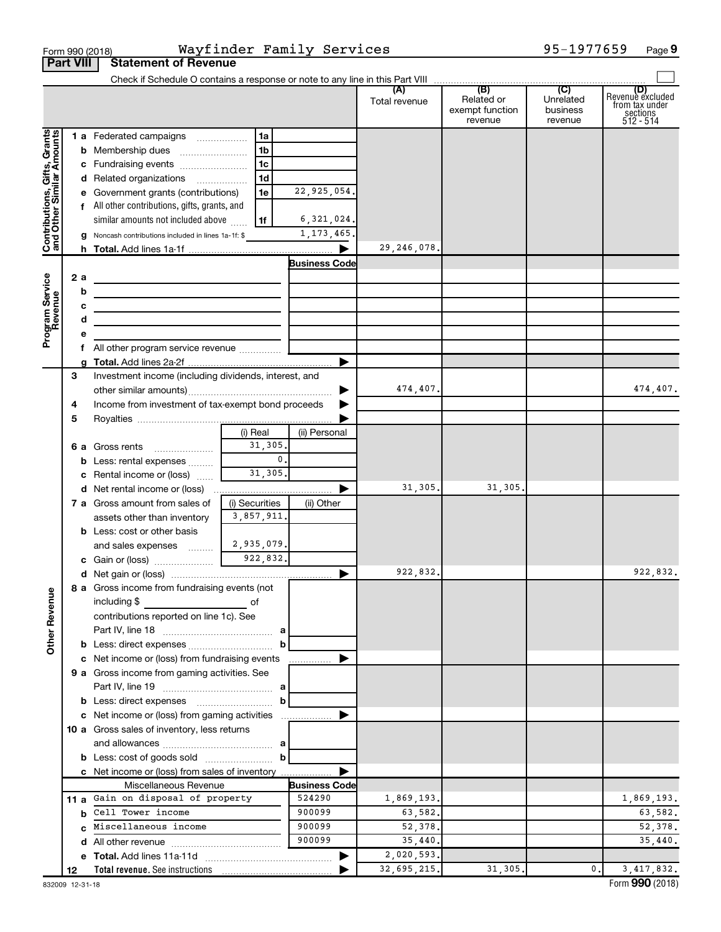|                                                           | <b>Part VIII</b> | <b>Statement of Revenue</b>                                                                                   |                           |                      |                      |                                                 |                                                    |                                                                    |
|-----------------------------------------------------------|------------------|---------------------------------------------------------------------------------------------------------------|---------------------------|----------------------|----------------------|-------------------------------------------------|----------------------------------------------------|--------------------------------------------------------------------|
|                                                           |                  | Check if Schedule O contains a response or note to any line in this Part VIII [[[[[[[[[[[[[[[[[[[[[[[[[[[[[[[ |                           |                      |                      |                                                 |                                                    |                                                                    |
|                                                           |                  |                                                                                                               |                           |                      | (A)<br>Total revenue | (B)<br>Related or<br>exempt function<br>revenue | $\overline{C}$<br>Unrelated<br>business<br>revenue | (D)<br>Revenue excluded<br>from tax under<br>sections<br>512 - 514 |
|                                                           |                  | 1 a Federated campaigns                                                                                       | 1a                        |                      |                      |                                                 |                                                    |                                                                    |
|                                                           |                  |                                                                                                               | 1 <sub>b</sub>            |                      |                      |                                                 |                                                    |                                                                    |
|                                                           |                  | c Fundraising events                                                                                          | 1c                        |                      |                      |                                                 |                                                    |                                                                    |
| Contributions, Gifts, Grants<br>and Other Similar Amounts |                  | d Related organizations                                                                                       | 1d                        |                      |                      |                                                 |                                                    |                                                                    |
|                                                           |                  | e Government grants (contributions)                                                                           | 1e                        | 22,925,054.          |                      |                                                 |                                                    |                                                                    |
|                                                           |                  | f All other contributions, gifts, grants, and                                                                 |                           |                      |                      |                                                 |                                                    |                                                                    |
|                                                           |                  | similar amounts not included above                                                                            | 1f                        | 6,321,024.           |                      |                                                 |                                                    |                                                                    |
|                                                           |                  | g Noncash contributions included in lines 1a-1f: \$                                                           |                           | 1,173,465.           |                      |                                                 |                                                    |                                                                    |
|                                                           |                  |                                                                                                               |                           |                      | 29,246,078.          |                                                 |                                                    |                                                                    |
|                                                           |                  |                                                                                                               |                           | <b>Business Code</b> |                      |                                                 |                                                    |                                                                    |
|                                                           | 2 a              |                                                                                                               |                           |                      |                      |                                                 |                                                    |                                                                    |
|                                                           | b                |                                                                                                               |                           |                      |                      |                                                 |                                                    |                                                                    |
|                                                           | c                |                                                                                                               |                           |                      |                      |                                                 |                                                    |                                                                    |
|                                                           | d                |                                                                                                               |                           |                      |                      |                                                 |                                                    |                                                                    |
| Program Service<br>Revenue                                | е                |                                                                                                               |                           |                      |                      |                                                 |                                                    |                                                                    |
|                                                           | f                | All other program service revenue                                                                             |                           |                      |                      |                                                 |                                                    |                                                                    |
|                                                           | a                |                                                                                                               |                           |                      |                      |                                                 |                                                    |                                                                    |
|                                                           | 3                | Investment income (including dividends, interest, and                                                         |                           |                      |                      |                                                 |                                                    |                                                                    |
|                                                           |                  |                                                                                                               |                           |                      | 474,407.             |                                                 |                                                    | 474,407.                                                           |
|                                                           | 4                | Income from investment of tax-exempt bond proceeds                                                            |                           |                      |                      |                                                 |                                                    |                                                                    |
|                                                           | 5                |                                                                                                               |                           |                      |                      |                                                 |                                                    |                                                                    |
|                                                           |                  |                                                                                                               | (i) Real                  | (ii) Personal        |                      |                                                 |                                                    |                                                                    |
|                                                           |                  | 6 a Gross rents                                                                                               | 31,305.<br>$\mathbf{0}$ . |                      |                      |                                                 |                                                    |                                                                    |
|                                                           | b                | Less: rental expenses                                                                                         |                           |                      |                      |                                                 |                                                    |                                                                    |
|                                                           | c                | Rental income or (loss)                                                                                       | 31,305.                   |                      |                      |                                                 |                                                    |                                                                    |
|                                                           |                  | <b>d</b> Net rental income or (loss)                                                                          |                           |                      | 31,305.              | 31,305.                                         |                                                    |                                                                    |
|                                                           |                  | <b>7 a</b> Gross amount from sales of                                                                         | (i) Securities            | (ii) Other           |                      |                                                 |                                                    |                                                                    |
|                                                           |                  | assets other than inventory                                                                                   | 3,857,911.                |                      |                      |                                                 |                                                    |                                                                    |
|                                                           |                  | <b>b</b> Less: cost or other basis                                                                            |                           |                      |                      |                                                 |                                                    |                                                                    |
|                                                           |                  | and sales expenses                                                                                            | 2,935,079.<br>922,832.    |                      |                      |                                                 |                                                    |                                                                    |
|                                                           |                  |                                                                                                               |                           |                      | 922,832.             |                                                 |                                                    | 922,832.                                                           |
|                                                           |                  | 8 a Gross income from fundraising events (not                                                                 |                           |                      |                      |                                                 |                                                    |                                                                    |
| <b>Other Revenue</b>                                      |                  | including \$                                                                                                  | оf                        |                      |                      |                                                 |                                                    |                                                                    |
|                                                           |                  | contributions reported on line 1c). See                                                                       |                           |                      |                      |                                                 |                                                    |                                                                    |
|                                                           |                  |                                                                                                               |                           |                      |                      |                                                 |                                                    |                                                                    |
|                                                           |                  | <b>b</b> Less: direct expenses $\ldots$                                                                       | b                         |                      |                      |                                                 |                                                    |                                                                    |
|                                                           |                  | c Net income or (loss) from fundraising events                                                                |                           | .                    |                      |                                                 |                                                    |                                                                    |
|                                                           |                  | 9 a Gross income from gaming activities. See                                                                  |                           |                      |                      |                                                 |                                                    |                                                                    |
|                                                           |                  |                                                                                                               |                           |                      |                      |                                                 |                                                    |                                                                    |
|                                                           |                  |                                                                                                               | b                         |                      |                      |                                                 |                                                    |                                                                    |
|                                                           |                  | c Net income or (loss) from gaming activities                                                                 |                           |                      |                      |                                                 |                                                    |                                                                    |
|                                                           |                  | <b>10 a</b> Gross sales of inventory, less returns                                                            |                           |                      |                      |                                                 |                                                    |                                                                    |
|                                                           |                  |                                                                                                               |                           |                      |                      |                                                 |                                                    |                                                                    |
|                                                           |                  |                                                                                                               | b                         |                      |                      |                                                 |                                                    |                                                                    |
|                                                           |                  | c Net income or (loss) from sales of inventory                                                                |                           |                      |                      |                                                 |                                                    |                                                                    |
|                                                           |                  | Miscellaneous Revenue                                                                                         |                           | <b>Business Code</b> |                      |                                                 |                                                    |                                                                    |
|                                                           |                  | 11 a Gain on disposal of property                                                                             |                           | 524290               | 1,869,193.           |                                                 |                                                    | 1,869,193.                                                         |
|                                                           | b                | Cell Tower income                                                                                             |                           | 900099               | 63,582.              |                                                 |                                                    | 63,582.                                                            |
|                                                           |                  | Miscellaneous income                                                                                          |                           | 900099               | 52,378.              |                                                 |                                                    | 52,378.                                                            |
|                                                           | d                |                                                                                                               |                           | 900099               | 35,440.              |                                                 |                                                    | 35,440.                                                            |
|                                                           |                  |                                                                                                               |                           |                      | 2,020,593.           |                                                 |                                                    |                                                                    |
|                                                           | 12               |                                                                                                               |                           |                      | 32,695,215.          | 31,305.                                         | 0.                                                 | 3,417,832.                                                         |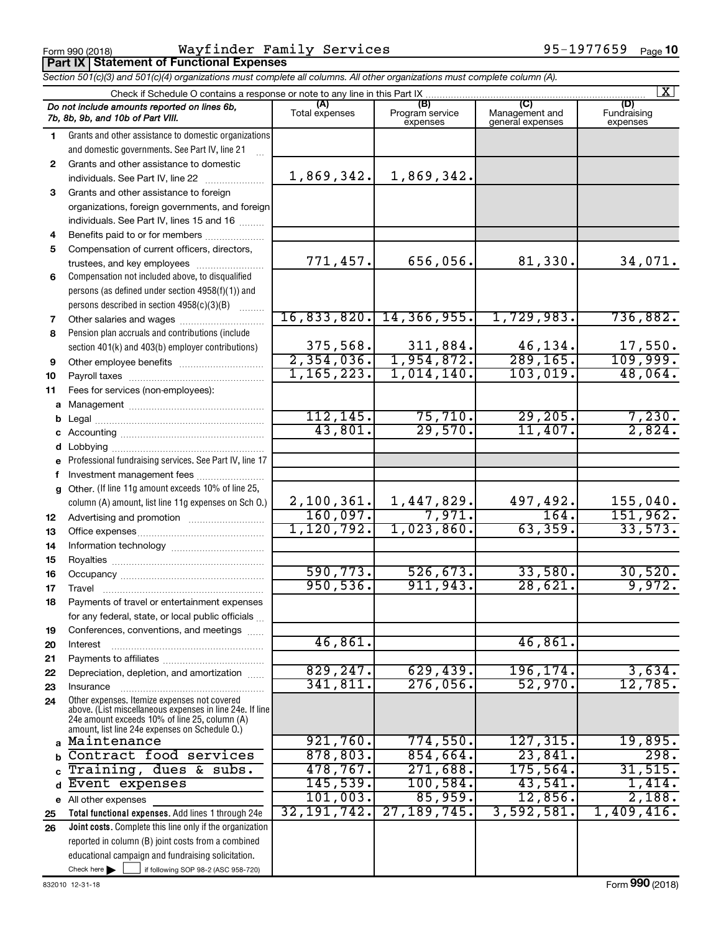Form 990 (2018) Page **Part IX Statement of Functional Expenses** Wayfinder Family Services 95-1977659

| Section 501(c)(3) and 501(c)(4) organizations must complete all columns. All other organizations must complete column (A). |                                                                                                                                                                                                             |                       |                                    |                                    |                                |  |
|----------------------------------------------------------------------------------------------------------------------------|-------------------------------------------------------------------------------------------------------------------------------------------------------------------------------------------------------------|-----------------------|------------------------------------|------------------------------------|--------------------------------|--|
|                                                                                                                            | Check if Schedule O contains a response or note to any line in this Part IX.                                                                                                                                |                       |                                    |                                    | $\mathbf{X}$                   |  |
|                                                                                                                            | Do not include amounts reported on lines 6b,<br>7b, 8b, 9b, and 10b of Part VIII.                                                                                                                           | (A)<br>Total expenses | (B)<br>Program service<br>expenses | Management and<br>general expenses | (D)<br>Fundraising<br>expenses |  |
| 1.                                                                                                                         | Grants and other assistance to domestic organizations<br>and domestic governments. See Part IV, line 21                                                                                                     |                       |                                    |                                    |                                |  |
| 2                                                                                                                          | Grants and other assistance to domestic                                                                                                                                                                     | 1,869,342.            | 1,869,342.                         |                                    |                                |  |
| 3                                                                                                                          | Grants and other assistance to foreign                                                                                                                                                                      |                       |                                    |                                    |                                |  |
|                                                                                                                            | organizations, foreign governments, and foreign                                                                                                                                                             |                       |                                    |                                    |                                |  |
|                                                                                                                            | individuals. See Part IV, lines 15 and 16                                                                                                                                                                   |                       |                                    |                                    |                                |  |
| 4                                                                                                                          | Benefits paid to or for members                                                                                                                                                                             |                       |                                    |                                    |                                |  |
| 5                                                                                                                          | Compensation of current officers, directors,                                                                                                                                                                |                       |                                    |                                    |                                |  |
|                                                                                                                            | trustees, and key employees                                                                                                                                                                                 | 771,457.              | 656,056.                           | 81,330.                            | 34,071.                        |  |
| 6                                                                                                                          | Compensation not included above, to disqualified                                                                                                                                                            |                       |                                    |                                    |                                |  |
|                                                                                                                            | persons (as defined under section 4958(f)(1)) and                                                                                                                                                           |                       |                                    |                                    |                                |  |
|                                                                                                                            | persons described in section 4958(c)(3)(B)                                                                                                                                                                  |                       |                                    |                                    |                                |  |
| 7                                                                                                                          |                                                                                                                                                                                                             |                       | 16,833,820. 14,366,955.            | 1,729,983.                         | 736,882.                       |  |
| 8                                                                                                                          | Pension plan accruals and contributions (include                                                                                                                                                            |                       |                                    |                                    |                                |  |
|                                                                                                                            | section 401(k) and 403(b) employer contributions)                                                                                                                                                           | 375,568.              | 311,884.                           | 46,134.                            | 17,550.                        |  |
| 9                                                                                                                          | Other employee benefits                                                                                                                                                                                     | 2,354,036.            | 1,954,872.                         | 289, 165.                          | 109,999.                       |  |
| 10                                                                                                                         |                                                                                                                                                                                                             | 1, 165, 223.          | 1,014,140.                         | 103,019.                           | 48,064.                        |  |
| 11                                                                                                                         | Fees for services (non-employees):                                                                                                                                                                          |                       |                                    |                                    |                                |  |
|                                                                                                                            |                                                                                                                                                                                                             |                       |                                    |                                    |                                |  |
| b                                                                                                                          |                                                                                                                                                                                                             | 112, 145.             | 75,710.                            | 29,205.                            | 7,230.                         |  |
|                                                                                                                            |                                                                                                                                                                                                             | 43,801.               | 29,570.                            | 11,407.                            | 2,824.                         |  |
|                                                                                                                            |                                                                                                                                                                                                             |                       |                                    |                                    |                                |  |
|                                                                                                                            | e Professional fundraising services. See Part IV, line 17                                                                                                                                                   |                       |                                    |                                    |                                |  |
|                                                                                                                            | f Investment management fees                                                                                                                                                                                |                       |                                    |                                    |                                |  |
|                                                                                                                            | g Other. (If line 11g amount exceeds 10% of line 25,                                                                                                                                                        | 2,100,361.            | 1,447,829.                         | 497,492.                           | 155,040.                       |  |
|                                                                                                                            | column (A) amount, list line 11g expenses on Sch O.)                                                                                                                                                        | 160,097.              | 7,971.                             | 164.                               | 151,962.                       |  |
| 12<br>13                                                                                                                   |                                                                                                                                                                                                             | 1,120,792.            | 1,023,860.                         | 63,359.                            | 33,573.                        |  |
| 14                                                                                                                         |                                                                                                                                                                                                             |                       |                                    |                                    |                                |  |
| 15                                                                                                                         |                                                                                                                                                                                                             |                       |                                    |                                    |                                |  |
| 16                                                                                                                         |                                                                                                                                                                                                             | 590, 773.             | 526, 673.                          | 33,580.                            | 30,520.                        |  |
| 17                                                                                                                         |                                                                                                                                                                                                             | 950,536.              | 911,943.                           | 28,621.                            | 9,972.                         |  |
| 18                                                                                                                         | Payments of travel or entertainment expenses                                                                                                                                                                |                       |                                    |                                    |                                |  |
|                                                                                                                            | for any federal, state, or local public officials                                                                                                                                                           |                       |                                    |                                    |                                |  |
| 19                                                                                                                         | Conferences, conventions, and meetings                                                                                                                                                                      |                       |                                    |                                    |                                |  |
| 20                                                                                                                         | Interest                                                                                                                                                                                                    | 46,861.               |                                    | 46,861.                            |                                |  |
| 21                                                                                                                         |                                                                                                                                                                                                             |                       |                                    |                                    |                                |  |
| 22                                                                                                                         | Depreciation, depletion, and amortization                                                                                                                                                                   | 829, 247.             | 629,439.                           | 196, 174.                          | 3,634.                         |  |
| 23                                                                                                                         | Insurance                                                                                                                                                                                                   | 341,811.              | $276,056$ .                        | 52,970.                            | 12,785.                        |  |
| 24                                                                                                                         | Other expenses. Itemize expenses not covered<br>above. (List miscellaneous expenses in line 24e. If line<br>24e amount exceeds 10% of line 25, column (A)<br>amount, list line 24e expenses on Schedule O.) |                       |                                    |                                    |                                |  |
|                                                                                                                            | Maintenance                                                                                                                                                                                                 | 921,760.              | 774,550.                           | 127, 315.                          | 19,895.                        |  |
|                                                                                                                            | Contract food services                                                                                                                                                                                      | 878,803.              | 854,664.                           | 23,841.                            | 298.                           |  |
|                                                                                                                            | Training, dues & subs.                                                                                                                                                                                      | 478,767.              | 271,688.                           | 175,564.                           | 31,515.                        |  |
| d                                                                                                                          | Event expenses                                                                                                                                                                                              | <u>145,539.</u>       | $100,584$ .                        | 43,541.                            | 1,414.                         |  |
|                                                                                                                            | e All other expenses                                                                                                                                                                                        | 101,003.              | 85,959.                            | 12,856.                            | 2,188.                         |  |
| 25                                                                                                                         | Total functional expenses. Add lines 1 through 24e                                                                                                                                                          | 32, 191, 742.         | 27, 189, 745.                      | 3,592,581.                         | 1,409,416.                     |  |
| 26                                                                                                                         | Joint costs. Complete this line only if the organization                                                                                                                                                    |                       |                                    |                                    |                                |  |
|                                                                                                                            | reported in column (B) joint costs from a combined                                                                                                                                                          |                       |                                    |                                    |                                |  |
|                                                                                                                            | educational campaign and fundraising solicitation.                                                                                                                                                          |                       |                                    |                                    |                                |  |
|                                                                                                                            | Check here $\blacktriangleright$<br>if following SOP 98-2 (ASC 958-720)                                                                                                                                     |                       |                                    |                                    |                                |  |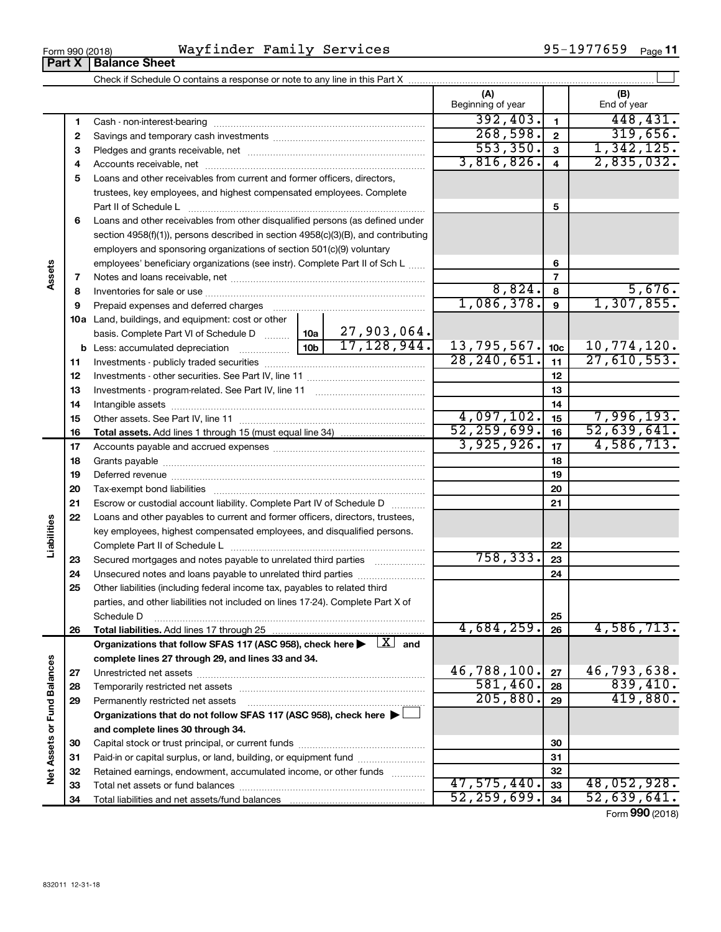| Family Services | 1977659 |
|-----------------|---------|
| Wayfinder       | $QF -$  |
| Form 990 (2018) | Page    |

|                             |    |                                                                                                                                              | (A)<br>Beginning of year |                         | (B)<br>End of year |
|-----------------------------|----|----------------------------------------------------------------------------------------------------------------------------------------------|--------------------------|-------------------------|--------------------|
|                             | 1  |                                                                                                                                              | 392,403.                 | $\mathbf{1}$            | 448,431.           |
|                             | 2  |                                                                                                                                              | 268,598.                 | $\mathbf 2$             | 319,656.           |
|                             | з  |                                                                                                                                              | 553, 350.                | $\mathbf{3}$            | 1,342,125.         |
|                             | 4  |                                                                                                                                              | 3,816,826.               | $\overline{\mathbf{4}}$ | 2,835,032.         |
|                             | 5  | Loans and other receivables from current and former officers, directors,                                                                     |                          |                         |                    |
|                             |    | trustees, key employees, and highest compensated employees. Complete                                                                         |                          |                         |                    |
|                             |    | Part II of Schedule L                                                                                                                        |                          | 5                       |                    |
|                             | 6  | Loans and other receivables from other disqualified persons (as defined under                                                                |                          |                         |                    |
|                             |    | section 4958(f)(1)), persons described in section 4958(c)(3)(B), and contributing                                                            |                          |                         |                    |
|                             |    | employers and sponsoring organizations of section 501(c)(9) voluntary                                                                        |                          |                         |                    |
|                             |    | employees' beneficiary organizations (see instr). Complete Part II of Sch L                                                                  |                          | 6                       |                    |
| Assets                      | 7  |                                                                                                                                              |                          | 7                       |                    |
|                             | 8  |                                                                                                                                              | 8,824.                   | 8                       | 5,676.             |
|                             | 9  | Prepaid expenses and deferred charges                                                                                                        | 1,086,378.               | 9                       | 1,307,855.         |
|                             |    | 10a Land, buildings, and equipment: cost or other                                                                                            |                          |                         |                    |
|                             |    | basis. Complete Part VI of Schedule D    10a   27, 903, 064.                                                                                 |                          |                         |                    |
|                             |    | $\boxed{10b}$ 17, 128, 944.                                                                                                                  | 13, 795, 567.            | 10 <sub>c</sub>         | 10,774,120.        |
|                             | 11 |                                                                                                                                              | 28, 240, 651.            | 11                      | 27,610,553.        |
|                             | 12 |                                                                                                                                              |                          | 12                      |                    |
|                             | 13 |                                                                                                                                              |                          | 13                      |                    |
|                             | 14 |                                                                                                                                              |                          | 14                      |                    |
|                             | 15 |                                                                                                                                              | 4,097,102.               | 15                      | 7,996,193.         |
|                             | 16 |                                                                                                                                              | 52, 259, 699.            | 16                      | 52,639,641.        |
|                             | 17 |                                                                                                                                              | 3,925,926.               | 17                      | 4,586,713.         |
|                             | 18 |                                                                                                                                              |                          | 18                      |                    |
|                             | 19 |                                                                                                                                              |                          | 19                      |                    |
|                             | 20 |                                                                                                                                              |                          | 20                      |                    |
|                             | 21 | Escrow or custodial account liability. Complete Part IV of Schedule D                                                                        |                          | 21                      |                    |
|                             | 22 | Loans and other payables to current and former officers, directors, trustees,                                                                |                          |                         |                    |
|                             |    | key employees, highest compensated employees, and disqualified persons.                                                                      |                          |                         |                    |
| Liabilities                 |    |                                                                                                                                              |                          | 22                      |                    |
|                             | 23 | Secured mortgages and notes payable to unrelated third parties                                                                               | 758,333.                 | 23                      |                    |
|                             | 24 | Unsecured notes and loans payable to unrelated third parties                                                                                 |                          | 24                      |                    |
|                             | 25 | Other liabilities (including federal income tax, payables to related third                                                                   |                          |                         |                    |
|                             |    | parties, and other liabilities not included on lines 17-24). Complete Part X of                                                              |                          |                         |                    |
|                             |    | Schedule D                                                                                                                                   | 4,684,259.               | 25                      | 4,586,713.         |
|                             | 26 | Total liabilities. Add lines 17 through 25<br>Organizations that follow SFAS 117 (ASC 958), check here $\blacktriangleright$ $\boxed{X}$ and |                          | 26                      |                    |
|                             |    | complete lines 27 through 29, and lines 33 and 34.                                                                                           |                          |                         |                    |
|                             | 27 |                                                                                                                                              | 46,788,100.              | 27                      | 46,793,638.        |
|                             | 28 |                                                                                                                                              | 581,460.                 | 28                      | 839,410.           |
|                             | 29 | Permanently restricted net assets                                                                                                            | 205,880.                 | 29                      | 419,880.           |
| Net Assets or Fund Balances |    | Organizations that do not follow SFAS 117 (ASC 958), check here $\blacktriangleright$                                                        |                          |                         |                    |
|                             |    | and complete lines 30 through 34.                                                                                                            |                          |                         |                    |
|                             | 30 |                                                                                                                                              |                          | 30                      |                    |
|                             | 31 | Paid-in or capital surplus, or land, building, or equipment fund                                                                             |                          | 31                      |                    |
|                             | 32 | Retained earnings, endowment, accumulated income, or other funds                                                                             |                          | 32                      |                    |
|                             | 33 | Total net assets or fund balances                                                                                                            | 47,575,440.              | 33                      | 48,052,928.        |
|                             | 34 |                                                                                                                                              | 52, 259, 699.            | 34                      | 52,639,641.        |
|                             |    |                                                                                                                                              |                          |                         |                    |

Form (2018) **990**

 $\overline{\phantom{0}}$ 

**Part X** | Balance Sheet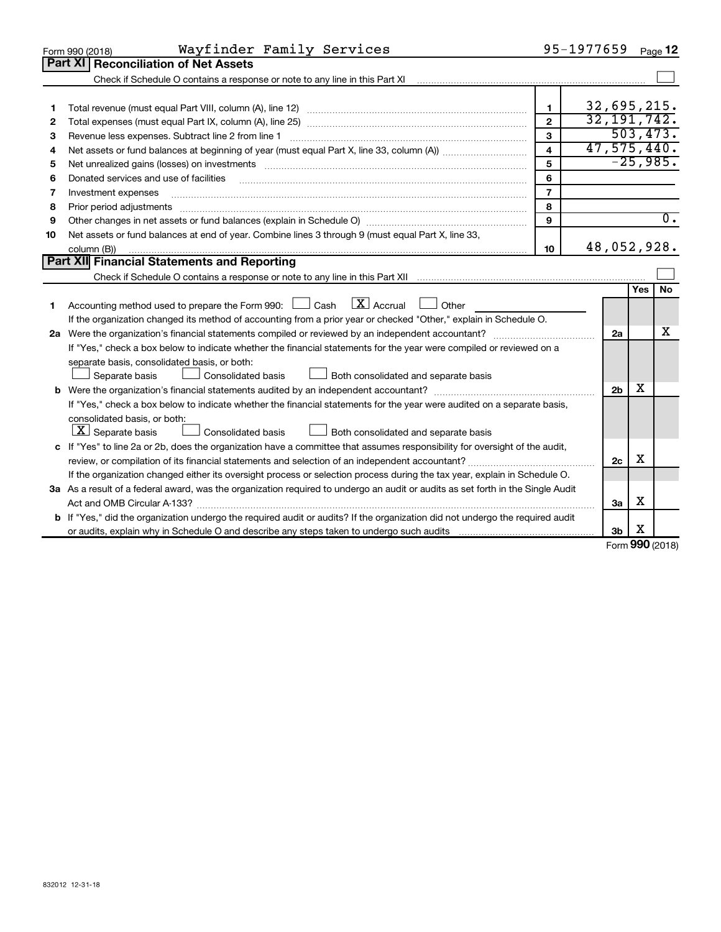|    | Wayfinder Family Services<br>Form 990 (2018)                                                                                                                      |                         | 95-1977659     |     | Page 12          |
|----|-------------------------------------------------------------------------------------------------------------------------------------------------------------------|-------------------------|----------------|-----|------------------|
|    | Part XI<br><b>Reconciliation of Net Assets</b>                                                                                                                    |                         |                |     |                  |
|    | Check if Schedule O contains a response or note to any line in this Part XI [11] [12] Check if Schedule O contains a response or note to any line in this Part XI |                         |                |     |                  |
|    |                                                                                                                                                                   |                         |                |     |                  |
| 1  |                                                                                                                                                                   | 1                       | 32,695,215.    |     |                  |
| 2  |                                                                                                                                                                   | $\overline{2}$          | 32, 191, 742.  |     |                  |
| З  | Revenue less expenses. Subtract line 2 from line 1                                                                                                                | 3                       |                |     | 503, 473.        |
| 4  |                                                                                                                                                                   | $\overline{\mathbf{4}}$ | 47,575,440.    |     |                  |
| 5  |                                                                                                                                                                   | 5                       |                |     | $-25,985.$       |
| 6  | Donated services and use of facilities                                                                                                                            | 6                       |                |     |                  |
| 7  | Investment expenses                                                                                                                                               | $\overline{7}$          |                |     |                  |
| 8  | Prior period adjustments                                                                                                                                          | 8                       |                |     |                  |
| 9  |                                                                                                                                                                   | 9                       |                |     | $\overline{0}$ . |
| 10 | Net assets or fund balances at end of year. Combine lines 3 through 9 (must equal Part X, line 33,                                                                |                         |                |     |                  |
|    | column (B))                                                                                                                                                       | 10                      | 48,052,928.    |     |                  |
|    | Part XII Financial Statements and Reporting                                                                                                                       |                         |                |     |                  |
|    |                                                                                                                                                                   |                         |                |     |                  |
|    |                                                                                                                                                                   |                         |                | Yes | <b>No</b>        |
| 1  | $\boxed{\text{X}}$ Accrual<br>Accounting method used to prepare the Form 990: $\Box$ Cash<br><b>Durier</b>                                                        |                         |                |     |                  |
|    | If the organization changed its method of accounting from a prior year or checked "Other," explain in Schedule O.                                                 |                         |                |     |                  |
|    |                                                                                                                                                                   |                         | 2a             |     | x                |
|    | If "Yes," check a box below to indicate whether the financial statements for the year were compiled or reviewed on a                                              |                         |                |     |                  |
|    | separate basis, consolidated basis, or both:                                                                                                                      |                         |                |     |                  |
|    | Both consolidated and separate basis<br>Consolidated basis<br>Separate basis                                                                                      |                         |                |     |                  |
|    |                                                                                                                                                                   |                         | 2 <sub>b</sub> | х   |                  |
|    | If "Yes," check a box below to indicate whether the financial statements for the year were audited on a separate basis,                                           |                         |                |     |                  |
|    | consolidated basis, or both:                                                                                                                                      |                         |                |     |                  |
|    | $ \mathbf{X} $ Separate basis<br>Consolidated basis<br>Both consolidated and separate basis                                                                       |                         |                |     |                  |
|    | c If "Yes" to line 2a or 2b, does the organization have a committee that assumes responsibility for oversight of the audit,                                       |                         |                |     |                  |
|    | review, or compilation of its financial statements and selection of an independent accountant?                                                                    |                         | 2c             | X   |                  |
|    | If the organization changed either its oversight process or selection process during the tax year, explain in Schedule O.                                         |                         |                |     |                  |
|    | 3a As a result of a federal award, was the organization required to undergo an audit or audits as set forth in the Single Audit                                   |                         |                |     |                  |
|    | Act and OMB Circular A-133?                                                                                                                                       |                         | За             | х   |                  |
|    | b If "Yes," did the organization undergo the required audit or audits? If the organization did not undergo the required audit                                     |                         |                |     |                  |
|    |                                                                                                                                                                   |                         | 3 <sub>b</sub> | X   |                  |

Form (2018) **990**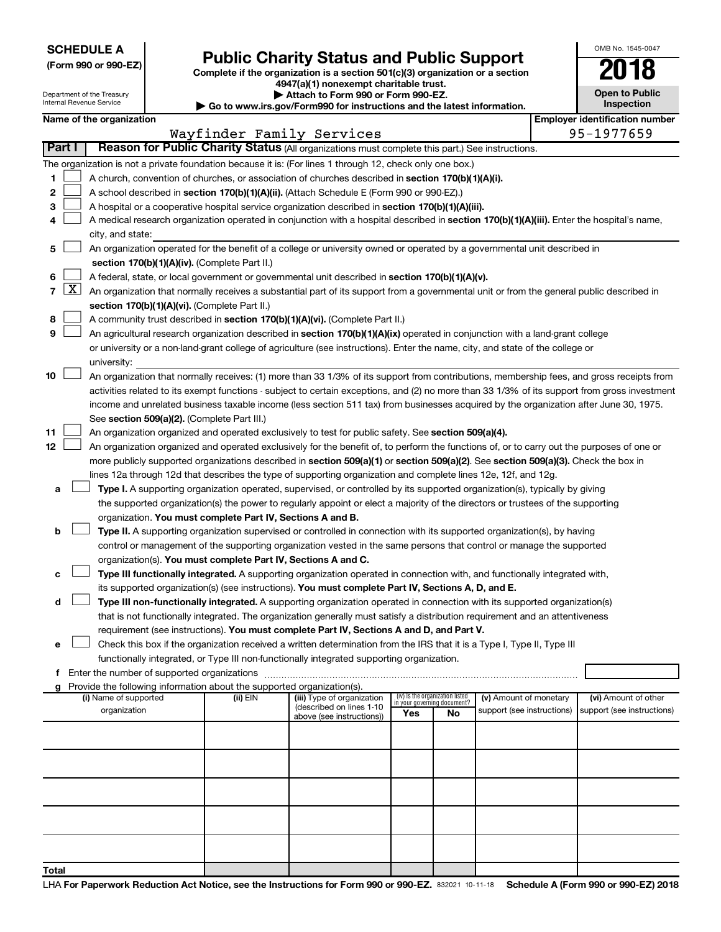**SCHEDULE A**

Department of the Treasury Internal Revenue Service

# Form 990 or 990-EZ) **Public Charity Status and Public Support**<br>
Complete if the organization is a section 501(c)(3) organization or a section<br> **2018**

**4947(a)(1) nonexempt charitable trust.**

**| Attach to Form 990 or Form 990-EZ. | Go to www.irs.gov/Form990 for instructions and the latest information.**

| <b>Open to Public</b><br>Inspection |  |  |  |  |  |  |
|-------------------------------------|--|--|--|--|--|--|
|                                     |  |  |  |  |  |  |

OMB No. 1545-0047

|  |  | Name of the organization |
|--|--|--------------------------|
|--|--|--------------------------|

|       |                                                                                                                                        | Name of the organization                                                                                                                                                              |          |                                                        |                                                                |    |                            |  | <b>Employer identification number</b> |
|-------|----------------------------------------------------------------------------------------------------------------------------------------|---------------------------------------------------------------------------------------------------------------------------------------------------------------------------------------|----------|--------------------------------------------------------|----------------------------------------------------------------|----|----------------------------|--|---------------------------------------|
|       | Wayfinder Family Services<br>Part I<br>Reason for Public Charity Status (All organizations must complete this part.) See instructions. |                                                                                                                                                                                       |          |                                                        |                                                                |    | 95-1977659                 |  |                                       |
|       |                                                                                                                                        |                                                                                                                                                                                       |          |                                                        |                                                                |    |                            |  |                                       |
|       |                                                                                                                                        | The organization is not a private foundation because it is: (For lines 1 through 12, check only one box.)                                                                             |          |                                                        |                                                                |    |                            |  |                                       |
| 1.    |                                                                                                                                        | A church, convention of churches, or association of churches described in section 170(b)(1)(A)(i).                                                                                    |          |                                                        |                                                                |    |                            |  |                                       |
| 2     |                                                                                                                                        | A school described in section 170(b)(1)(A)(ii). (Attach Schedule E (Form 990 or 990-EZ).)                                                                                             |          |                                                        |                                                                |    |                            |  |                                       |
| 3.    |                                                                                                                                        | A hospital or a cooperative hospital service organization described in section 170(b)(1)(A)(iii).                                                                                     |          |                                                        |                                                                |    |                            |  |                                       |
| 4     |                                                                                                                                        | A medical research organization operated in conjunction with a hospital described in section 170(b)(1)(A)(iii). Enter the hospital's name,                                            |          |                                                        |                                                                |    |                            |  |                                       |
|       |                                                                                                                                        | city, and state:                                                                                                                                                                      |          |                                                        |                                                                |    |                            |  |                                       |
| 5     |                                                                                                                                        | An organization operated for the benefit of a college or university owned or operated by a governmental unit described in                                                             |          |                                                        |                                                                |    |                            |  |                                       |
|       |                                                                                                                                        | section 170(b)(1)(A)(iv). (Complete Part II.)                                                                                                                                         |          |                                                        |                                                                |    |                            |  |                                       |
| 6.    |                                                                                                                                        | A federal, state, or local government or governmental unit described in section 170(b)(1)(A)(v).                                                                                      |          |                                                        |                                                                |    |                            |  |                                       |
|       |                                                                                                                                        | 7 $ X $ An organization that normally receives a substantial part of its support from a governmental unit or from the general public described in                                     |          |                                                        |                                                                |    |                            |  |                                       |
|       |                                                                                                                                        | section 170(b)(1)(A)(vi). (Complete Part II.)                                                                                                                                         |          |                                                        |                                                                |    |                            |  |                                       |
| 8     |                                                                                                                                        | A community trust described in section 170(b)(1)(A)(vi). (Complete Part II.)                                                                                                          |          |                                                        |                                                                |    |                            |  |                                       |
| 9     |                                                                                                                                        | An agricultural research organization described in section 170(b)(1)(A)(ix) operated in conjunction with a land-grant college                                                         |          |                                                        |                                                                |    |                            |  |                                       |
|       |                                                                                                                                        | or university or a non-land-grant college of agriculture (see instructions). Enter the name, city, and state of the college or                                                        |          |                                                        |                                                                |    |                            |  |                                       |
|       |                                                                                                                                        | university:                                                                                                                                                                           |          |                                                        |                                                                |    |                            |  |                                       |
| 10    |                                                                                                                                        | An organization that normally receives: (1) more than 33 1/3% of its support from contributions, membership fees, and gross receipts from                                             |          |                                                        |                                                                |    |                            |  |                                       |
|       |                                                                                                                                        | activities related to its exempt functions - subject to certain exceptions, and (2) no more than 33 1/3% of its support from gross investment                                         |          |                                                        |                                                                |    |                            |  |                                       |
|       |                                                                                                                                        | income and unrelated business taxable income (less section 511 tax) from businesses acquired by the organization after June 30, 1975.                                                 |          |                                                        |                                                                |    |                            |  |                                       |
|       |                                                                                                                                        | See section 509(a)(2). (Complete Part III.)                                                                                                                                           |          |                                                        |                                                                |    |                            |  |                                       |
| 11    |                                                                                                                                        | An organization organized and operated exclusively to test for public safety. See section 509(a)(4).                                                                                  |          |                                                        |                                                                |    |                            |  |                                       |
| 12    |                                                                                                                                        | An organization organized and operated exclusively for the benefit of, to perform the functions of, or to carry out the purposes of one or                                            |          |                                                        |                                                                |    |                            |  |                                       |
|       |                                                                                                                                        | more publicly supported organizations described in section 509(a)(1) or section 509(a)(2). See section 509(a)(3). Check the box in                                                    |          |                                                        |                                                                |    |                            |  |                                       |
|       |                                                                                                                                        | lines 12a through 12d that describes the type of supporting organization and complete lines 12e, 12f, and 12g.                                                                        |          |                                                        |                                                                |    |                            |  |                                       |
| а     |                                                                                                                                        | Type I. A supporting organization operated, supervised, or controlled by its supported organization(s), typically by giving                                                           |          |                                                        |                                                                |    |                            |  |                                       |
|       |                                                                                                                                        | the supported organization(s) the power to regularly appoint or elect a majority of the directors or trustees of the supporting                                                       |          |                                                        |                                                                |    |                            |  |                                       |
| b     |                                                                                                                                        | organization. You must complete Part IV, Sections A and B.<br>Type II. A supporting organization supervised or controlled in connection with its supported organization(s), by having |          |                                                        |                                                                |    |                            |  |                                       |
|       |                                                                                                                                        | control or management of the supporting organization vested in the same persons that control or manage the supported                                                                  |          |                                                        |                                                                |    |                            |  |                                       |
|       |                                                                                                                                        | organization(s). You must complete Part IV, Sections A and C.                                                                                                                         |          |                                                        |                                                                |    |                            |  |                                       |
| с     |                                                                                                                                        | Type III functionally integrated. A supporting organization operated in connection with, and functionally integrated with,                                                            |          |                                                        |                                                                |    |                            |  |                                       |
|       |                                                                                                                                        | its supported organization(s) (see instructions). You must complete Part IV, Sections A, D, and E.                                                                                    |          |                                                        |                                                                |    |                            |  |                                       |
| d     |                                                                                                                                        | Type III non-functionally integrated. A supporting organization operated in connection with its supported organization(s)                                                             |          |                                                        |                                                                |    |                            |  |                                       |
|       |                                                                                                                                        | that is not functionally integrated. The organization generally must satisfy a distribution requirement and an attentiveness                                                          |          |                                                        |                                                                |    |                            |  |                                       |
|       |                                                                                                                                        | requirement (see instructions). You must complete Part IV, Sections A and D, and Part V.                                                                                              |          |                                                        |                                                                |    |                            |  |                                       |
|       |                                                                                                                                        | Check this box if the organization received a written determination from the IRS that it is a Type I, Type II, Type III                                                               |          |                                                        |                                                                |    |                            |  |                                       |
|       |                                                                                                                                        | functionally integrated, or Type III non-functionally integrated supporting organization.                                                                                             |          |                                                        |                                                                |    |                            |  |                                       |
|       |                                                                                                                                        | f Enter the number of supported organizations                                                                                                                                         |          |                                                        |                                                                |    |                            |  |                                       |
|       |                                                                                                                                        | g Provide the following information about the supported organization(s).                                                                                                              |          |                                                        |                                                                |    |                            |  |                                       |
|       |                                                                                                                                        | (i) Name of supported                                                                                                                                                                 | (ii) EIN | (iii) Type of organization<br>(described on lines 1-10 | (iv) Is the organization listed<br>in your governing document? |    | (v) Amount of monetary     |  | (vi) Amount of other                  |
|       |                                                                                                                                        | organization                                                                                                                                                                          |          | above (see instructions))                              | Yes                                                            | No | support (see instructions) |  | support (see instructions)            |
|       |                                                                                                                                        |                                                                                                                                                                                       |          |                                                        |                                                                |    |                            |  |                                       |
|       |                                                                                                                                        |                                                                                                                                                                                       |          |                                                        |                                                                |    |                            |  |                                       |
|       |                                                                                                                                        |                                                                                                                                                                                       |          |                                                        |                                                                |    |                            |  |                                       |
|       |                                                                                                                                        |                                                                                                                                                                                       |          |                                                        |                                                                |    |                            |  |                                       |
|       |                                                                                                                                        |                                                                                                                                                                                       |          |                                                        |                                                                |    |                            |  |                                       |
|       |                                                                                                                                        |                                                                                                                                                                                       |          |                                                        |                                                                |    |                            |  |                                       |
|       |                                                                                                                                        |                                                                                                                                                                                       |          |                                                        |                                                                |    |                            |  |                                       |
|       |                                                                                                                                        |                                                                                                                                                                                       |          |                                                        |                                                                |    |                            |  |                                       |
|       |                                                                                                                                        |                                                                                                                                                                                       |          |                                                        |                                                                |    |                            |  |                                       |
| Total |                                                                                                                                        |                                                                                                                                                                                       |          |                                                        |                                                                |    |                            |  |                                       |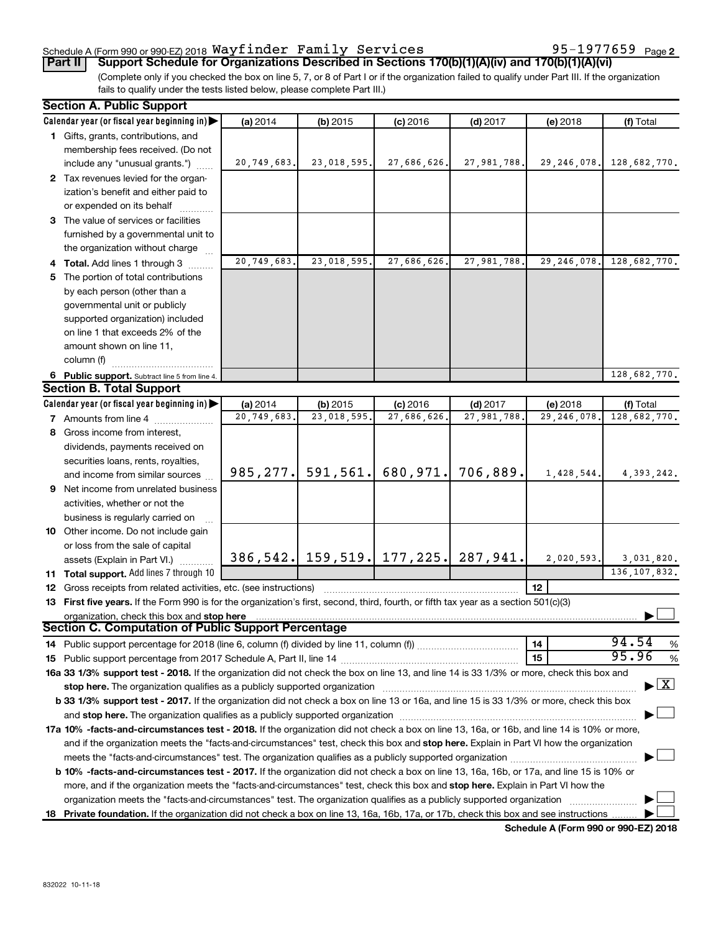#### Schedule A (Form 990 or 990-EZ) 2018  $\mathtt{Wayfinder}$   $\mathtt{Family}$   $\mathtt{Services}$  95-1977659  $\mathtt{Page}$

(Complete only if you checked the box on line 5, 7, or 8 of Part I or if the organization failed to qualify under Part III. If the organization **Part II Support Schedule for Organizations Described in Sections 170(b)(1)(A)(iv) and 170(b)(1)(A)(vi)**

fails to qualify under the tests listed below, please complete Part III.)

| <b>Section A. Public Support</b> |                                                                                                                                                                                                                                |               |                       |                                         |             |                 |                                          |
|----------------------------------|--------------------------------------------------------------------------------------------------------------------------------------------------------------------------------------------------------------------------------|---------------|-----------------------|-----------------------------------------|-------------|-----------------|------------------------------------------|
|                                  | Calendar year (or fiscal year beginning in)                                                                                                                                                                                    | (a) 2014      | $(b)$ 2015            | $(c)$ 2016                              | $(d)$ 2017  | (e) 2018        | (f) Total                                |
|                                  | 1 Gifts, grants, contributions, and                                                                                                                                                                                            |               |                       |                                         |             |                 |                                          |
|                                  | membership fees received. (Do not                                                                                                                                                                                              |               |                       |                                         |             |                 |                                          |
|                                  | include any "unusual grants.")                                                                                                                                                                                                 | 20, 749, 683. | 23,018,595.           | 27,686,626.                             | 27,981,788. |                 | 29, 246, 078. 128, 682, 770.             |
|                                  | 2 Tax revenues levied for the organ-                                                                                                                                                                                           |               |                       |                                         |             |                 |                                          |
|                                  | ization's benefit and either paid to                                                                                                                                                                                           |               |                       |                                         |             |                 |                                          |
|                                  | or expended on its behalf                                                                                                                                                                                                      |               |                       |                                         |             |                 |                                          |
|                                  | 3 The value of services or facilities                                                                                                                                                                                          |               |                       |                                         |             |                 |                                          |
|                                  | furnished by a governmental unit to                                                                                                                                                                                            |               |                       |                                         |             |                 |                                          |
|                                  | the organization without charge                                                                                                                                                                                                |               |                       |                                         |             |                 |                                          |
|                                  | 4 Total. Add lines 1 through 3                                                                                                                                                                                                 | 20,749,683.   | 23,018,595.           | 27,686,626.                             | 27,981,788. |                 | 29, 246, 078. 128, 682, 770.             |
| 5.                               | The portion of total contributions                                                                                                                                                                                             |               |                       |                                         |             |                 |                                          |
|                                  | by each person (other than a                                                                                                                                                                                                   |               |                       |                                         |             |                 |                                          |
|                                  | governmental unit or publicly                                                                                                                                                                                                  |               |                       |                                         |             |                 |                                          |
|                                  | supported organization) included                                                                                                                                                                                               |               |                       |                                         |             |                 |                                          |
|                                  | on line 1 that exceeds 2% of the                                                                                                                                                                                               |               |                       |                                         |             |                 |                                          |
|                                  | amount shown on line 11,                                                                                                                                                                                                       |               |                       |                                         |             |                 |                                          |
|                                  | column (f)                                                                                                                                                                                                                     |               |                       |                                         |             |                 |                                          |
|                                  | 6 Public support. Subtract line 5 from line 4.                                                                                                                                                                                 |               |                       |                                         |             |                 | 128.682.770.                             |
|                                  | <b>Section B. Total Support</b>                                                                                                                                                                                                |               |                       |                                         |             |                 |                                          |
|                                  | Calendar year (or fiscal year beginning in)                                                                                                                                                                                    | (a) 2014      | (b) 2015              | $(c)$ 2016                              | $(d)$ 2017  | $(e)$ 2018      | (f) Total                                |
|                                  | 7 Amounts from line 4                                                                                                                                                                                                          | 20,749,683.   | 23,018,595.           | 27,686,626.                             | 27,981,788. | 29, 246, 078.   | 128,682,770.                             |
|                                  | 8 Gross income from interest,                                                                                                                                                                                                  |               |                       |                                         |             |                 |                                          |
|                                  | dividends, payments received on                                                                                                                                                                                                |               |                       |                                         |             |                 |                                          |
|                                  | securities loans, rents, royalties,                                                                                                                                                                                            |               |                       |                                         |             |                 |                                          |
|                                  | and income from similar sources                                                                                                                                                                                                |               | $985, 277.$ 591, 561. | 680, 971.                               | 706,889.    | 1,428,544.      | 4,393,242.                               |
|                                  | <b>9</b> Net income from unrelated business                                                                                                                                                                                    |               |                       |                                         |             |                 |                                          |
|                                  | activities, whether or not the                                                                                                                                                                                                 |               |                       |                                         |             |                 |                                          |
|                                  | business is regularly carried on                                                                                                                                                                                               |               |                       |                                         |             |                 |                                          |
|                                  | 10 Other income. Do not include gain                                                                                                                                                                                           |               |                       |                                         |             |                 |                                          |
|                                  | or loss from the sale of capital                                                                                                                                                                                               |               |                       |                                         |             |                 |                                          |
|                                  | assets (Explain in Part VI.)                                                                                                                                                                                                   |               |                       | 386, 542. 159, 519. 177, 225. 287, 941. |             | 2,020,593.      | 3,031,820.                               |
|                                  | 11 Total support. Add lines 7 through 10                                                                                                                                                                                       |               |                       |                                         |             |                 | 136, 107, 832.                           |
|                                  | <b>12</b> Gross receipts from related activities, etc. (see instructions)                                                                                                                                                      |               |                       |                                         |             | 12 <sup>2</sup> |                                          |
|                                  | 13 First five years. If the Form 990 is for the organization's first, second, third, fourth, or fifth tax year as a section 501(c)(3)                                                                                          |               |                       |                                         |             |                 |                                          |
|                                  | organization, check this box and stop here                                                                                                                                                                                     |               |                       |                                         |             |                 |                                          |
|                                  | Section C. Computation of Public Support Percentage                                                                                                                                                                            |               |                       |                                         |             |                 |                                          |
|                                  | 14 Public support percentage for 2018 (line 6, column (f) divided by line 11, column (f) <i>mummumumum</i>                                                                                                                     |               |                       |                                         |             | 14              | 94.54<br>$\%$                            |
|                                  |                                                                                                                                                                                                                                |               |                       |                                         |             | 15              | 95.96<br>%                               |
|                                  | 16a 33 1/3% support test - 2018. If the organization did not check the box on line 13, and line 14 is 33 1/3% or more, check this box and                                                                                      |               |                       |                                         |             |                 |                                          |
|                                  | stop here. The organization qualifies as a publicly supported organization [11] manuscription manuscription manuscription manuscription manuscription manuscription manuscription of the state of the state of the state of th |               |                       |                                         |             |                 | $\blacktriangleright$ $\boxed{\text{X}}$ |
|                                  | b 33 1/3% support test - 2017. If the organization did not check a box on line 13 or 16a, and line 15 is 33 1/3% or more, check this box                                                                                       |               |                       |                                         |             |                 |                                          |
|                                  |                                                                                                                                                                                                                                |               |                       |                                         |             |                 |                                          |
|                                  | 17a 10% -facts-and-circumstances test - 2018. If the organization did not check a box on line 13, 16a, or 16b, and line 14 is 10% or more,                                                                                     |               |                       |                                         |             |                 |                                          |
|                                  | and if the organization meets the "facts-and-circumstances" test, check this box and stop here. Explain in Part VI how the organization                                                                                        |               |                       |                                         |             |                 |                                          |
|                                  |                                                                                                                                                                                                                                |               |                       |                                         |             |                 |                                          |
|                                  | b 10% -facts-and-circumstances test - 2017. If the organization did not check a box on line 13, 16a, 16b, or 17a, and line 15 is 10% or                                                                                        |               |                       |                                         |             |                 |                                          |
|                                  | more, and if the organization meets the "facts-and-circumstances" test, check this box and stop here. Explain in Part VI how the                                                                                               |               |                       |                                         |             |                 |                                          |
|                                  |                                                                                                                                                                                                                                |               |                       |                                         |             |                 |                                          |
|                                  | 18 Private foundation. If the organization did not check a box on line 13, 16a, 16b, 17a, or 17b, check this box and see instructions                                                                                          |               |                       |                                         |             |                 |                                          |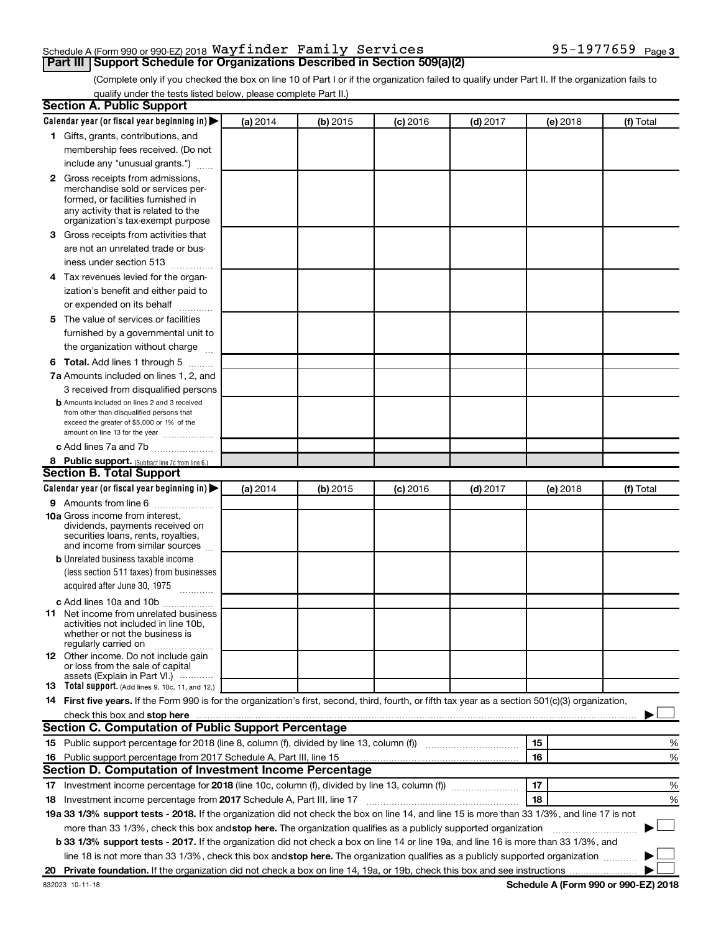### Schedule A (Form 990 or 990-EZ) 2018  $\mathtt{Wayfinder}$   $\mathtt{Family}$   $\mathtt{Services}$  95-1977659  $\mathtt{Page}$

(Complete only if you checked the box on line 10 of Part I or if the organization failed to qualify under Part II. If the organization fails to **Part III | Support Schedule for Organizations Described in Section 509(a)(2)** 

qualify under the tests listed below, please complete Part II.)

| <b>Section A. Public Support</b>                                                                                                                                                                                                         |          |          |            |            |          |           |
|------------------------------------------------------------------------------------------------------------------------------------------------------------------------------------------------------------------------------------------|----------|----------|------------|------------|----------|-----------|
| Calendar year (or fiscal year beginning in) $\blacktriangleright$                                                                                                                                                                        | (a) 2014 | (b) 2015 | $(c)$ 2016 | $(d)$ 2017 | (e) 2018 | (f) Total |
| 1 Gifts, grants, contributions, and                                                                                                                                                                                                      |          |          |            |            |          |           |
| membership fees received. (Do not                                                                                                                                                                                                        |          |          |            |            |          |           |
| include any "unusual grants.")                                                                                                                                                                                                           |          |          |            |            |          |           |
| <b>2</b> Gross receipts from admissions,                                                                                                                                                                                                 |          |          |            |            |          |           |
| merchandise sold or services per-                                                                                                                                                                                                        |          |          |            |            |          |           |
| formed, or facilities furnished in                                                                                                                                                                                                       |          |          |            |            |          |           |
| any activity that is related to the<br>organization's tax-exempt purpose                                                                                                                                                                 |          |          |            |            |          |           |
| 3 Gross receipts from activities that                                                                                                                                                                                                    |          |          |            |            |          |           |
| are not an unrelated trade or bus-                                                                                                                                                                                                       |          |          |            |            |          |           |
| iness under section 513                                                                                                                                                                                                                  |          |          |            |            |          |           |
| 4 Tax revenues levied for the organ-                                                                                                                                                                                                     |          |          |            |            |          |           |
| ization's benefit and either paid to                                                                                                                                                                                                     |          |          |            |            |          |           |
| or expended on its behalf                                                                                                                                                                                                                |          |          |            |            |          |           |
| .<br>5 The value of services or facilities                                                                                                                                                                                               |          |          |            |            |          |           |
| furnished by a governmental unit to                                                                                                                                                                                                      |          |          |            |            |          |           |
| the organization without charge                                                                                                                                                                                                          |          |          |            |            |          |           |
|                                                                                                                                                                                                                                          |          |          |            |            |          |           |
| <b>6 Total.</b> Add lines 1 through 5                                                                                                                                                                                                    |          |          |            |            |          |           |
| 7a Amounts included on lines 1, 2, and                                                                                                                                                                                                   |          |          |            |            |          |           |
| 3 received from disqualified persons                                                                                                                                                                                                     |          |          |            |            |          |           |
| <b>b</b> Amounts included on lines 2 and 3 received<br>from other than disqualified persons that                                                                                                                                         |          |          |            |            |          |           |
| exceed the greater of \$5,000 or 1% of the                                                                                                                                                                                               |          |          |            |            |          |           |
| amount on line 13 for the year                                                                                                                                                                                                           |          |          |            |            |          |           |
| c Add lines 7a and 7b                                                                                                                                                                                                                    |          |          |            |            |          |           |
| 8 Public support. (Subtract line 7c from line 6.)                                                                                                                                                                                        |          |          |            |            |          |           |
| <b>Section B. Total Support</b>                                                                                                                                                                                                          |          |          |            |            |          |           |
| Calendar year (or fiscal year beginning in) $\blacktriangleright$                                                                                                                                                                        | (a) 2014 | (b) 2015 | (c) 2016   | $(d)$ 2017 | (e) 2018 | (f) Total |
| <b>9</b> Amounts from line 6                                                                                                                                                                                                             |          |          |            |            |          |           |
| <b>10a</b> Gross income from interest,<br>dividends, payments received on                                                                                                                                                                |          |          |            |            |          |           |
| securities loans, rents, royalties,                                                                                                                                                                                                      |          |          |            |            |          |           |
| and income from similar sources                                                                                                                                                                                                          |          |          |            |            |          |           |
| <b>b</b> Unrelated business taxable income                                                                                                                                                                                               |          |          |            |            |          |           |
| (less section 511 taxes) from businesses                                                                                                                                                                                                 |          |          |            |            |          |           |
| acquired after June 30, 1975                                                                                                                                                                                                             |          |          |            |            |          |           |
| c Add lines 10a and 10b                                                                                                                                                                                                                  |          |          |            |            |          |           |
| <b>11</b> Net income from unrelated business                                                                                                                                                                                             |          |          |            |            |          |           |
| activities not included in line 10b.                                                                                                                                                                                                     |          |          |            |            |          |           |
| whether or not the business is<br>regularly carried on                                                                                                                                                                                   |          |          |            |            |          |           |
| 12 Other income. Do not include gain                                                                                                                                                                                                     |          |          |            |            |          |           |
| or loss from the sale of capital                                                                                                                                                                                                         |          |          |            |            |          |           |
| assets (Explain in Part VI.)<br><b>13</b> Total support. (Add lines 9, 10c, 11, and 12.)                                                                                                                                                 |          |          |            |            |          |           |
| 14 First five years. If the Form 990 is for the organization's first, second, third, fourth, or fifth tax year as a section 501(c)(3) organization,                                                                                      |          |          |            |            |          |           |
| check this box and stop here <b>construction and construction</b> and check this box and stop here <b>construction</b> and construction and construction and construction and construction and construction and construction and constru |          |          |            |            |          |           |
| Section C. Computation of Public Support Percentage                                                                                                                                                                                      |          |          |            |            |          |           |
| 15 Public support percentage for 2018 (line 8, column (f), divided by line 13, column (f) <i>manumeronominium</i>                                                                                                                        |          |          |            |            | 15       | %         |
| 16 Public support percentage from 2017 Schedule A, Part III, line 15                                                                                                                                                                     |          |          |            |            | 16       | %         |
| Section D. Computation of Investment Income Percentage                                                                                                                                                                                   |          |          |            |            |          |           |
| 17 Investment income percentage for 2018 (line 10c, column (f), divided by line 13, column (f))                                                                                                                                          |          |          |            |            | 17       | %         |
| 18 Investment income percentage from 2017 Schedule A, Part III, line 17                                                                                                                                                                  |          |          |            |            | 18       | %         |
| 19a 33 1/3% support tests - 2018. If the organization did not check the box on line 14, and line 15 is more than 33 1/3%, and line 17 is not                                                                                             |          |          |            |            |          |           |
| more than 33 1/3%, check this box and stop here. The organization qualifies as a publicly supported organization                                                                                                                         |          |          |            |            |          |           |
| <b>b 33 1/3% support tests - 2017.</b> If the organization did not check a box on line 14 or line 19a, and line 16 is more than 33 1/3%, and                                                                                             |          |          |            |            |          |           |
| line 18 is not more than 33 1/3%, check this box and stop here. The organization qualifies as a publicly supported organization                                                                                                          |          |          |            |            |          |           |
|                                                                                                                                                                                                                                          |          |          |            |            |          |           |
|                                                                                                                                                                                                                                          |          |          |            |            |          |           |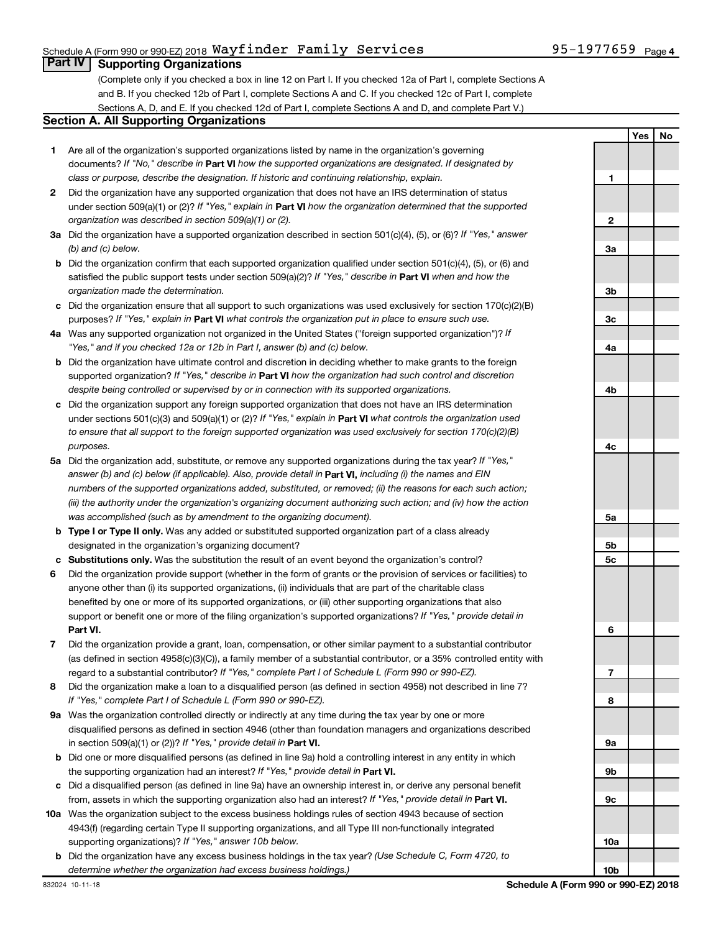## Schedule A (Form 990 or 990-EZ) 2018  $\mathtt{Wayfinder}$   $\mathtt{Family}$   $\mathtt{Services}$  95-1977659  $\mathtt{Page}$

## **Part IV Supporting Organizations**

(Complete only if you checked a box in line 12 on Part I. If you checked 12a of Part I, complete Sections A and B. If you checked 12b of Part I, complete Sections A and C. If you checked 12c of Part I, complete Sections A, D, and E. If you checked 12d of Part I, complete Sections A and D, and complete Part V.)

#### **Section A. All Supporting Organizations**

- **1** Are all of the organization's supported organizations listed by name in the organization's governing documents? If "No," describe in Part VI how the supported organizations are designated. If designated by *class or purpose, describe the designation. If historic and continuing relationship, explain.*
- **2** Did the organization have any supported organization that does not have an IRS determination of status under section 509(a)(1) or (2)? If "Yes," explain in Part **VI** how the organization determined that the supported *organization was described in section 509(a)(1) or (2).*
- **3a** Did the organization have a supported organization described in section 501(c)(4), (5), or (6)? If "Yes," answer *(b) and (c) below.*
- **b** Did the organization confirm that each supported organization qualified under section 501(c)(4), (5), or (6) and satisfied the public support tests under section 509(a)(2)? If "Yes," describe in Part VI when and how the *organization made the determination.*
- **c** Did the organization ensure that all support to such organizations was used exclusively for section 170(c)(2)(B) purposes? If "Yes," explain in Part VI what controls the organization put in place to ensure such use.
- **4 a** *If* Was any supported organization not organized in the United States ("foreign supported organization")? *"Yes," and if you checked 12a or 12b in Part I, answer (b) and (c) below.*
- **b** Did the organization have ultimate control and discretion in deciding whether to make grants to the foreign supported organization? If "Yes," describe in Part VI how the organization had such control and discretion *despite being controlled or supervised by or in connection with its supported organizations.*
- **c** Did the organization support any foreign supported organization that does not have an IRS determination under sections 501(c)(3) and 509(a)(1) or (2)? If "Yes," explain in Part VI what controls the organization used *to ensure that all support to the foreign supported organization was used exclusively for section 170(c)(2)(B) purposes.*
- **5a** Did the organization add, substitute, or remove any supported organizations during the tax year? If "Yes," answer (b) and (c) below (if applicable). Also, provide detail in **Part VI,** including (i) the names and EIN *numbers of the supported organizations added, substituted, or removed; (ii) the reasons for each such action; (iii) the authority under the organization's organizing document authorizing such action; and (iv) how the action was accomplished (such as by amendment to the organizing document).*
- **b** Type I or Type II only. Was any added or substituted supported organization part of a class already designated in the organization's organizing document?
- **c Substitutions only.**  Was the substitution the result of an event beyond the organization's control?
- **6** Did the organization provide support (whether in the form of grants or the provision of services or facilities) to **Part VI.** support or benefit one or more of the filing organization's supported organizations? If "Yes," provide detail in anyone other than (i) its supported organizations, (ii) individuals that are part of the charitable class benefited by one or more of its supported organizations, or (iii) other supporting organizations that also
- **7** Did the organization provide a grant, loan, compensation, or other similar payment to a substantial contributor regard to a substantial contributor? If "Yes," complete Part I of Schedule L (Form 990 or 990-EZ). (as defined in section 4958(c)(3)(C)), a family member of a substantial contributor, or a 35% controlled entity with
- **8** Did the organization make a loan to a disqualified person (as defined in section 4958) not described in line 7? *If "Yes," complete Part I of Schedule L (Form 990 or 990-EZ).*
- **9 a** Was the organization controlled directly or indirectly at any time during the tax year by one or more in section 509(a)(1) or (2))? If "Yes," provide detail in **Part VI.** disqualified persons as defined in section 4946 (other than foundation managers and organizations described
- **b** Did one or more disqualified persons (as defined in line 9a) hold a controlling interest in any entity in which the supporting organization had an interest? If "Yes," provide detail in Part VI.
- **c** Did a disqualified person (as defined in line 9a) have an ownership interest in, or derive any personal benefit from, assets in which the supporting organization also had an interest? If "Yes," provide detail in Part VI.
- **10 a** Was the organization subject to the excess business holdings rules of section 4943 because of section supporting organizations)? If "Yes," answer 10b below. 4943(f) (regarding certain Type II supporting organizations, and all Type III non-functionally integrated
	- **b** Did the organization have any excess business holdings in the tax year? (Use Schedule C, Form 4720, to *determine whether the organization had excess business holdings.)*

**Yes No 1 2 3a 3b 3c 4a 4b 4c 5a 5b 5c 6 7 8 9a 9b 9c 10a 10b**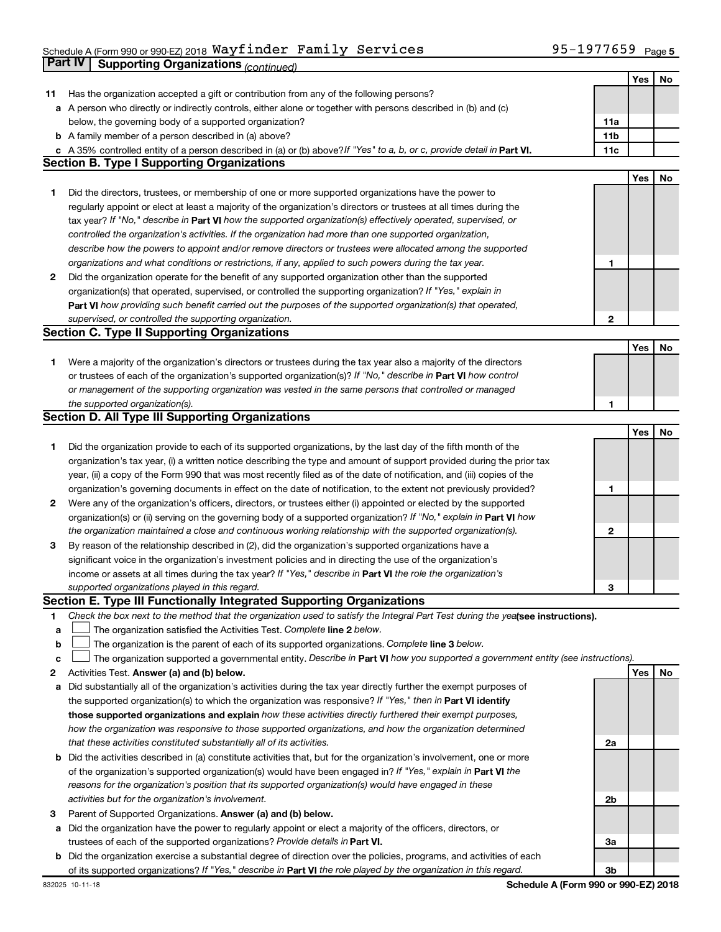# Schedule A (Form 990 or 990-EZ) 2018  $\mathtt{Wayfinder}$   $\mathtt{Family}$   $\mathtt{Services}$  95-1977659  $\mathtt{Page}$ **Part IV** Supporting Organizations *(continued)*

|    |                                                                                                                                 |              | Yes | No |
|----|---------------------------------------------------------------------------------------------------------------------------------|--------------|-----|----|
| 11 | Has the organization accepted a gift or contribution from any of the following persons?                                         |              |     |    |
|    | a A person who directly or indirectly controls, either alone or together with persons described in (b) and (c)                  |              |     |    |
|    | below, the governing body of a supported organization?                                                                          | 11a          |     |    |
|    | <b>b</b> A family member of a person described in (a) above?                                                                    | 11b          |     |    |
| с  | A 35% controlled entity of a person described in (a) or (b) above? If "Yes" to a, b, or c, provide detail in Part VI.           | 11c          |     |    |
|    | <b>Section B. Type I Supporting Organizations</b>                                                                               |              |     |    |
|    |                                                                                                                                 |              | Yes | No |
| 1  | Did the directors, trustees, or membership of one or more supported organizations have the power to                             |              |     |    |
|    | regularly appoint or elect at least a majority of the organization's directors or trustees at all times during the              |              |     |    |
|    | tax year? If "No," describe in Part VI how the supported organization(s) effectively operated, supervised, or                   |              |     |    |
|    |                                                                                                                                 |              |     |    |
|    | controlled the organization's activities. If the organization had more than one supported organization,                         |              |     |    |
|    | describe how the powers to appoint and/or remove directors or trustees were allocated among the supported                       |              |     |    |
|    | organizations and what conditions or restrictions, if any, applied to such powers during the tax year.                          | 1            |     |    |
| 2  | Did the organization operate for the benefit of any supported organization other than the supported                             |              |     |    |
|    | organization(s) that operated, supervised, or controlled the supporting organization? If "Yes," explain in                      |              |     |    |
|    | Part VI how providing such benefit carried out the purposes of the supported organization(s) that operated,                     |              |     |    |
|    | supervised, or controlled the supporting organization.                                                                          | $\mathbf{2}$ |     |    |
|    | <b>Section C. Type II Supporting Organizations</b>                                                                              |              |     |    |
|    |                                                                                                                                 |              | Yes | No |
| 1  | Were a majority of the organization's directors or trustees during the tax year also a majority of the directors                |              |     |    |
|    | or trustees of each of the organization's supported organization(s)? If "No," describe in Part VI how control                   |              |     |    |
|    | or management of the supporting organization was vested in the same persons that controlled or managed                          |              |     |    |
|    | the supported organization(s).                                                                                                  | 1            |     |    |
|    | <b>Section D. All Type III Supporting Organizations</b>                                                                         |              |     |    |
|    |                                                                                                                                 |              | Yes | No |
| 1  | Did the organization provide to each of its supported organizations, by the last day of the fifth month of the                  |              |     |    |
|    | organization's tax year, (i) a written notice describing the type and amount of support provided during the prior tax           |              |     |    |
|    | year, (ii) a copy of the Form 990 that was most recently filed as of the date of notification, and (iii) copies of the          |              |     |    |
|    | organization's governing documents in effect on the date of notification, to the extent not previously provided?                | 1            |     |    |
| 2  | Were any of the organization's officers, directors, or trustees either (i) appointed or elected by the supported                |              |     |    |
|    | organization(s) or (ii) serving on the governing body of a supported organization? If "No," explain in Part VI how              |              |     |    |
|    | the organization maintained a close and continuous working relationship with the supported organization(s).                     | 2            |     |    |
| 3  | By reason of the relationship described in (2), did the organization's supported organizations have a                           |              |     |    |
|    | significant voice in the organization's investment policies and in directing the use of the organization's                      |              |     |    |
|    | income or assets at all times during the tax year? If "Yes," describe in Part VI the role the organization's                    |              |     |    |
|    | supported organizations played in this regard.                                                                                  | З            |     |    |
|    | <b>Section E. Type III Functionally Integrated Supporting Organizations</b>                                                     |              |     |    |
|    | Check the box next to the method that the organization used to satisfy the Integral Part Test during the yealsee instructions). |              |     |    |
| 1  |                                                                                                                                 |              |     |    |
| а  | The organization satisfied the Activities Test. Complete line 2 below.                                                          |              |     |    |
| b  | The organization is the parent of each of its supported organizations. Complete line 3 below.                                   |              |     |    |
| с  | The organization supported a governmental entity. Describe in Part VI how you supported a government entity (see instructions). |              |     |    |
| 2  | Activities Test. Answer (a) and (b) below.                                                                                      |              | Yes | No |
| а  | Did substantially all of the organization's activities during the tax year directly further the exempt purposes of              |              |     |    |
|    | the supported organization(s) to which the organization was responsive? If "Yes," then in Part VI identify                      |              |     |    |
|    | those supported organizations and explain how these activities directly furthered their exempt purposes,                        |              |     |    |
|    | how the organization was responsive to those supported organizations, and how the organization determined                       |              |     |    |
|    | that these activities constituted substantially all of its activities.                                                          | 2a           |     |    |
| b  | Did the activities described in (a) constitute activities that, but for the organization's involvement, one or more             |              |     |    |
|    | of the organization's supported organization(s) would have been engaged in? If "Yes," explain in Part VI the                    |              |     |    |
|    | reasons for the organization's position that its supported organization(s) would have engaged in these                          |              |     |    |
|    | activities but for the organization's involvement.                                                                              | 2b           |     |    |
| З  | Parent of Supported Organizations. Answer (a) and (b) below.                                                                    |              |     |    |
| а  | Did the organization have the power to regularly appoint or elect a majority of the officers, directors, or                     |              |     |    |
|    | trustees of each of the supported organizations? Provide details in Part VI.                                                    | За           |     |    |
| b  | Did the organization exercise a substantial degree of direction over the policies, programs, and activities of each             |              |     |    |
|    | of its supported organizations? If "Yes," describe in Part VI the role played by the organization in this regard.               | 3b           |     |    |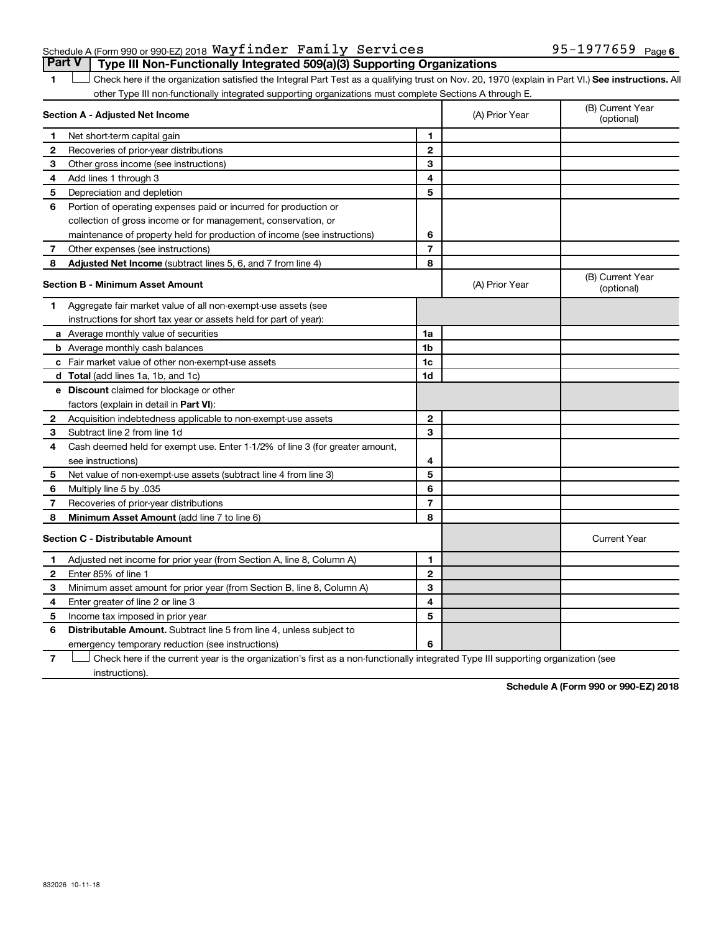#### Schedule A (Form 990 or 990-EZ) 2018  $\mathtt{Wayfinder}$   $\mathtt{Family}$   $\mathtt{Services}$  95-1977659  $\mathtt{Page}$ **Part V Type III Non-Functionally Integrated 509(a)(3) Supporting Organizations**

1 **Letter See instructions.** All Check here if the organization satisfied the Integral Part Test as a qualifying trust on Nov. 20, 1970 (explain in Part VI.) See instructions. All other Type III non-functionally integrated supporting organizations must complete Sections A through E.

|              | Section A - Adjusted Net Income                                              |                | (A) Prior Year | (B) Current Year<br>(optional) |
|--------------|------------------------------------------------------------------------------|----------------|----------------|--------------------------------|
| 1            | Net short-term capital gain                                                  | $\mathbf{1}$   |                |                                |
| 2            | Recoveries of prior-year distributions                                       | $\mathbf{2}$   |                |                                |
| з            | Other gross income (see instructions)                                        | 3              |                |                                |
| 4            | Add lines 1 through 3                                                        | 4              |                |                                |
| 5            | Depreciation and depletion                                                   | 5              |                |                                |
| 6            | Portion of operating expenses paid or incurred for production or             |                |                |                                |
|              | collection of gross income or for management, conservation, or               |                |                |                                |
|              | maintenance of property held for production of income (see instructions)     | 6              |                |                                |
| 7            | Other expenses (see instructions)                                            | $\overline{7}$ |                |                                |
| 8            | Adjusted Net Income (subtract lines 5, 6, and 7 from line 4)                 | 8              |                |                                |
|              | Section B - Minimum Asset Amount                                             |                | (A) Prior Year | (B) Current Year<br>(optional) |
| 1            | Aggregate fair market value of all non-exempt-use assets (see                |                |                |                                |
|              | instructions for short tax year or assets held for part of year):            |                |                |                                |
|              | a Average monthly value of securities                                        | 1a             |                |                                |
|              | <b>b</b> Average monthly cash balances                                       | 1 <sub>b</sub> |                |                                |
|              | c Fair market value of other non-exempt-use assets                           | 1c             |                |                                |
|              | <b>d</b> Total (add lines 1a, 1b, and 1c)                                    | 1 <sub>d</sub> |                |                                |
|              | e Discount claimed for blockage or other                                     |                |                |                                |
|              | factors (explain in detail in <b>Part VI</b> ):                              |                |                |                                |
| $\mathbf{2}$ | Acquisition indebtedness applicable to non-exempt-use assets                 | $\mathbf{2}$   |                |                                |
| 3            | Subtract line 2 from line 1d                                                 | 3              |                |                                |
| 4            | Cash deemed held for exempt use. Enter 1-1/2% of line 3 (for greater amount, |                |                |                                |
|              | see instructions)                                                            | 4              |                |                                |
| 5            | Net value of non-exempt-use assets (subtract line 4 from line 3)             | 5              |                |                                |
| 6            | Multiply line 5 by .035                                                      | 6              |                |                                |
| 7            | Recoveries of prior-year distributions                                       | $\overline{7}$ |                |                                |
| 8            | Minimum Asset Amount (add line 7 to line 6)                                  | 8              |                |                                |
|              | <b>Section C - Distributable Amount</b>                                      |                |                | <b>Current Year</b>            |
| 1            | Adjusted net income for prior year (from Section A, line 8, Column A)        | 1              |                |                                |
| $\mathbf{2}$ | Enter 85% of line 1                                                          | $\mathbf{2}$   |                |                                |
| З            | Minimum asset amount for prior year (from Section B, line 8, Column A)       | 3              |                |                                |
| 4            | Enter greater of line 2 or line 3                                            | 4              |                |                                |
| 5            | Income tax imposed in prior year                                             | 5              |                |                                |
| 6            | Distributable Amount. Subtract line 5 from line 4, unless subject to         |                |                |                                |
|              | emergency temporary reduction (see instructions)                             | 6              |                |                                |
|              |                                                                              |                |                |                                |

**7** Let Check here if the current year is the organization's first as a non-functionally integrated Type III supporting organization (see instructions).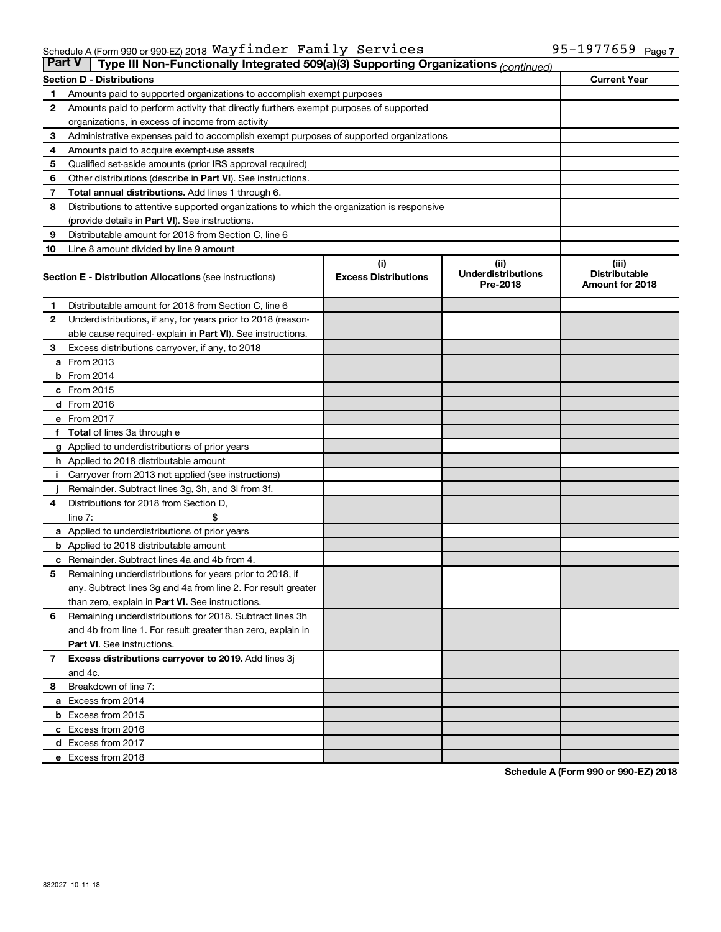| <b>Part V</b><br>Type III Non-Functionally Integrated 509(a)(3) Supporting Organizations (continued) |                                                                                            |                             |                                       |                                         |  |  |  |
|------------------------------------------------------------------------------------------------------|--------------------------------------------------------------------------------------------|-----------------------------|---------------------------------------|-----------------------------------------|--|--|--|
|                                                                                                      | <b>Current Year</b><br><b>Section D - Distributions</b>                                    |                             |                                       |                                         |  |  |  |
| 1                                                                                                    | Amounts paid to supported organizations to accomplish exempt purposes                      |                             |                                       |                                         |  |  |  |
| $\mathbf{2}$                                                                                         | Amounts paid to perform activity that directly furthers exempt purposes of supported       |                             |                                       |                                         |  |  |  |
|                                                                                                      | organizations, in excess of income from activity                                           |                             |                                       |                                         |  |  |  |
| 3                                                                                                    | Administrative expenses paid to accomplish exempt purposes of supported organizations      |                             |                                       |                                         |  |  |  |
| 4                                                                                                    | Amounts paid to acquire exempt-use assets                                                  |                             |                                       |                                         |  |  |  |
| 5                                                                                                    | Qualified set-aside amounts (prior IRS approval required)                                  |                             |                                       |                                         |  |  |  |
| 6                                                                                                    | Other distributions (describe in <b>Part VI</b> ). See instructions.                       |                             |                                       |                                         |  |  |  |
| 7                                                                                                    | Total annual distributions. Add lines 1 through 6.                                         |                             |                                       |                                         |  |  |  |
| 8                                                                                                    | Distributions to attentive supported organizations to which the organization is responsive |                             |                                       |                                         |  |  |  |
|                                                                                                      | (provide details in Part VI). See instructions.                                            |                             |                                       |                                         |  |  |  |
| 9                                                                                                    | Distributable amount for 2018 from Section C, line 6                                       |                             |                                       |                                         |  |  |  |
| 10                                                                                                   | Line 8 amount divided by line 9 amount                                                     |                             |                                       |                                         |  |  |  |
|                                                                                                      |                                                                                            | (i)                         | (ii)                                  | (iii)                                   |  |  |  |
|                                                                                                      | <b>Section E - Distribution Allocations (see instructions)</b>                             | <b>Excess Distributions</b> | <b>Underdistributions</b><br>Pre-2018 | <b>Distributable</b><br>Amount for 2018 |  |  |  |
| 1                                                                                                    | Distributable amount for 2018 from Section C, line 6                                       |                             |                                       |                                         |  |  |  |
| $\mathbf{2}$                                                                                         | Underdistributions, if any, for years prior to 2018 (reason-                               |                             |                                       |                                         |  |  |  |
|                                                                                                      | able cause required- explain in Part VI). See instructions.                                |                             |                                       |                                         |  |  |  |
| 3                                                                                                    | Excess distributions carryover, if any, to 2018                                            |                             |                                       |                                         |  |  |  |
|                                                                                                      | a From 2013                                                                                |                             |                                       |                                         |  |  |  |
|                                                                                                      | $b$ From 2014                                                                              |                             |                                       |                                         |  |  |  |
|                                                                                                      | c From 2015                                                                                |                             |                                       |                                         |  |  |  |
|                                                                                                      | d From 2016                                                                                |                             |                                       |                                         |  |  |  |
|                                                                                                      | e From 2017                                                                                |                             |                                       |                                         |  |  |  |
|                                                                                                      | f Total of lines 3a through e                                                              |                             |                                       |                                         |  |  |  |
|                                                                                                      | <b>g</b> Applied to underdistributions of prior years                                      |                             |                                       |                                         |  |  |  |
|                                                                                                      | <b>h</b> Applied to 2018 distributable amount                                              |                             |                                       |                                         |  |  |  |
| Ť.                                                                                                   | Carryover from 2013 not applied (see instructions)                                         |                             |                                       |                                         |  |  |  |
|                                                                                                      | Remainder. Subtract lines 3g, 3h, and 3i from 3f.                                          |                             |                                       |                                         |  |  |  |
| 4                                                                                                    | Distributions for 2018 from Section D,                                                     |                             |                                       |                                         |  |  |  |
|                                                                                                      | line $7:$                                                                                  |                             |                                       |                                         |  |  |  |
|                                                                                                      | <b>a</b> Applied to underdistributions of prior years                                      |                             |                                       |                                         |  |  |  |
|                                                                                                      | <b>b</b> Applied to 2018 distributable amount                                              |                             |                                       |                                         |  |  |  |
| c                                                                                                    | Remainder. Subtract lines 4a and 4b from 4.                                                |                             |                                       |                                         |  |  |  |
| 5                                                                                                    | Remaining underdistributions for years prior to 2018, if                                   |                             |                                       |                                         |  |  |  |
|                                                                                                      | any. Subtract lines 3g and 4a from line 2. For result greater                              |                             |                                       |                                         |  |  |  |
|                                                                                                      | than zero, explain in Part VI. See instructions.                                           |                             |                                       |                                         |  |  |  |
| 6                                                                                                    | Remaining underdistributions for 2018. Subtract lines 3h                                   |                             |                                       |                                         |  |  |  |
|                                                                                                      | and 4b from line 1. For result greater than zero, explain in                               |                             |                                       |                                         |  |  |  |
|                                                                                                      | <b>Part VI.</b> See instructions.                                                          |                             |                                       |                                         |  |  |  |
| $\overline{7}$                                                                                       | Excess distributions carryover to 2019. Add lines 3j                                       |                             |                                       |                                         |  |  |  |
|                                                                                                      | and 4c.                                                                                    |                             |                                       |                                         |  |  |  |
| 8                                                                                                    | Breakdown of line 7:                                                                       |                             |                                       |                                         |  |  |  |
|                                                                                                      | a Excess from 2014                                                                         |                             |                                       |                                         |  |  |  |
|                                                                                                      | <b>b</b> Excess from 2015                                                                  |                             |                                       |                                         |  |  |  |
|                                                                                                      | c Excess from 2016                                                                         |                             |                                       |                                         |  |  |  |
|                                                                                                      | d Excess from 2017                                                                         |                             |                                       |                                         |  |  |  |
|                                                                                                      | e Excess from 2018                                                                         |                             |                                       |                                         |  |  |  |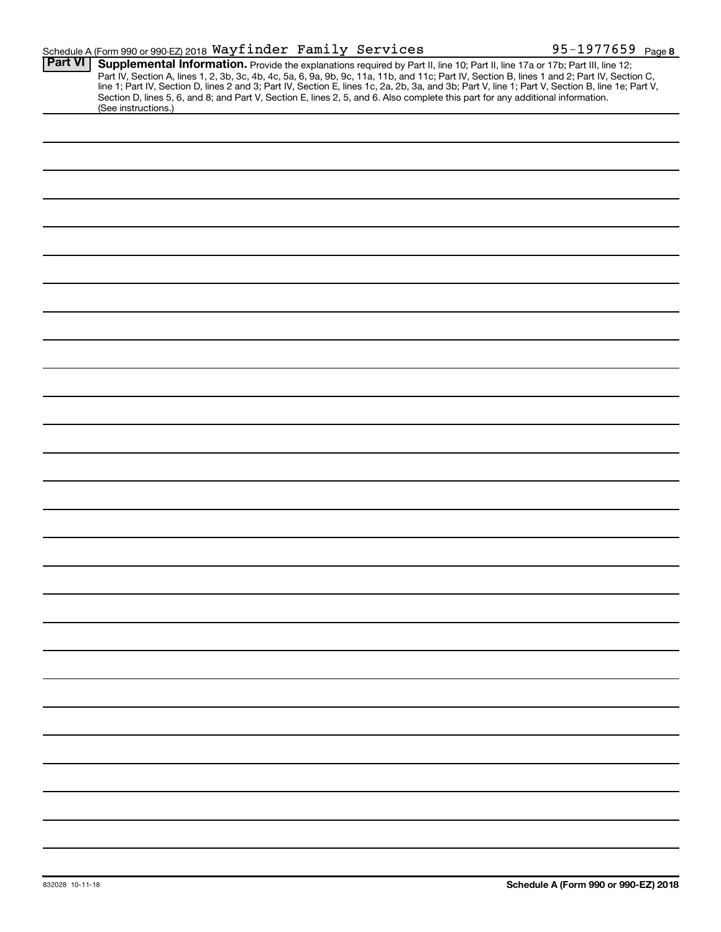|                | Schedule A (Form 990 or 990-EZ) 2018 Wayfinder Family Services                                                                                                                                                                                                                                                                                                                                                                                                                                                                                                                              | 95-1977659 Page 8 |
|----------------|---------------------------------------------------------------------------------------------------------------------------------------------------------------------------------------------------------------------------------------------------------------------------------------------------------------------------------------------------------------------------------------------------------------------------------------------------------------------------------------------------------------------------------------------------------------------------------------------|-------------------|
| <b>Part VI</b> | Supplemental Information. Provide the explanations required by Part II, line 10; Part II, line 17a or 17b; Part III, line 12;<br>Part IV, Section A, lines 1, 2, 3b, 3c, 4b, 4c, 5a, 6, 9a, 9b, 9c, 11a, 11b, and 11c; Part IV, Section B, lines 1 and 2; Part IV, Section C,<br>line 1; Part IV, Section D, lines 2 and 3; Part IV, Section E, lines 1c, 2a, 2b, 3a, and 3b; Part V, line 1; Part V, Section B, line 1e; Part V,<br>Section D, lines 5, 6, and 8; and Part V, Section E, lines 2, 5, and 6. Also complete this part for any additional information.<br>(See instructions.) |                   |
|                |                                                                                                                                                                                                                                                                                                                                                                                                                                                                                                                                                                                             |                   |
|                |                                                                                                                                                                                                                                                                                                                                                                                                                                                                                                                                                                                             |                   |
|                |                                                                                                                                                                                                                                                                                                                                                                                                                                                                                                                                                                                             |                   |
|                |                                                                                                                                                                                                                                                                                                                                                                                                                                                                                                                                                                                             |                   |
|                |                                                                                                                                                                                                                                                                                                                                                                                                                                                                                                                                                                                             |                   |
|                |                                                                                                                                                                                                                                                                                                                                                                                                                                                                                                                                                                                             |                   |
|                |                                                                                                                                                                                                                                                                                                                                                                                                                                                                                                                                                                                             |                   |
|                |                                                                                                                                                                                                                                                                                                                                                                                                                                                                                                                                                                                             |                   |
|                |                                                                                                                                                                                                                                                                                                                                                                                                                                                                                                                                                                                             |                   |
|                |                                                                                                                                                                                                                                                                                                                                                                                                                                                                                                                                                                                             |                   |
|                |                                                                                                                                                                                                                                                                                                                                                                                                                                                                                                                                                                                             |                   |
|                |                                                                                                                                                                                                                                                                                                                                                                                                                                                                                                                                                                                             |                   |
|                |                                                                                                                                                                                                                                                                                                                                                                                                                                                                                                                                                                                             |                   |
|                |                                                                                                                                                                                                                                                                                                                                                                                                                                                                                                                                                                                             |                   |
|                |                                                                                                                                                                                                                                                                                                                                                                                                                                                                                                                                                                                             |                   |
|                |                                                                                                                                                                                                                                                                                                                                                                                                                                                                                                                                                                                             |                   |
|                |                                                                                                                                                                                                                                                                                                                                                                                                                                                                                                                                                                                             |                   |
|                |                                                                                                                                                                                                                                                                                                                                                                                                                                                                                                                                                                                             |                   |
|                |                                                                                                                                                                                                                                                                                                                                                                                                                                                                                                                                                                                             |                   |
|                |                                                                                                                                                                                                                                                                                                                                                                                                                                                                                                                                                                                             |                   |
|                |                                                                                                                                                                                                                                                                                                                                                                                                                                                                                                                                                                                             |                   |
|                |                                                                                                                                                                                                                                                                                                                                                                                                                                                                                                                                                                                             |                   |
|                |                                                                                                                                                                                                                                                                                                                                                                                                                                                                                                                                                                                             |                   |
|                |                                                                                                                                                                                                                                                                                                                                                                                                                                                                                                                                                                                             |                   |
|                |                                                                                                                                                                                                                                                                                                                                                                                                                                                                                                                                                                                             |                   |
|                |                                                                                                                                                                                                                                                                                                                                                                                                                                                                                                                                                                                             |                   |
|                |                                                                                                                                                                                                                                                                                                                                                                                                                                                                                                                                                                                             |                   |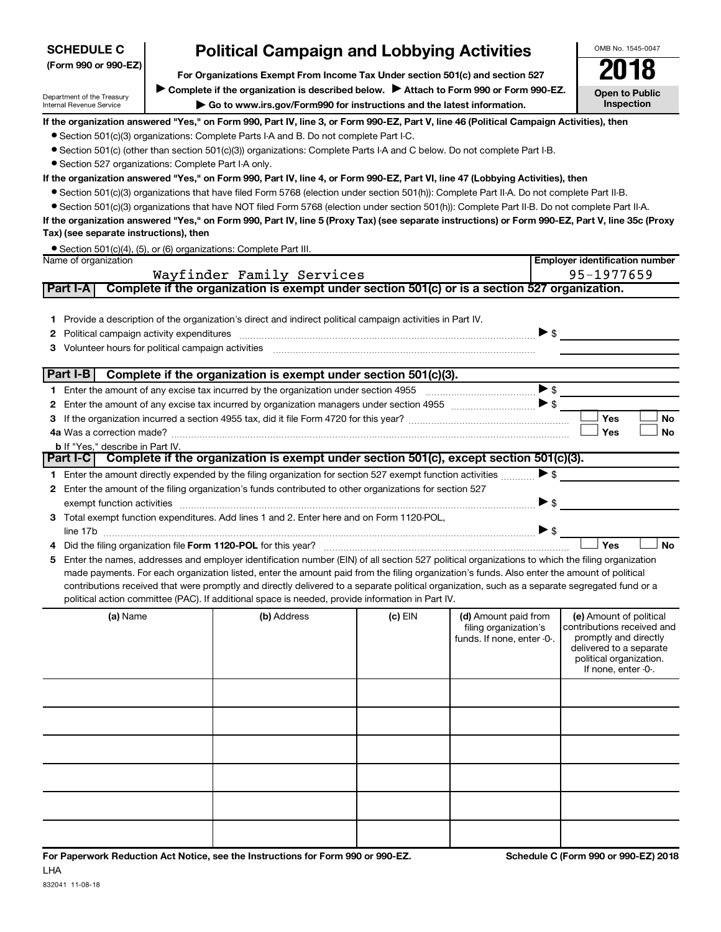| <b>SCHEDULE C</b>                                                                                                                                                                                                                                                                                   |                                                                                       | <b>Political Campaign and Lobbying Activities</b>                                                                                                                                                                                                  |           |                            | OMB No. 1545-0047                                  |  |  |  |  |
|-----------------------------------------------------------------------------------------------------------------------------------------------------------------------------------------------------------------------------------------------------------------------------------------------------|---------------------------------------------------------------------------------------|----------------------------------------------------------------------------------------------------------------------------------------------------------------------------------------------------------------------------------------------------|-----------|----------------------------|----------------------------------------------------|--|--|--|--|
| (Form 990 or 990-EZ)                                                                                                                                                                                                                                                                                | For Organizations Exempt From Income Tax Under section 501(c) and section 527         |                                                                                                                                                                                                                                                    |           |                            |                                                    |  |  |  |  |
|                                                                                                                                                                                                                                                                                                     | Complete if the organization is described below. > Attach to Form 990 or Form 990-EZ. |                                                                                                                                                                                                                                                    |           |                            |                                                    |  |  |  |  |
| Department of the Treasury<br>Internal Revenue Service                                                                                                                                                                                                                                              |                                                                                       | Go to www.irs.gov/Form990 for instructions and the latest information.                                                                                                                                                                             |           |                            | <b>Open to Public</b><br>Inspection                |  |  |  |  |
| If the organization answered "Yes," on Form 990, Part IV, line 3, or Form 990-EZ, Part V, line 46 (Political Campaign Activities), then                                                                                                                                                             |                                                                                       |                                                                                                                                                                                                                                                    |           |                            |                                                    |  |  |  |  |
|                                                                                                                                                                                                                                                                                                     |                                                                                       | • Section 501(c)(3) organizations: Complete Parts I-A and B. Do not complete Part I-C.                                                                                                                                                             |           |                            |                                                    |  |  |  |  |
|                                                                                                                                                                                                                                                                                                     |                                                                                       | • Section 501(c) (other than section 501(c)(3)) organizations: Complete Parts I-A and C below. Do not complete Part I-B.                                                                                                                           |           |                            |                                                    |  |  |  |  |
| • Section 527 organizations: Complete Part I-A only.                                                                                                                                                                                                                                                |                                                                                       | If the organization answered "Yes," on Form 990, Part IV, line 4, or Form 990-EZ, Part VI, line 47 (Lobbying Activities), then                                                                                                                     |           |                            |                                                    |  |  |  |  |
|                                                                                                                                                                                                                                                                                                     |                                                                                       |                                                                                                                                                                                                                                                    |           |                            |                                                    |  |  |  |  |
| ● Section 501(c)(3) organizations that have filed Form 5768 (election under section 501(h)): Complete Part II-A. Do not complete Part II-B.<br>• Section 501(c)(3) organizations that have NOT filed Form 5768 (election under section 501(h)): Complete Part II-B. Do not complete Part II-A.      |                                                                                       |                                                                                                                                                                                                                                                    |           |                            |                                                    |  |  |  |  |
|                                                                                                                                                                                                                                                                                                     |                                                                                       | If the organization answered "Yes," on Form 990, Part IV, line 5 (Proxy Tax) (see separate instructions) or Form 990-EZ, Part V, line 35c (Proxy                                                                                                   |           |                            |                                                    |  |  |  |  |
| Tax) (see separate instructions), then                                                                                                                                                                                                                                                              |                                                                                       |                                                                                                                                                                                                                                                    |           |                            |                                                    |  |  |  |  |
|                                                                                                                                                                                                                                                                                                     |                                                                                       | • Section 501(c)(4), (5), or (6) organizations: Complete Part III.                                                                                                                                                                                 |           |                            |                                                    |  |  |  |  |
| Name of organization                                                                                                                                                                                                                                                                                |                                                                                       |                                                                                                                                                                                                                                                    |           |                            | <b>Employer identification number</b>              |  |  |  |  |
| Part I-A                                                                                                                                                                                                                                                                                            |                                                                                       | Wayfinder Family Services<br>Complete if the organization is exempt under section 501(c) or is a section 527 organization.                                                                                                                         |           |                            | 95-1977659                                         |  |  |  |  |
|                                                                                                                                                                                                                                                                                                     |                                                                                       |                                                                                                                                                                                                                                                    |           |                            |                                                    |  |  |  |  |
| 1.                                                                                                                                                                                                                                                                                                  |                                                                                       | Provide a description of the organization's direct and indirect political campaign activities in Part IV.                                                                                                                                          |           |                            |                                                    |  |  |  |  |
| 2                                                                                                                                                                                                                                                                                                   |                                                                                       |                                                                                                                                                                                                                                                    |           | $\triangleright$ \$        |                                                    |  |  |  |  |
| Volunteer hours for political campaign activities<br>З                                                                                                                                                                                                                                              |                                                                                       |                                                                                                                                                                                                                                                    |           |                            |                                                    |  |  |  |  |
|                                                                                                                                                                                                                                                                                                     |                                                                                       |                                                                                                                                                                                                                                                    |           |                            |                                                    |  |  |  |  |
| Part I-B                                                                                                                                                                                                                                                                                            |                                                                                       | Complete if the organization is exempt under section 501(c)(3).                                                                                                                                                                                    |           |                            |                                                    |  |  |  |  |
|                                                                                                                                                                                                                                                                                                     |                                                                                       |                                                                                                                                                                                                                                                    |           |                            | >                                                  |  |  |  |  |
| 2                                                                                                                                                                                                                                                                                                   |                                                                                       | Enter the amount of any excise tax incurred by organization managers under section 4955 $\ldots$                                                                                                                                                   |           |                            |                                                    |  |  |  |  |
| з                                                                                                                                                                                                                                                                                                   |                                                                                       |                                                                                                                                                                                                                                                    |           |                            | Yes<br><b>No</b>                                   |  |  |  |  |
|                                                                                                                                                                                                                                                                                                     | Yes<br>No                                                                             |                                                                                                                                                                                                                                                    |           |                            |                                                    |  |  |  |  |
| <b>b</b> If "Yes," describe in Part IV.                                                                                                                                                                                                                                                             |                                                                                       | Part I-C Complete if the organization is exempt under section 501(c), except section 501(c)(3).                                                                                                                                                    |           |                            |                                                    |  |  |  |  |
|                                                                                                                                                                                                                                                                                                     |                                                                                       | 1 Enter the amount directly expended by the filing organization for section 527 exempt function activities                                                                                                                                         |           | $\triangleright$ \$        |                                                    |  |  |  |  |
| 2                                                                                                                                                                                                                                                                                                   |                                                                                       | Enter the amount of the filing organization's funds contributed to other organizations for section 527                                                                                                                                             |           |                            |                                                    |  |  |  |  |
|                                                                                                                                                                                                                                                                                                     |                                                                                       |                                                                                                                                                                                                                                                    |           | ▶ \$                       |                                                    |  |  |  |  |
|                                                                                                                                                                                                                                                                                                     |                                                                                       | 3 Total exempt function expenditures. Add lines 1 and 2. Enter here and on Form 1120-POL,                                                                                                                                                          |           |                            |                                                    |  |  |  |  |
|                                                                                                                                                                                                                                                                                                     |                                                                                       |                                                                                                                                                                                                                                                    |           | $\triangleright$ \$        |                                                    |  |  |  |  |
| 4                                                                                                                                                                                                                                                                                                   |                                                                                       | Did the filing organization file Form 1120-POL for this year?                                                                                                                                                                                      |           |                            | <b>No</b><br>Yes                                   |  |  |  |  |
| Enter the names, addresses and employer identification number (EIN) of all section 527 political organizations to which the filing organization<br>5<br>made payments. For each organization listed, enter the amount paid from the filing organization's funds. Also enter the amount of political |                                                                                       |                                                                                                                                                                                                                                                    |           |                            |                                                    |  |  |  |  |
|                                                                                                                                                                                                                                                                                                     |                                                                                       |                                                                                                                                                                                                                                                    |           |                            |                                                    |  |  |  |  |
|                                                                                                                                                                                                                                                                                                     |                                                                                       | contributions received that were promptly and directly delivered to a separate political organization, such as a separate segregated fund or a<br>political action committee (PAC). If additional space is needed, provide information in Part IV. |           |                            |                                                    |  |  |  |  |
| (a) Name                                                                                                                                                                                                                                                                                            |                                                                                       | (b) Address                                                                                                                                                                                                                                        | $(c)$ EIN | (d) Amount paid from       | (e) Amount of political                            |  |  |  |  |
|                                                                                                                                                                                                                                                                                                     |                                                                                       |                                                                                                                                                                                                                                                    |           | filing organization's      | contributions received and                         |  |  |  |  |
|                                                                                                                                                                                                                                                                                                     |                                                                                       |                                                                                                                                                                                                                                                    |           | funds. If none, enter -0-. | promptly and directly                              |  |  |  |  |
|                                                                                                                                                                                                                                                                                                     |                                                                                       |                                                                                                                                                                                                                                                    |           |                            | delivered to a separate<br>political organization. |  |  |  |  |
|                                                                                                                                                                                                                                                                                                     |                                                                                       |                                                                                                                                                                                                                                                    |           |                            | If none, enter -0-.                                |  |  |  |  |
|                                                                                                                                                                                                                                                                                                     |                                                                                       |                                                                                                                                                                                                                                                    |           |                            |                                                    |  |  |  |  |
|                                                                                                                                                                                                                                                                                                     |                                                                                       |                                                                                                                                                                                                                                                    |           |                            |                                                    |  |  |  |  |
|                                                                                                                                                                                                                                                                                                     |                                                                                       |                                                                                                                                                                                                                                                    |           |                            |                                                    |  |  |  |  |
|                                                                                                                                                                                                                                                                                                     |                                                                                       |                                                                                                                                                                                                                                                    |           |                            |                                                    |  |  |  |  |
|                                                                                                                                                                                                                                                                                                     |                                                                                       |                                                                                                                                                                                                                                                    |           |                            |                                                    |  |  |  |  |
|                                                                                                                                                                                                                                                                                                     |                                                                                       |                                                                                                                                                                                                                                                    |           |                            |                                                    |  |  |  |  |
|                                                                                                                                                                                                                                                                                                     |                                                                                       |                                                                                                                                                                                                                                                    |           |                            |                                                    |  |  |  |  |
|                                                                                                                                                                                                                                                                                                     |                                                                                       |                                                                                                                                                                                                                                                    |           |                            |                                                    |  |  |  |  |
|                                                                                                                                                                                                                                                                                                     |                                                                                       |                                                                                                                                                                                                                                                    |           |                            |                                                    |  |  |  |  |
|                                                                                                                                                                                                                                                                                                     |                                                                                       |                                                                                                                                                                                                                                                    |           |                            |                                                    |  |  |  |  |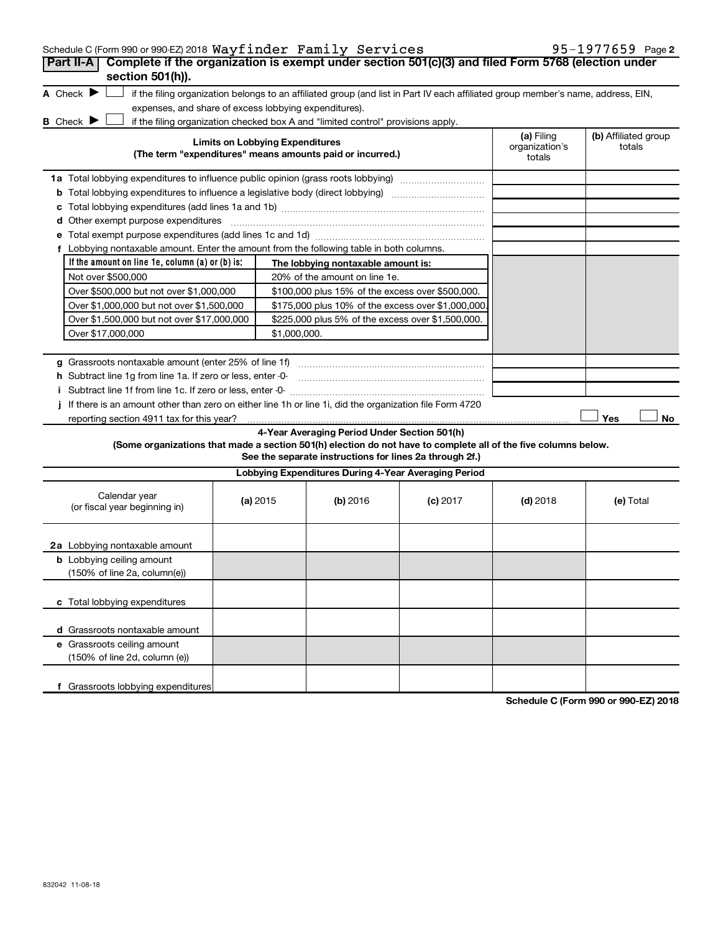| Schedule C (Form 990 or 990-EZ) 2018 $\mathtt{Wayfilter}$ $\mathtt{Family}$ $\mathtt{Services}$ |  |  | 95-1977659 Page 2 |  |
|-------------------------------------------------------------------------------------------------|--|--|-------------------|--|
|-------------------------------------------------------------------------------------------------|--|--|-------------------|--|

| Complete if the organization is exempt under section 501(c)(3) and filed Form 5768 (election under<br><b>Part II-A</b><br>section 501(h)).                                                                                                                                                                                                                                                           |                                                       |                                                                                                         |                                                                                                                                   |                                        |                                |
|------------------------------------------------------------------------------------------------------------------------------------------------------------------------------------------------------------------------------------------------------------------------------------------------------------------------------------------------------------------------------------------------------|-------------------------------------------------------|---------------------------------------------------------------------------------------------------------|-----------------------------------------------------------------------------------------------------------------------------------|----------------------------------------|--------------------------------|
| A Check $\blacktriangleright$                                                                                                                                                                                                                                                                                                                                                                        |                                                       |                                                                                                         | if the filing organization belongs to an affiliated group (and list in Part IV each affiliated group member's name, address, EIN, |                                        |                                |
|                                                                                                                                                                                                                                                                                                                                                                                                      | expenses, and share of excess lobbying expenditures). |                                                                                                         |                                                                                                                                   |                                        |                                |
| <b>B</b> Check $\blacktriangleright$                                                                                                                                                                                                                                                                                                                                                                 |                                                       | if the filing organization checked box A and "limited control" provisions apply.                        |                                                                                                                                   |                                        |                                |
|                                                                                                                                                                                                                                                                                                                                                                                                      | <b>Limits on Lobbying Expenditures</b>                | (The term "expenditures" means amounts paid or incurred.)                                               |                                                                                                                                   | (a) Filing<br>organization's<br>totals | (b) Affiliated group<br>totals |
| 1a Total lobbying expenditures to influence public opinion (grass roots lobbying)                                                                                                                                                                                                                                                                                                                    |                                                       |                                                                                                         |                                                                                                                                   |                                        |                                |
| <b>b</b> Total lobbying expenditures to influence a legislative body (direct lobbying) <i>manumumumum</i>                                                                                                                                                                                                                                                                                            |                                                       |                                                                                                         |                                                                                                                                   |                                        |                                |
|                                                                                                                                                                                                                                                                                                                                                                                                      |                                                       |                                                                                                         |                                                                                                                                   |                                        |                                |
| d Other exempt purpose expenditures                                                                                                                                                                                                                                                                                                                                                                  |                                                       |                                                                                                         |                                                                                                                                   |                                        |                                |
|                                                                                                                                                                                                                                                                                                                                                                                                      |                                                       |                                                                                                         |                                                                                                                                   |                                        |                                |
| f Lobbying nontaxable amount. Enter the amount from the following table in both columns.                                                                                                                                                                                                                                                                                                             |                                                       |                                                                                                         |                                                                                                                                   |                                        |                                |
| If the amount on line 1e, column (a) or (b) is:                                                                                                                                                                                                                                                                                                                                                      |                                                       | The lobbying nontaxable amount is:                                                                      |                                                                                                                                   |                                        |                                |
| Not over \$500,000                                                                                                                                                                                                                                                                                                                                                                                   |                                                       | 20% of the amount on line 1e.                                                                           |                                                                                                                                   |                                        |                                |
| Over \$500,000 but not over \$1,000,000                                                                                                                                                                                                                                                                                                                                                              |                                                       | \$100,000 plus 15% of the excess over \$500,000.                                                        |                                                                                                                                   |                                        |                                |
| Over \$1,000,000 but not over \$1,500,000                                                                                                                                                                                                                                                                                                                                                            |                                                       | \$175,000 plus 10% of the excess over \$1,000,000                                                       |                                                                                                                                   |                                        |                                |
| Over \$1,500,000 but not over \$17,000,000                                                                                                                                                                                                                                                                                                                                                           |                                                       | \$225,000 plus 5% of the excess over \$1,500,000.                                                       |                                                                                                                                   |                                        |                                |
| Over \$17,000,000                                                                                                                                                                                                                                                                                                                                                                                    | \$1,000,000.                                          |                                                                                                         |                                                                                                                                   |                                        |                                |
| h Subtract line 1g from line 1a. If zero or less, enter -0-<br>i Subtract line 1f from line 1c. If zero or less, enter -0-<br>If there is an amount other than zero on either line 1h or line 1i, did the organization file Form 4720<br>reporting section 4911 tax for this year?<br>(Some organizations that made a section 501(h) election do not have to complete all of the five columns below. |                                                       | 4-Year Averaging Period Under Section 501(h)<br>See the separate instructions for lines 2a through 2f.) |                                                                                                                                   |                                        | Yes<br>No                      |
|                                                                                                                                                                                                                                                                                                                                                                                                      |                                                       | Lobbying Expenditures During 4-Year Averaging Period                                                    |                                                                                                                                   |                                        |                                |
| Calendar year<br>(or fiscal year beginning in)                                                                                                                                                                                                                                                                                                                                                       | (a) 2015                                              | (b) 2016                                                                                                | $(c)$ 2017                                                                                                                        | $(d)$ 2018                             | (e) Total                      |
| 2a Lobbying nontaxable amount                                                                                                                                                                                                                                                                                                                                                                        |                                                       |                                                                                                         |                                                                                                                                   |                                        |                                |
| <b>b</b> Lobbying ceiling amount                                                                                                                                                                                                                                                                                                                                                                     |                                                       |                                                                                                         |                                                                                                                                   |                                        |                                |
| (150% of line 2a, column(e))                                                                                                                                                                                                                                                                                                                                                                         |                                                       |                                                                                                         |                                                                                                                                   |                                        |                                |
|                                                                                                                                                                                                                                                                                                                                                                                                      |                                                       |                                                                                                         |                                                                                                                                   |                                        |                                |
| c Total lobbying expenditures                                                                                                                                                                                                                                                                                                                                                                        |                                                       |                                                                                                         |                                                                                                                                   |                                        |                                |
|                                                                                                                                                                                                                                                                                                                                                                                                      |                                                       |                                                                                                         |                                                                                                                                   |                                        |                                |
| d Grassroots nontaxable amount                                                                                                                                                                                                                                                                                                                                                                       |                                                       |                                                                                                         |                                                                                                                                   |                                        |                                |
| e Grassroots ceiling amount                                                                                                                                                                                                                                                                                                                                                                          |                                                       |                                                                                                         |                                                                                                                                   |                                        |                                |
| (150% of line 2d, column (e))                                                                                                                                                                                                                                                                                                                                                                        |                                                       |                                                                                                         |                                                                                                                                   |                                        |                                |
|                                                                                                                                                                                                                                                                                                                                                                                                      |                                                       |                                                                                                         |                                                                                                                                   |                                        |                                |
| f Grassroots lobbying expenditures                                                                                                                                                                                                                                                                                                                                                                   |                                                       |                                                                                                         |                                                                                                                                   |                                        |                                |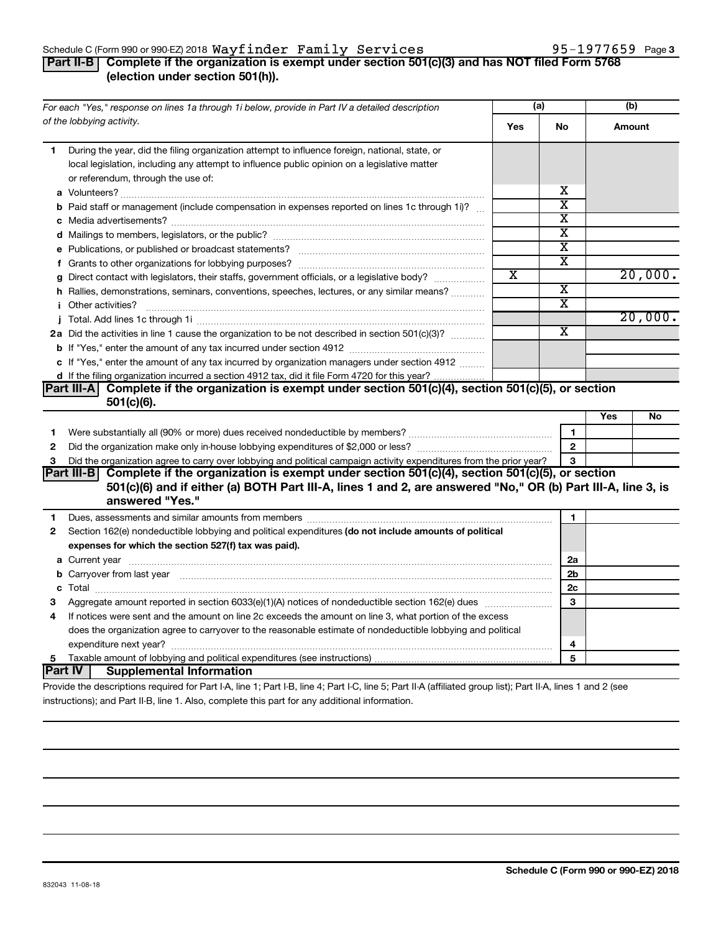#### Schedule C (Form 990 or 990-EZ) 2018  $\mathtt{Wayfinder}\>$   $\mathtt{Family}\>$   $\mathtt{Services}$   $\hspace{1.5em}$  95-1977659  $\>$  Page

## **Part II-B Complete if the organization is exempt under section 501(c)(3) and has NOT filed Form 5768 (election under section 501(h)).**

|              | For each "Yes," response on lines 1a through 1i below, provide in Part IV a detailed description                                                                                                                                                  | (a) |                         | (b)    |         |  |
|--------------|---------------------------------------------------------------------------------------------------------------------------------------------------------------------------------------------------------------------------------------------------|-----|-------------------------|--------|---------|--|
|              | of the lobbying activity.                                                                                                                                                                                                                         | Yes | No                      | Amount |         |  |
| 1            | During the year, did the filing organization attempt to influence foreign, national, state, or<br>local legislation, including any attempt to influence public opinion on a legislative matter<br>or referendum, through the use of:              |     |                         |        |         |  |
|              |                                                                                                                                                                                                                                                   |     | х                       |        |         |  |
|              | <b>b</b> Paid staff or management (include compensation in expenses reported on lines 1c through 1i)?                                                                                                                                             |     | $\overline{\text{x}}$   |        |         |  |
|              |                                                                                                                                                                                                                                                   |     | $\overline{\textbf{x}}$ |        |         |  |
|              |                                                                                                                                                                                                                                                   |     | $\overline{\textbf{x}}$ |        |         |  |
|              |                                                                                                                                                                                                                                                   |     | $\overline{\text{x}}$   |        |         |  |
|              |                                                                                                                                                                                                                                                   |     | $\overline{\text{x}}$   |        |         |  |
|              | g Direct contact with legislators, their staffs, government officials, or a legislative body?                                                                                                                                                     | X   |                         |        | 20,000. |  |
|              | h Rallies, demonstrations, seminars, conventions, speeches, lectures, or any similar means?                                                                                                                                                       |     | $\overline{\textbf{x}}$ |        |         |  |
|              |                                                                                                                                                                                                                                                   |     | $\overline{\mathbf{X}}$ |        |         |  |
|              |                                                                                                                                                                                                                                                   |     |                         |        | 20,000. |  |
|              | 2a Did the activities in line 1 cause the organization to be not described in section 501(c)(3)?                                                                                                                                                  |     | $\overline{\texttt{x}}$ |        |         |  |
|              |                                                                                                                                                                                                                                                   |     |                         |        |         |  |
|              | c If "Yes," enter the amount of any tax incurred by organization managers under section 4912                                                                                                                                                      |     |                         |        |         |  |
|              | d If the filing organization incurred a section 4912 tax, did it file Form 4720 for this year?                                                                                                                                                    |     |                         |        |         |  |
|              | Part III-A Complete if the organization is exempt under section $501(c)(4)$ , section $501(c)(5)$ , or section                                                                                                                                    |     |                         |        |         |  |
|              | $501(c)(6)$ .                                                                                                                                                                                                                                     |     |                         |        |         |  |
|              |                                                                                                                                                                                                                                                   |     |                         | Yes    | No      |  |
| 1            |                                                                                                                                                                                                                                                   |     | 1                       |        |         |  |
| $\mathbf{2}$ | $\mathbf{2}$                                                                                                                                                                                                                                      |     |                         |        |         |  |
| 3            | Did the organization agree to carry over lobbying and political campaign activity expenditures from the prior year?                                                                                                                               |     | 3                       |        |         |  |
|              | Part III-B Complete if the organization is exempt under section $501(c)(4)$ , section $501(c)(5)$ , or section<br>501(c)(6) and if either (a) BOTH Part III-A, lines 1 and 2, are answered "No," OR (b) Part III-A, line 3, is<br>answered "Yes." |     |                         |        |         |  |
| 1            |                                                                                                                                                                                                                                                   |     | 1                       |        |         |  |
| $\mathbf{2}$ | Section 162(e) nondeductible lobbying and political expenditures (do not include amounts of political                                                                                                                                             |     |                         |        |         |  |
|              | expenses for which the section 527(f) tax was paid).                                                                                                                                                                                              |     |                         |        |         |  |
|              |                                                                                                                                                                                                                                                   |     | 2a                      |        |         |  |
|              | b Carryover from last year manufactured and content to content the content of the content of the content of the content of the content of the content of the content of the content of the content of the content of the conte                    |     | 2b                      |        |         |  |
|              |                                                                                                                                                                                                                                                   |     | 2c                      |        |         |  |
| 3            | Aggregate amount reported in section 6033(e)(1)(A) notices of nondeductible section 162(e) dues manufactured                                                                                                                                      |     | 3                       |        |         |  |
| 4            | If notices were sent and the amount on line 2c exceeds the amount on line 3, what portion of the excess                                                                                                                                           |     |                         |        |         |  |
|              | does the organization agree to carryover to the reasonable estimate of nondeductible lobbying and political                                                                                                                                       |     |                         |        |         |  |
|              |                                                                                                                                                                                                                                                   |     | 4                       |        |         |  |
| 5.           |                                                                                                                                                                                                                                                   |     | 5                       |        |         |  |
|              | <b>Part IV   Supplemental Information</b>                                                                                                                                                                                                         |     |                         |        |         |  |
|              | Provide the descriptions required for Part LA Jine 1: Part LR Jine 4: Part LC Jine 5: Part II A (affiliated group list): Part II A Jines 1 and 2 (see                                                                                             |     |                         |        |         |  |

Provide the descriptions required for Part I-A, line 1; Part I-B, line 4; Part I-C, line 5; Part II-A (affiliated group list); Part II-A, lines 1 and 2 (see instructions); and Part II-B, line 1. Also, complete this part for any additional information.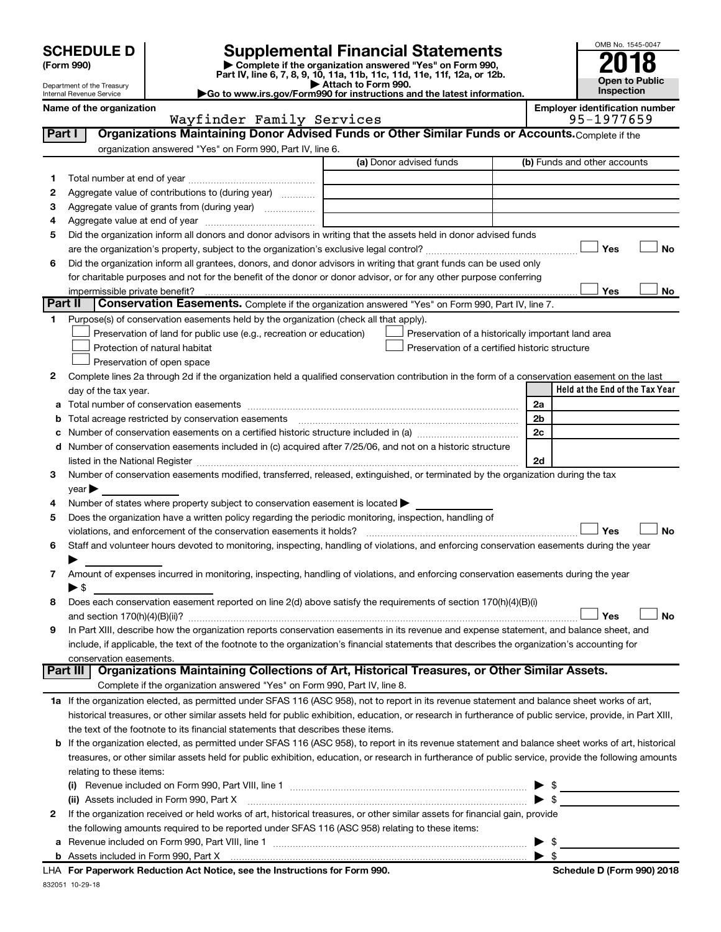# **SCHEDULE D Supplemental Financial Statements**<br> **Form 990 2018**<br> **Part IV** line 6.7.8.9.10, 11a, 11b, 11d, 11d, 11d, 11d, 11d, 12a, 0r, 12b

**(Form 990) | Complete if the organization answered "Yes" on Form 990, Part IV, line 6, 7, 8, 9, 10, 11a, 11b, 11c, 11d, 11e, 11f, 12a, or 12b.**

**| Attach to Form 990. |Go to www.irs.gov/Form990 for instructions and the latest information.**



Department of the Treasury Internal Revenue Service

#### **Name of the organization Employer identification number** Wayfinder Family Services

| Part I  | Organizations Maintaining Donor Advised Funds or Other Similar Funds or Accounts. Complete if the                                                                                                                              |                         |                                                    |
|---------|--------------------------------------------------------------------------------------------------------------------------------------------------------------------------------------------------------------------------------|-------------------------|----------------------------------------------------|
|         | organization answered "Yes" on Form 990, Part IV, line 6.                                                                                                                                                                      | (a) Donor advised funds | (b) Funds and other accounts                       |
|         |                                                                                                                                                                                                                                |                         |                                                    |
| 1       |                                                                                                                                                                                                                                |                         |                                                    |
| 2       | Aggregate value of contributions to (during year)                                                                                                                                                                              |                         |                                                    |
| з       | Aggregate value of grants from (during year)                                                                                                                                                                                   |                         |                                                    |
| 4<br>5  | Did the organization inform all donors and donor advisors in writing that the assets held in donor advised funds                                                                                                               |                         |                                                    |
|         |                                                                                                                                                                                                                                |                         | Yes<br>No                                          |
| 6       | Did the organization inform all grantees, donors, and donor advisors in writing that grant funds can be used only                                                                                                              |                         |                                                    |
|         | for charitable purposes and not for the benefit of the donor or donor advisor, or for any other purpose conferring                                                                                                             |                         |                                                    |
|         |                                                                                                                                                                                                                                |                         | Yes<br>No                                          |
| Part II | Conservation Easements. Complete if the organization answered "Yes" on Form 990, Part IV, line 7.                                                                                                                              |                         |                                                    |
| 1       | Purpose(s) of conservation easements held by the organization (check all that apply).                                                                                                                                          |                         |                                                    |
|         | Preservation of land for public use (e.g., recreation or education)                                                                                                                                                            |                         | Preservation of a historically important land area |
|         | Protection of natural habitat                                                                                                                                                                                                  |                         | Preservation of a certified historic structure     |
|         | Preservation of open space                                                                                                                                                                                                     |                         |                                                    |
| 2       | Complete lines 2a through 2d if the organization held a qualified conservation contribution in the form of a conservation easement on the last                                                                                 |                         |                                                    |
|         | day of the tax year.                                                                                                                                                                                                           |                         | Held at the End of the Tax Year                    |
| а       |                                                                                                                                                                                                                                |                         | 2a                                                 |
| b       |                                                                                                                                                                                                                                |                         | 2b                                                 |
|         |                                                                                                                                                                                                                                |                         | 2c                                                 |
|         | d Number of conservation easements included in (c) acquired after 7/25/06, and not on a historic structure                                                                                                                     |                         |                                                    |
|         | listed in the National Register [111] in the National Register [11] in the National Register [11] in the National Register [11] in the National Register [11] in the National Register [11] in the National Register [11] in t |                         | 2d                                                 |
| 3       | Number of conservation easements modified, transferred, released, extinguished, or terminated by the organization during the tax                                                                                               |                         |                                                    |
|         | $year \blacktriangleright$                                                                                                                                                                                                     |                         |                                                    |
| 4       | Number of states where property subject to conservation easement is located >                                                                                                                                                  |                         |                                                    |
| 5       | Does the organization have a written policy regarding the periodic monitoring, inspection, handling of                                                                                                                         |                         |                                                    |
|         | violations, and enforcement of the conservation easements it holds?                                                                                                                                                            |                         | Yes<br><b>No</b>                                   |
| 6       | Staff and volunteer hours devoted to monitoring, inspecting, handling of violations, and enforcing conservation easements during the year                                                                                      |                         |                                                    |
|         |                                                                                                                                                                                                                                |                         |                                                    |
| 7       | Amount of expenses incurred in monitoring, inspecting, handling of violations, and enforcing conservation easements during the year                                                                                            |                         |                                                    |
|         | ▶ \$                                                                                                                                                                                                                           |                         |                                                    |
| 8       | Does each conservation easement reported on line 2(d) above satisfy the requirements of section 170(h)(4)(B)(i)                                                                                                                |                         |                                                    |
|         |                                                                                                                                                                                                                                |                         | <b>No</b><br>Yes                                   |
| 9       | In Part XIII, describe how the organization reports conservation easements in its revenue and expense statement, and balance sheet, and                                                                                        |                         |                                                    |
|         | include, if applicable, the text of the footnote to the organization's financial statements that describes the organization's accounting for                                                                                   |                         |                                                    |
|         | conservation easements.                                                                                                                                                                                                        |                         |                                                    |
|         | Organizations Maintaining Collections of Art, Historical Treasures, or Other Similar Assets.<br>Part III                                                                                                                       |                         |                                                    |
|         | Complete if the organization answered "Yes" on Form 990, Part IV, line 8.                                                                                                                                                      |                         |                                                    |
|         | 1a If the organization elected, as permitted under SFAS 116 (ASC 958), not to report in its revenue statement and balance sheet works of art,                                                                                  |                         |                                                    |
|         | historical treasures, or other similar assets held for public exhibition, education, or research in furtherance of public service, provide, in Part XIII,                                                                      |                         |                                                    |
|         | the text of the footnote to its financial statements that describes these items.                                                                                                                                               |                         |                                                    |
|         | <b>b</b> If the organization elected, as permitted under SFAS 116 (ASC 958), to report in its revenue statement and balance sheet works of art, historical                                                                     |                         |                                                    |
|         | treasures, or other similar assets held for public exhibition, education, or research in furtherance of public service, provide the following amounts                                                                          |                         |                                                    |
|         | relating to these items:                                                                                                                                                                                                       |                         |                                                    |
|         |                                                                                                                                                                                                                                |                         | - \$                                               |
|         | (ii) Assets included in Form 990, Part X                                                                                                                                                                                       |                         | $\blacktriangleright$ \$                           |
| 2       | If the organization received or held works of art, historical treasures, or other similar assets for financial gain, provide                                                                                                   |                         |                                                    |
|         | the following amounts required to be reported under SFAS 116 (ASC 958) relating to these items:                                                                                                                                |                         |                                                    |
| а       |                                                                                                                                                                                                                                |                         | - \$                                               |
|         |                                                                                                                                                                                                                                |                         |                                                    |

832051 10-29-18 **For Paperwork Reduction Act Notice, see the Instructions for Form 990. Schedule D (Form 990) 2018** LHA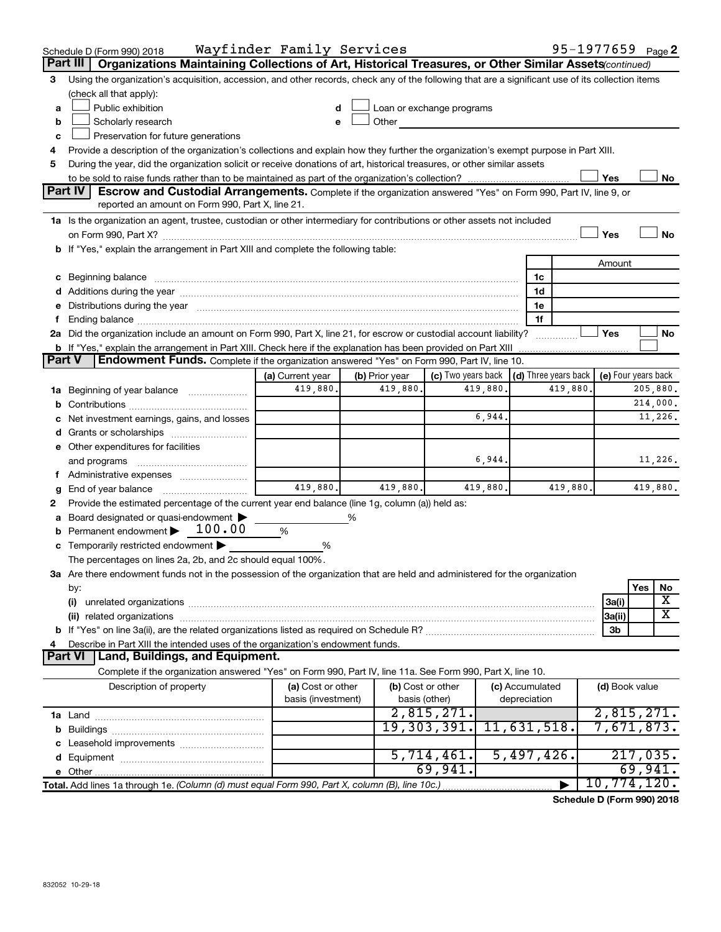| Organizations Maintaining Collections of Art, Historical Treasures, or Other Similar Assets (continued)<br>Part III<br>Using the organization's acquisition, accession, and other records, check any of the following that are a significant use of its collection items<br>3<br>(check all that apply):<br>Public exhibition<br>Loan or exchange programs<br>a<br>Scholarly research<br>Other<br>b<br>Preservation for future generations<br>c<br>Provide a description of the organization's collections and explain how they further the organization's exempt purpose in Part XIII.<br>During the year, did the organization solicit or receive donations of art, historical treasures, or other similar assets<br>5<br>Yes<br><b>Part IV</b><br><b>Escrow and Custodial Arrangements.</b> Complete if the organization answered "Yes" on Form 990, Part IV, line 9, or<br>reported an amount on Form 990, Part X, line 21.<br>1a Is the organization an agent, trustee, custodian or other intermediary for contributions or other assets not included<br>Yes<br>b If "Yes," explain the arrangement in Part XIII and complete the following table:<br>Amount<br>c Beginning balance measurements and the contract of the contract of the contract of the contract of the contract of the contract of the contract of the contract of the contract of the contract of the contract of the contr<br>1c<br>1d<br>e Distributions during the year manufactured and contained and contained and the year manufactured and contained and the year manufactured and contained and contained and contained and contained and contained and contained<br>1e<br>1f<br>f<br>2a Did the organization include an amount on Form 990, Part X, line 21, for escrow or custodial account liability?<br>Yes<br>. | No<br>No<br>No |
|-------------------------------------------------------------------------------------------------------------------------------------------------------------------------------------------------------------------------------------------------------------------------------------------------------------------------------------------------------------------------------------------------------------------------------------------------------------------------------------------------------------------------------------------------------------------------------------------------------------------------------------------------------------------------------------------------------------------------------------------------------------------------------------------------------------------------------------------------------------------------------------------------------------------------------------------------------------------------------------------------------------------------------------------------------------------------------------------------------------------------------------------------------------------------------------------------------------------------------------------------------------------------------------------------------------------------------------------------------------------------------------------------------------------------------------------------------------------------------------------------------------------------------------------------------------------------------------------------------------------------------------------------------------------------------------------------------------------------------------------------------------------------------------------------------|----------------|
|                                                                                                                                                                                                                                                                                                                                                                                                                                                                                                                                                                                                                                                                                                                                                                                                                                                                                                                                                                                                                                                                                                                                                                                                                                                                                                                                                                                                                                                                                                                                                                                                                                                                                                                                                                                                       |                |
|                                                                                                                                                                                                                                                                                                                                                                                                                                                                                                                                                                                                                                                                                                                                                                                                                                                                                                                                                                                                                                                                                                                                                                                                                                                                                                                                                                                                                                                                                                                                                                                                                                                                                                                                                                                                       |                |
|                                                                                                                                                                                                                                                                                                                                                                                                                                                                                                                                                                                                                                                                                                                                                                                                                                                                                                                                                                                                                                                                                                                                                                                                                                                                                                                                                                                                                                                                                                                                                                                                                                                                                                                                                                                                       |                |
|                                                                                                                                                                                                                                                                                                                                                                                                                                                                                                                                                                                                                                                                                                                                                                                                                                                                                                                                                                                                                                                                                                                                                                                                                                                                                                                                                                                                                                                                                                                                                                                                                                                                                                                                                                                                       |                |
|                                                                                                                                                                                                                                                                                                                                                                                                                                                                                                                                                                                                                                                                                                                                                                                                                                                                                                                                                                                                                                                                                                                                                                                                                                                                                                                                                                                                                                                                                                                                                                                                                                                                                                                                                                                                       |                |
|                                                                                                                                                                                                                                                                                                                                                                                                                                                                                                                                                                                                                                                                                                                                                                                                                                                                                                                                                                                                                                                                                                                                                                                                                                                                                                                                                                                                                                                                                                                                                                                                                                                                                                                                                                                                       |                |
|                                                                                                                                                                                                                                                                                                                                                                                                                                                                                                                                                                                                                                                                                                                                                                                                                                                                                                                                                                                                                                                                                                                                                                                                                                                                                                                                                                                                                                                                                                                                                                                                                                                                                                                                                                                                       |                |
|                                                                                                                                                                                                                                                                                                                                                                                                                                                                                                                                                                                                                                                                                                                                                                                                                                                                                                                                                                                                                                                                                                                                                                                                                                                                                                                                                                                                                                                                                                                                                                                                                                                                                                                                                                                                       |                |
|                                                                                                                                                                                                                                                                                                                                                                                                                                                                                                                                                                                                                                                                                                                                                                                                                                                                                                                                                                                                                                                                                                                                                                                                                                                                                                                                                                                                                                                                                                                                                                                                                                                                                                                                                                                                       |                |
|                                                                                                                                                                                                                                                                                                                                                                                                                                                                                                                                                                                                                                                                                                                                                                                                                                                                                                                                                                                                                                                                                                                                                                                                                                                                                                                                                                                                                                                                                                                                                                                                                                                                                                                                                                                                       |                |
|                                                                                                                                                                                                                                                                                                                                                                                                                                                                                                                                                                                                                                                                                                                                                                                                                                                                                                                                                                                                                                                                                                                                                                                                                                                                                                                                                                                                                                                                                                                                                                                                                                                                                                                                                                                                       |                |
|                                                                                                                                                                                                                                                                                                                                                                                                                                                                                                                                                                                                                                                                                                                                                                                                                                                                                                                                                                                                                                                                                                                                                                                                                                                                                                                                                                                                                                                                                                                                                                                                                                                                                                                                                                                                       |                |
|                                                                                                                                                                                                                                                                                                                                                                                                                                                                                                                                                                                                                                                                                                                                                                                                                                                                                                                                                                                                                                                                                                                                                                                                                                                                                                                                                                                                                                                                                                                                                                                                                                                                                                                                                                                                       |                |
|                                                                                                                                                                                                                                                                                                                                                                                                                                                                                                                                                                                                                                                                                                                                                                                                                                                                                                                                                                                                                                                                                                                                                                                                                                                                                                                                                                                                                                                                                                                                                                                                                                                                                                                                                                                                       |                |
|                                                                                                                                                                                                                                                                                                                                                                                                                                                                                                                                                                                                                                                                                                                                                                                                                                                                                                                                                                                                                                                                                                                                                                                                                                                                                                                                                                                                                                                                                                                                                                                                                                                                                                                                                                                                       |                |
|                                                                                                                                                                                                                                                                                                                                                                                                                                                                                                                                                                                                                                                                                                                                                                                                                                                                                                                                                                                                                                                                                                                                                                                                                                                                                                                                                                                                                                                                                                                                                                                                                                                                                                                                                                                                       |                |
|                                                                                                                                                                                                                                                                                                                                                                                                                                                                                                                                                                                                                                                                                                                                                                                                                                                                                                                                                                                                                                                                                                                                                                                                                                                                                                                                                                                                                                                                                                                                                                                                                                                                                                                                                                                                       |                |
|                                                                                                                                                                                                                                                                                                                                                                                                                                                                                                                                                                                                                                                                                                                                                                                                                                                                                                                                                                                                                                                                                                                                                                                                                                                                                                                                                                                                                                                                                                                                                                                                                                                                                                                                                                                                       |                |
|                                                                                                                                                                                                                                                                                                                                                                                                                                                                                                                                                                                                                                                                                                                                                                                                                                                                                                                                                                                                                                                                                                                                                                                                                                                                                                                                                                                                                                                                                                                                                                                                                                                                                                                                                                                                       |                |
| <b>b</b> If "Yes," explain the arrangement in Part XIII. Check here if the explanation has been provided on Part XIII                                                                                                                                                                                                                                                                                                                                                                                                                                                                                                                                                                                                                                                                                                                                                                                                                                                                                                                                                                                                                                                                                                                                                                                                                                                                                                                                                                                                                                                                                                                                                                                                                                                                                 |                |
| Endowment Funds. Complete if the organization answered "Yes" on Form 990, Part IV, line 10.<br><b>Part V</b>                                                                                                                                                                                                                                                                                                                                                                                                                                                                                                                                                                                                                                                                                                                                                                                                                                                                                                                                                                                                                                                                                                                                                                                                                                                                                                                                                                                                                                                                                                                                                                                                                                                                                          |                |
| (c) Two years back $\vert$ (d) Three years back $\vert$<br>(e) Four years back<br>(a) Current year<br>(b) Prior year                                                                                                                                                                                                                                                                                                                                                                                                                                                                                                                                                                                                                                                                                                                                                                                                                                                                                                                                                                                                                                                                                                                                                                                                                                                                                                                                                                                                                                                                                                                                                                                                                                                                                  |                |
| 419,880.<br>419,880.<br>419,880.<br>419,880<br>1a Beginning of year balance                                                                                                                                                                                                                                                                                                                                                                                                                                                                                                                                                                                                                                                                                                                                                                                                                                                                                                                                                                                                                                                                                                                                                                                                                                                                                                                                                                                                                                                                                                                                                                                                                                                                                                                           | 205,880.       |
|                                                                                                                                                                                                                                                                                                                                                                                                                                                                                                                                                                                                                                                                                                                                                                                                                                                                                                                                                                                                                                                                                                                                                                                                                                                                                                                                                                                                                                                                                                                                                                                                                                                                                                                                                                                                       | 214,000.       |
| 6,944.<br>c Net investment earnings, gains, and losses                                                                                                                                                                                                                                                                                                                                                                                                                                                                                                                                                                                                                                                                                                                                                                                                                                                                                                                                                                                                                                                                                                                                                                                                                                                                                                                                                                                                                                                                                                                                                                                                                                                                                                                                                | 11,226.        |
|                                                                                                                                                                                                                                                                                                                                                                                                                                                                                                                                                                                                                                                                                                                                                                                                                                                                                                                                                                                                                                                                                                                                                                                                                                                                                                                                                                                                                                                                                                                                                                                                                                                                                                                                                                                                       |                |
| e Other expenditures for facilities                                                                                                                                                                                                                                                                                                                                                                                                                                                                                                                                                                                                                                                                                                                                                                                                                                                                                                                                                                                                                                                                                                                                                                                                                                                                                                                                                                                                                                                                                                                                                                                                                                                                                                                                                                   |                |
| 6,944.                                                                                                                                                                                                                                                                                                                                                                                                                                                                                                                                                                                                                                                                                                                                                                                                                                                                                                                                                                                                                                                                                                                                                                                                                                                                                                                                                                                                                                                                                                                                                                                                                                                                                                                                                                                                | 11,226.        |
| f Administrative expenses <i></i>                                                                                                                                                                                                                                                                                                                                                                                                                                                                                                                                                                                                                                                                                                                                                                                                                                                                                                                                                                                                                                                                                                                                                                                                                                                                                                                                                                                                                                                                                                                                                                                                                                                                                                                                                                     |                |
| 419,880.<br>419,880.<br>419,880.<br>419,880.<br>End of year balance <i>manually contained</i><br>g                                                                                                                                                                                                                                                                                                                                                                                                                                                                                                                                                                                                                                                                                                                                                                                                                                                                                                                                                                                                                                                                                                                                                                                                                                                                                                                                                                                                                                                                                                                                                                                                                                                                                                    | 419,880.       |
| Provide the estimated percentage of the current year end balance (line 1g, column (a)) held as:<br>2                                                                                                                                                                                                                                                                                                                                                                                                                                                                                                                                                                                                                                                                                                                                                                                                                                                                                                                                                                                                                                                                                                                                                                                                                                                                                                                                                                                                                                                                                                                                                                                                                                                                                                  |                |
| a Board designated or quasi-endowment ><br>%                                                                                                                                                                                                                                                                                                                                                                                                                                                                                                                                                                                                                                                                                                                                                                                                                                                                                                                                                                                                                                                                                                                                                                                                                                                                                                                                                                                                                                                                                                                                                                                                                                                                                                                                                          |                |
| <b>b</b> Permanent endowment $\blacktriangleright$ 100.00<br>%                                                                                                                                                                                                                                                                                                                                                                                                                                                                                                                                                                                                                                                                                                                                                                                                                                                                                                                                                                                                                                                                                                                                                                                                                                                                                                                                                                                                                                                                                                                                                                                                                                                                                                                                        |                |
| c Temporarily restricted endowment<br>%                                                                                                                                                                                                                                                                                                                                                                                                                                                                                                                                                                                                                                                                                                                                                                                                                                                                                                                                                                                                                                                                                                                                                                                                                                                                                                                                                                                                                                                                                                                                                                                                                                                                                                                                                               |                |
| The percentages on lines 2a, 2b, and 2c should equal 100%.                                                                                                                                                                                                                                                                                                                                                                                                                                                                                                                                                                                                                                                                                                                                                                                                                                                                                                                                                                                                                                                                                                                                                                                                                                                                                                                                                                                                                                                                                                                                                                                                                                                                                                                                            |                |
| 3a Are there endowment funds not in the possession of the organization that are held and administered for the organization                                                                                                                                                                                                                                                                                                                                                                                                                                                                                                                                                                                                                                                                                                                                                                                                                                                                                                                                                                                                                                                                                                                                                                                                                                                                                                                                                                                                                                                                                                                                                                                                                                                                            |                |
| Yes<br>by:                                                                                                                                                                                                                                                                                                                                                                                                                                                                                                                                                                                                                                                                                                                                                                                                                                                                                                                                                                                                                                                                                                                                                                                                                                                                                                                                                                                                                                                                                                                                                                                                                                                                                                                                                                                            | No             |
| 3a(i)                                                                                                                                                                                                                                                                                                                                                                                                                                                                                                                                                                                                                                                                                                                                                                                                                                                                                                                                                                                                                                                                                                                                                                                                                                                                                                                                                                                                                                                                                                                                                                                                                                                                                                                                                                                                 | х              |
| (ii) related organizations contract to the contract of the contract of the contract of the contract of the contract of the contract of the contract of the contract of the contract of the contract of the contract of the con<br> 3a(ii)                                                                                                                                                                                                                                                                                                                                                                                                                                                                                                                                                                                                                                                                                                                                                                                                                                                                                                                                                                                                                                                                                                                                                                                                                                                                                                                                                                                                                                                                                                                                                             | x              |
| 3b                                                                                                                                                                                                                                                                                                                                                                                                                                                                                                                                                                                                                                                                                                                                                                                                                                                                                                                                                                                                                                                                                                                                                                                                                                                                                                                                                                                                                                                                                                                                                                                                                                                                                                                                                                                                    |                |
| Describe in Part XIII the intended uses of the organization's endowment funds.                                                                                                                                                                                                                                                                                                                                                                                                                                                                                                                                                                                                                                                                                                                                                                                                                                                                                                                                                                                                                                                                                                                                                                                                                                                                                                                                                                                                                                                                                                                                                                                                                                                                                                                        |                |
| <b>Land, Buildings, and Equipment.</b><br><b>Part VI</b>                                                                                                                                                                                                                                                                                                                                                                                                                                                                                                                                                                                                                                                                                                                                                                                                                                                                                                                                                                                                                                                                                                                                                                                                                                                                                                                                                                                                                                                                                                                                                                                                                                                                                                                                              |                |
| Complete if the organization answered "Yes" on Form 990, Part IV, line 11a. See Form 990, Part X, line 10.                                                                                                                                                                                                                                                                                                                                                                                                                                                                                                                                                                                                                                                                                                                                                                                                                                                                                                                                                                                                                                                                                                                                                                                                                                                                                                                                                                                                                                                                                                                                                                                                                                                                                            |                |
| (b) Cost or other<br>Description of property<br>(a) Cost or other<br>(c) Accumulated<br>(d) Book value<br>basis (investment)<br>basis (other)<br>depreciation                                                                                                                                                                                                                                                                                                                                                                                                                                                                                                                                                                                                                                                                                                                                                                                                                                                                                                                                                                                                                                                                                                                                                                                                                                                                                                                                                                                                                                                                                                                                                                                                                                         |                |
| 2,815,271.<br>2,815,271.                                                                                                                                                                                                                                                                                                                                                                                                                                                                                                                                                                                                                                                                                                                                                                                                                                                                                                                                                                                                                                                                                                                                                                                                                                                                                                                                                                                                                                                                                                                                                                                                                                                                                                                                                                              |                |
| 19, 303, 391.<br>11,631,518.<br>7,671,873.                                                                                                                                                                                                                                                                                                                                                                                                                                                                                                                                                                                                                                                                                                                                                                                                                                                                                                                                                                                                                                                                                                                                                                                                                                                                                                                                                                                                                                                                                                                                                                                                                                                                                                                                                            |                |
|                                                                                                                                                                                                                                                                                                                                                                                                                                                                                                                                                                                                                                                                                                                                                                                                                                                                                                                                                                                                                                                                                                                                                                                                                                                                                                                                                                                                                                                                                                                                                                                                                                                                                                                                                                                                       |                |
| 5,497,426.<br>5,714,461.                                                                                                                                                                                                                                                                                                                                                                                                                                                                                                                                                                                                                                                                                                                                                                                                                                                                                                                                                                                                                                                                                                                                                                                                                                                                                                                                                                                                                                                                                                                                                                                                                                                                                                                                                                              | 217,035.       |
| 69,941.                                                                                                                                                                                                                                                                                                                                                                                                                                                                                                                                                                                                                                                                                                                                                                                                                                                                                                                                                                                                                                                                                                                                                                                                                                                                                                                                                                                                                                                                                                                                                                                                                                                                                                                                                                                               | 69,941.        |
| 10,774,120.<br>Total. Add lines 1a through 1e. (Column (d) must equal Form 990, Part X, column (B), line 10c.)<br>▶                                                                                                                                                                                                                                                                                                                                                                                                                                                                                                                                                                                                                                                                                                                                                                                                                                                                                                                                                                                                                                                                                                                                                                                                                                                                                                                                                                                                                                                                                                                                                                                                                                                                                   |                |

**Schedule D (Form 990) 2018**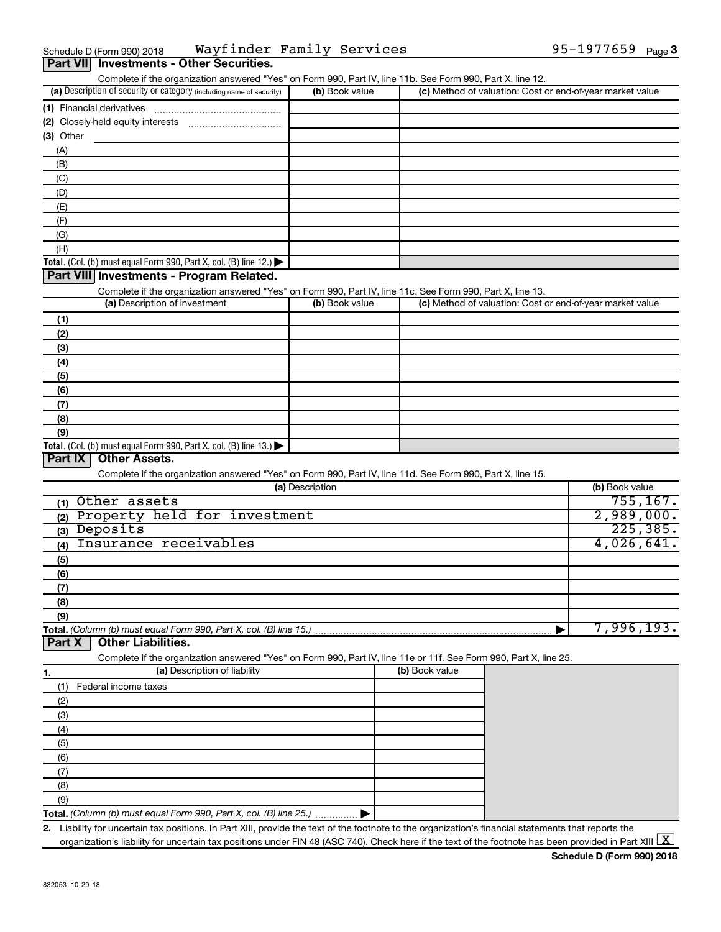| Schedule D (Form 990) 2018 |                                          | Wayfinder Family Services | 95-1977659 $_{Page}$ 3 |  |
|----------------------------|------------------------------------------|---------------------------|------------------------|--|
|                            | Part VII Investments - Other Securities. |                           |                        |  |

| Complete if the organization answered "Yes" on Form 990, Part IV, line 11b. See Form 990, Part X, line 12. |                |                                                           |
|------------------------------------------------------------------------------------------------------------|----------------|-----------------------------------------------------------|
| (a) Description of security or category (including name of security)                                       | (b) Book value | (c) Method of valuation: Cost or end-of-year market value |
| (1) Financial derivatives                                                                                  |                |                                                           |
| (2) Closely-held equity interests                                                                          |                |                                                           |
| $(3)$ Other                                                                                                |                |                                                           |
| (A)                                                                                                        |                |                                                           |
| (B)                                                                                                        |                |                                                           |
| (C)                                                                                                        |                |                                                           |
| (D)                                                                                                        |                |                                                           |
| (E)                                                                                                        |                |                                                           |
| (F)                                                                                                        |                |                                                           |
| (G)                                                                                                        |                |                                                           |
| (H)                                                                                                        |                |                                                           |
| <b>Total.</b> (Col. (b) must equal Form 990, Part X, col. (B) line $12$ .)                                 |                |                                                           |

### **Part VIII Investments - Program Related.**

Complete if the organization answered "Yes" on Form 990, Part IV, line 11c. See Form 990, Part X, line 13.

| (a) Description of investment                                                           | (b) Book value | (c) Method of valuation: Cost or end-of-year market value |
|-----------------------------------------------------------------------------------------|----------------|-----------------------------------------------------------|
| (1)                                                                                     |                |                                                           |
| (2)                                                                                     |                |                                                           |
| (3)                                                                                     |                |                                                           |
| (4)                                                                                     |                |                                                           |
| (5)                                                                                     |                |                                                           |
| (6)                                                                                     |                |                                                           |
| (7)                                                                                     |                |                                                           |
| (8)                                                                                     |                |                                                           |
| (9)                                                                                     |                |                                                           |
| Total. (Col. (b) must equal Form 990, Part X, col. (B) line $13.$ $\blacktriangleright$ |                |                                                           |

#### **Part IX Other Assets.**

Complete if the organization answered "Yes" on Form 990, Part IV, line 11d. See Form 990, Part X, line 15.

| (a) Description                     | (b) Book value |
|-------------------------------------|----------------|
| Other assets<br>(1)                 | 755, 167.      |
| Property held for investment<br>(2) | 2,989,000.     |
| Deposits<br>(3)                     | 225, 385.      |
| Insurance receivables<br>(4)        | 4,026,641.     |
| (5)                                 |                |
| (6)                                 |                |
| (7)                                 |                |
| (8)                                 |                |
| (9)                                 |                |
|                                     | 7,996,193.     |

#### **Part X Other Liabilities.**

Complete if the organization answered "Yes" on Form 990, Part IV, line 11e or 11f. See Form 990, Part X, line 25.

|     | (a) Description of liability                                       | (b) Book value |
|-----|--------------------------------------------------------------------|----------------|
|     | Federal income taxes                                               |                |
| (2) |                                                                    |                |
| (3) |                                                                    |                |
| (4) |                                                                    |                |
| (5) |                                                                    |                |
| (6) |                                                                    |                |
|     |                                                                    |                |
| (8) |                                                                    |                |
| (9) |                                                                    |                |
|     | Total. (Column (b) must equal Form 990, Part X, col. (B) line 25.) |                |

**2.** Liability for uncertain tax positions. In Part XIII, provide the text of the footnote to the organization's financial statements that reports the organization's liability for uncertain tax positions under FIN 48 (ASC 740). Check here if the text of the footnote has been provided in Part XIII  $\boxed{\text{X}}$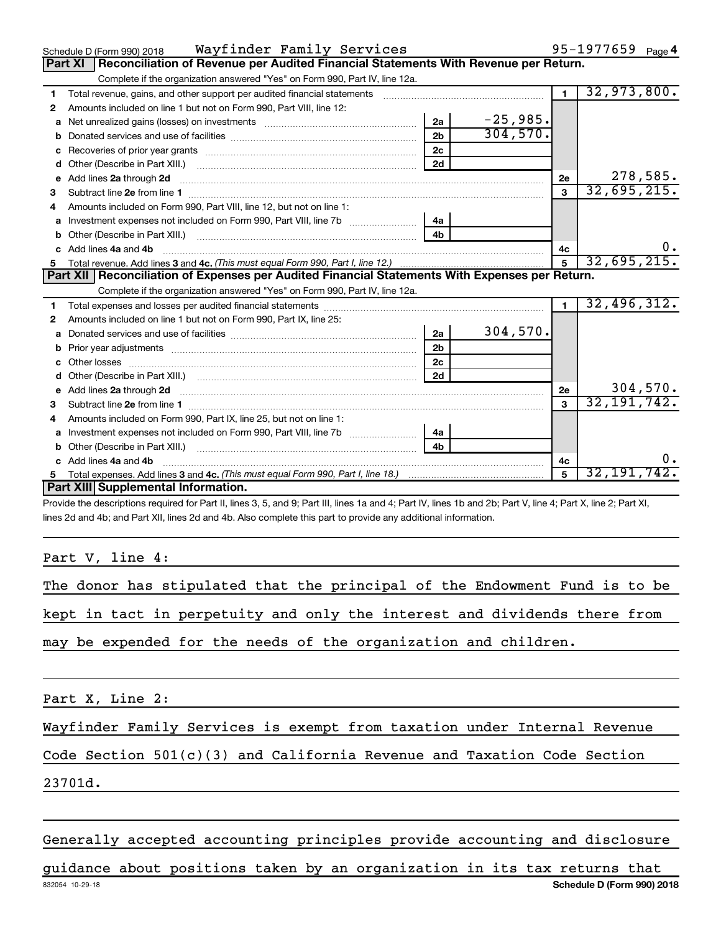|    | Wayfinder Family Services<br>Schedule D (Form 990) 2018                                                                                                                                                                             |                |            |                | 95-1977659 $_{Page 4}$ |
|----|-------------------------------------------------------------------------------------------------------------------------------------------------------------------------------------------------------------------------------------|----------------|------------|----------------|------------------------|
|    | Reconciliation of Revenue per Audited Financial Statements With Revenue per Return.<br><b>Part XI</b>                                                                                                                               |                |            |                |                        |
|    | Complete if the organization answered "Yes" on Form 990, Part IV, line 12a.                                                                                                                                                         |                |            |                |                        |
| 1  | Total revenue, gains, and other support per audited financial statements [[[[[[[[[[[[[[[[[[[[[[[[]]]]]]]]]]]]                                                                                                                       |                |            | $\overline{1}$ | 32,973,800.            |
| 2  | Amounts included on line 1 but not on Form 990, Part VIII, line 12:                                                                                                                                                                 |                |            |                |                        |
| a  | Net unrealized gains (losses) on investments [111] [12] matter contracts and the unrealized gains (losses) on investments [11] matter contracts and the unrealized gains (losses) on investments [11] matter contracts and the      | 2a             | $-25,985.$ |                |                        |
| b  |                                                                                                                                                                                                                                     | 2 <sub>b</sub> | 304,570.   |                |                        |
| C  |                                                                                                                                                                                                                                     | 2 <sub>c</sub> |            |                |                        |
| d  |                                                                                                                                                                                                                                     | 2d             |            |                |                        |
| e  | Add lines 2a through 2d                                                                                                                                                                                                             |                |            | 2e             | 278,585.               |
| 3  |                                                                                                                                                                                                                                     |                |            | $\mathbf{3}$   | 32,695,215.            |
| 4  | Amounts included on Form 990, Part VIII, line 12, but not on line 1:                                                                                                                                                                |                |            |                |                        |
|    | Investment expenses not included on Form 990, Part VIII, line 7b [1001111111111111111111111111111111                                                                                                                                | - 4a           |            |                |                        |
| b  |                                                                                                                                                                                                                                     | 4 <sub>b</sub> |            |                |                        |
| c. | Add lines 4a and 4b                                                                                                                                                                                                                 |                |            | 4с             |                        |
| 5  |                                                                                                                                                                                                                                     |                |            | 5              | 32,695,215.            |
|    |                                                                                                                                                                                                                                     |                |            |                |                        |
|    | Part XII Reconciliation of Expenses per Audited Financial Statements With Expenses per Return.                                                                                                                                      |                |            |                |                        |
|    | Complete if the organization answered "Yes" on Form 990, Part IV, line 12a.                                                                                                                                                         |                |            |                |                        |
| 1  |                                                                                                                                                                                                                                     |                |            | $\blacksquare$ | 32,496,312.            |
| 2  | Amounts included on line 1 but not on Form 990, Part IX, line 25:                                                                                                                                                                   |                |            |                |                        |
| a  |                                                                                                                                                                                                                                     | 2a             | 304,570.   |                |                        |
| b  |                                                                                                                                                                                                                                     | 2 <sub>b</sub> |            |                |                        |
| c  |                                                                                                                                                                                                                                     | 2c             |            |                |                        |
|    |                                                                                                                                                                                                                                     | 2d             |            |                |                        |
| е  | Add lines 2a through 2d <b>[10]</b> University of the state of the state of the state of the state of the state of the state of the state of the state of the state of the state of the state of the state of the state of the stat |                |            | 2e             | 304,570.               |
| З  |                                                                                                                                                                                                                                     |                |            | $\mathbf{3}$   | 32, 191, 742.          |
| 4  | Amounts included on Form 990, Part IX, line 25, but not on line 1:                                                                                                                                                                  |                |            |                |                        |
| a  |                                                                                                                                                                                                                                     | 4a             |            |                |                        |
| b  |                                                                                                                                                                                                                                     | 4b             |            |                |                        |
|    | Add lines 4a and 4b                                                                                                                                                                                                                 |                |            | 4c             | 0.                     |
|    | <b>Part XIII</b> Supplemental Information.                                                                                                                                                                                          |                |            | $\mathbf{5}$   | 32, 191, 742.          |

Provide the descriptions required for Part II, lines 3, 5, and 9; Part III, lines 1a and 4; Part IV, lines 1b and 2b; Part V, line 4; Part X, line 2; Part XI, lines 2d and 4b; and Part XII, lines 2d and 4b. Also complete this part to provide any additional information.

Part V, line 4:

The donor has stipulated that the principal of the Endowment Fund is to be kept in tact in perpetuity and only the interest and dividends there from may be expended for the needs of the organization and children.

Part X, Line 2:

Wayfinder Family Services is exempt from taxation under Internal Revenue

Code Section 501(c)(3) and California Revenue and Taxation Code Section

23701d.

Generally accepted accounting principles provide accounting and disclosure

832054 10-29-18 **Schedule D (Form 990) 2018** guidance about positions taken by an organization in its tax returns that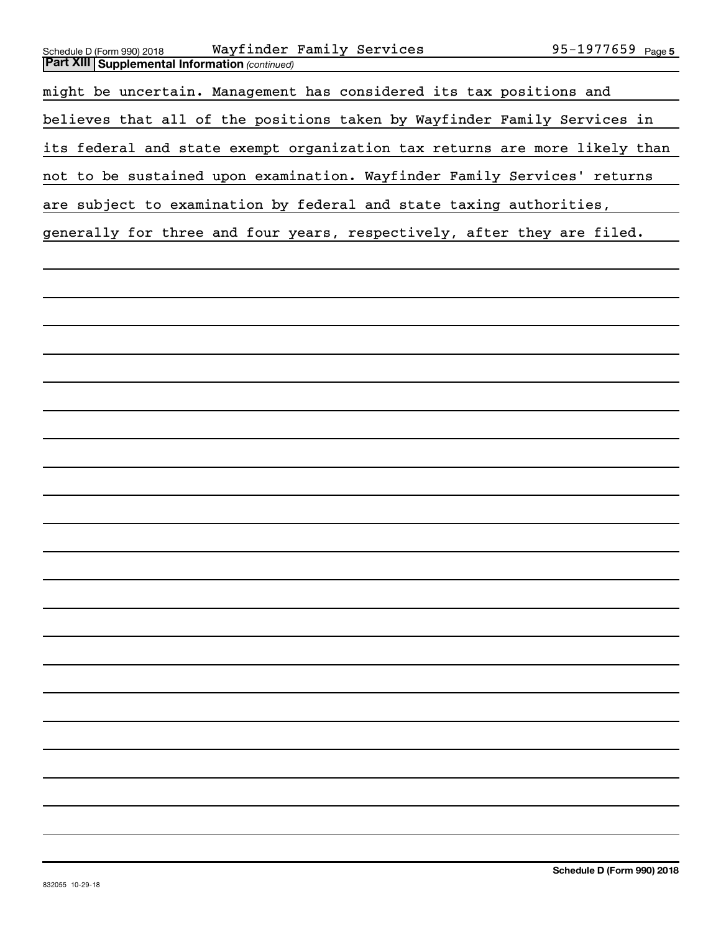| Wayfinder Family Services<br>Schedule D (Form 990) 2018<br><b>Part XIII Supplemental Information (continued)</b> | 95-1977659 Page 5          |
|------------------------------------------------------------------------------------------------------------------|----------------------------|
|                                                                                                                  |                            |
| might be uncertain. Management has considered its tax positions and                                              |                            |
| believes that all of the positions taken by Wayfinder Family Services in                                         |                            |
| its federal and state exempt organization tax returns are more likely than                                       |                            |
| not to be sustained upon examination. Wayfinder Family Services' returns                                         |                            |
| are subject to examination by federal and state taxing authorities,                                              |                            |
| generally for three and four years, respectively, after they are filed.                                          |                            |
|                                                                                                                  |                            |
|                                                                                                                  |                            |
|                                                                                                                  |                            |
|                                                                                                                  |                            |
|                                                                                                                  |                            |
|                                                                                                                  |                            |
|                                                                                                                  |                            |
|                                                                                                                  |                            |
|                                                                                                                  |                            |
|                                                                                                                  |                            |
|                                                                                                                  |                            |
|                                                                                                                  |                            |
|                                                                                                                  |                            |
|                                                                                                                  |                            |
|                                                                                                                  |                            |
|                                                                                                                  |                            |
|                                                                                                                  |                            |
|                                                                                                                  |                            |
|                                                                                                                  |                            |
|                                                                                                                  |                            |
|                                                                                                                  |                            |
|                                                                                                                  |                            |
|                                                                                                                  |                            |
| 832055 10-29-18                                                                                                  | Schedule D (Form 990) 2018 |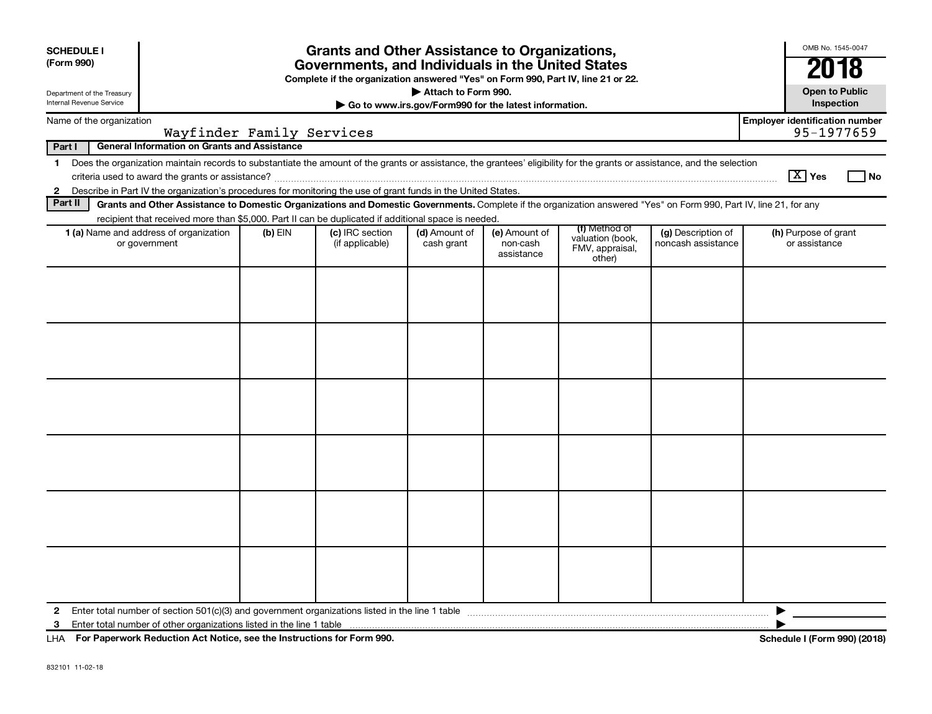| <b>SCHEDULE I</b><br>(Form 990)<br>Department of the Treasury<br>Internal Revenue Service |                                                                                                                                                                                                                                                                                           |                           | <b>Grants and Other Assistance to Organizations,</b><br>Governments, and Individuals in the United States<br>Complete if the organization answered "Yes" on Form 990, Part IV, line 21 or 22. | Attach to Form 990.<br>Go to www.irs.gov/Form990 for the latest information. |                                         |                                                                |                                          | OMB No. 1545-0047<br>2018<br><b>Open to Public</b><br>Inspection |
|-------------------------------------------------------------------------------------------|-------------------------------------------------------------------------------------------------------------------------------------------------------------------------------------------------------------------------------------------------------------------------------------------|---------------------------|-----------------------------------------------------------------------------------------------------------------------------------------------------------------------------------------------|------------------------------------------------------------------------------|-----------------------------------------|----------------------------------------------------------------|------------------------------------------|------------------------------------------------------------------|
| Name of the organization                                                                  |                                                                                                                                                                                                                                                                                           |                           |                                                                                                                                                                                               |                                                                              |                                         |                                                                |                                          | <b>Employer identification number</b>                            |
|                                                                                           |                                                                                                                                                                                                                                                                                           | Wayfinder Family Services |                                                                                                                                                                                               |                                                                              |                                         |                                                                |                                          | 95-1977659                                                       |
| Part I                                                                                    | <b>General Information on Grants and Assistance</b>                                                                                                                                                                                                                                       |                           |                                                                                                                                                                                               |                                                                              |                                         |                                                                |                                          |                                                                  |
| 1                                                                                         | Does the organization maintain records to substantiate the amount of the grants or assistance, the grantees' eligibility for the grants or assistance, and the selection<br>Describe in Part IV the organization's procedures for monitoring the use of grant funds in the United States. |                           |                                                                                                                                                                                               |                                                                              |                                         |                                                                |                                          | $ \mathbf{X} $ Yes<br>l No                                       |
| $\mathbf{2}$<br>Part II                                                                   | Grants and Other Assistance to Domestic Organizations and Domestic Governments. Complete if the organization answered "Yes" on Form 990, Part IV, line 21, for any                                                                                                                        |                           |                                                                                                                                                                                               |                                                                              |                                         |                                                                |                                          |                                                                  |
|                                                                                           | recipient that received more than \$5,000. Part II can be duplicated if additional space is needed.                                                                                                                                                                                       |                           |                                                                                                                                                                                               |                                                                              |                                         |                                                                |                                          |                                                                  |
|                                                                                           | <b>1 (a)</b> Name and address of organization<br>or government                                                                                                                                                                                                                            | $(b)$ EIN                 | (c) IRC section<br>(if applicable)                                                                                                                                                            | (d) Amount of<br>cash grant                                                  | (e) Amount of<br>non-cash<br>assistance | (f) Method of<br>valuation (book,<br>FMV, appraisal,<br>other) | (g) Description of<br>noncash assistance | (h) Purpose of grant<br>or assistance                            |
|                                                                                           |                                                                                                                                                                                                                                                                                           |                           |                                                                                                                                                                                               |                                                                              |                                         |                                                                |                                          |                                                                  |
|                                                                                           |                                                                                                                                                                                                                                                                                           |                           |                                                                                                                                                                                               |                                                                              |                                         |                                                                |                                          |                                                                  |
|                                                                                           |                                                                                                                                                                                                                                                                                           |                           |                                                                                                                                                                                               |                                                                              |                                         |                                                                |                                          |                                                                  |
|                                                                                           |                                                                                                                                                                                                                                                                                           |                           |                                                                                                                                                                                               |                                                                              |                                         |                                                                |                                          |                                                                  |
|                                                                                           |                                                                                                                                                                                                                                                                                           |                           |                                                                                                                                                                                               |                                                                              |                                         |                                                                |                                          |                                                                  |
|                                                                                           |                                                                                                                                                                                                                                                                                           |                           |                                                                                                                                                                                               |                                                                              |                                         |                                                                |                                          |                                                                  |
| $\mathbf{2}$                                                                              | Enter total number of section $501(c)(3)$ and government organizations listed in the line 1 table                                                                                                                                                                                         |                           |                                                                                                                                                                                               |                                                                              |                                         |                                                                |                                          |                                                                  |
| 3                                                                                         | Enter total number of other organizations listed in the line 1 table                                                                                                                                                                                                                      |                           |                                                                                                                                                                                               |                                                                              |                                         |                                                                |                                          |                                                                  |
|                                                                                           | LHA For Paperwork Reduction Act Notice, see the Instructions for Form 990.                                                                                                                                                                                                                |                           |                                                                                                                                                                                               |                                                                              |                                         |                                                                |                                          | Schedule I (Form 990) (2018)                                     |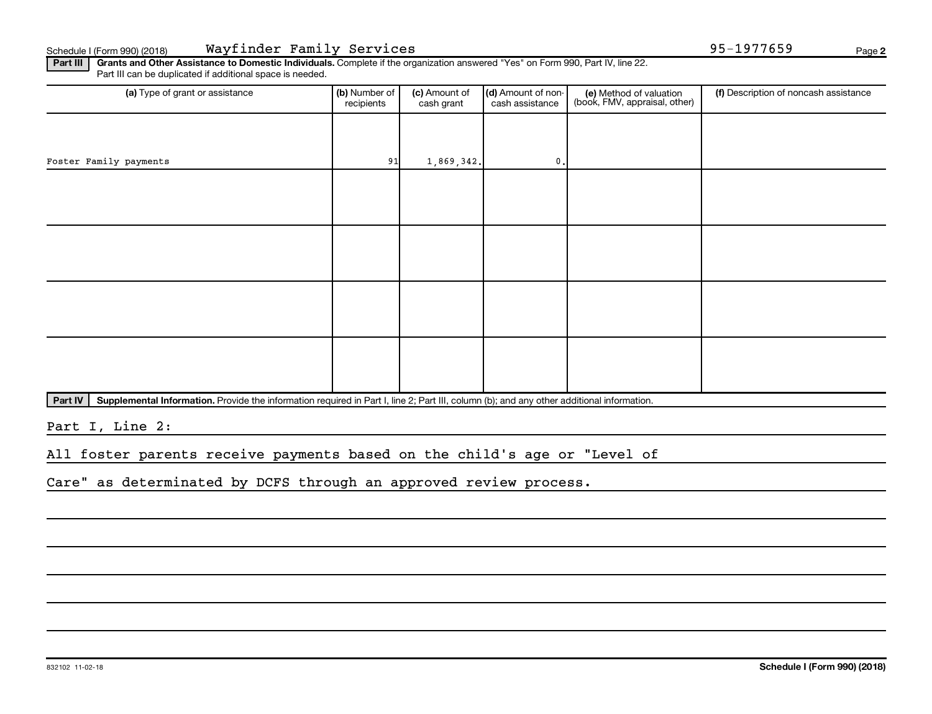Schedule I (Form 990) (2018) Page Wayfinder Family Services 95-1977659

Part III | Grants and Other Assistance to Domestic Individuals. Complete if the organization answered "Yes" on Form 990, Part IV, line 22. Part III can be duplicated if additional space is needed.

| (a) Type of grant or assistance | (b) Number of<br>recipients | (c) Amount of<br>cash grant | (d) Amount of non-<br>cash assistance | (e) Method of valuation<br>(book, FMV, appraisal, other) | (f) Description of noncash assistance |
|---------------------------------|-----------------------------|-----------------------------|---------------------------------------|----------------------------------------------------------|---------------------------------------|
|                                 |                             |                             |                                       |                                                          |                                       |
| Foster Family payments          | 91                          | 1,869,342.                  | 0.                                    |                                                          |                                       |
|                                 |                             |                             |                                       |                                                          |                                       |
|                                 |                             |                             |                                       |                                                          |                                       |
|                                 |                             |                             |                                       |                                                          |                                       |
|                                 |                             |                             |                                       |                                                          |                                       |
|                                 |                             |                             |                                       |                                                          |                                       |
|                                 |                             |                             |                                       |                                                          |                                       |
|                                 |                             |                             |                                       |                                                          |                                       |
|                                 |                             |                             |                                       |                                                          |                                       |

Part IV | Supplemental Information. Provide the information required in Part I, line 2; Part III, column (b); and any other additional information.

Part I, Line 2:

All foster parents receive payments based on the child's age or "Level of

Care" as determinated by DCFS through an approved review process.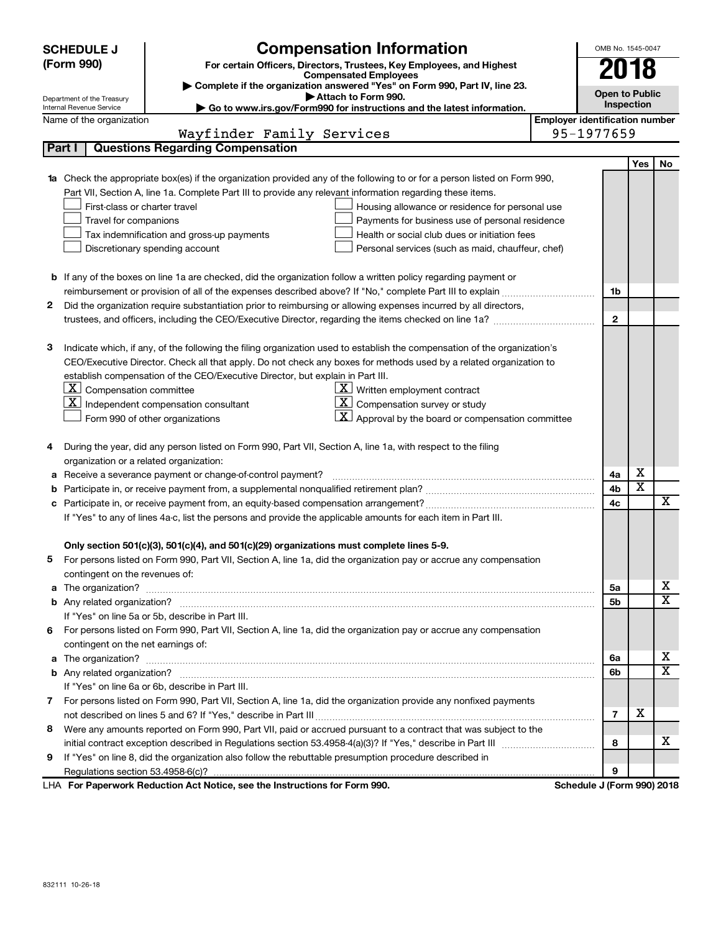|    | <b>SCHEDULE J</b>                                                                   | <b>Compensation Information</b>                                                                                                  |                                       | OMB No. 1545-0047          |                         |                         |
|----|-------------------------------------------------------------------------------------|----------------------------------------------------------------------------------------------------------------------------------|---------------------------------------|----------------------------|-------------------------|-------------------------|
|    | (Form 990)<br>For certain Officers, Directors, Trustees, Key Employees, and Highest |                                                                                                                                  |                                       | 2018                       |                         |                         |
|    |                                                                                     | <b>Compensated Employees</b>                                                                                                     |                                       |                            |                         |                         |
|    |                                                                                     | Complete if the organization answered "Yes" on Form 990, Part IV, line 23.<br>Attach to Form 990.                                |                                       | <b>Open to Public</b>      |                         |                         |
|    | Department of the Treasury<br>Internal Revenue Service                              | Go to www.irs.gov/Form990 for instructions and the latest information.                                                           |                                       | Inspection                 |                         |                         |
|    | Name of the organization                                                            |                                                                                                                                  | <b>Employer identification number</b> |                            |                         |                         |
|    |                                                                                     | Wayfinder Family Services                                                                                                        |                                       | 95-1977659                 |                         |                         |
|    | Part I                                                                              | <b>Questions Regarding Compensation</b>                                                                                          |                                       |                            |                         |                         |
|    |                                                                                     |                                                                                                                                  |                                       |                            | Yes                     | No                      |
|    |                                                                                     | <b>1a</b> Check the appropriate box(es) if the organization provided any of the following to or for a person listed on Form 990, |                                       |                            |                         |                         |
|    |                                                                                     | Part VII, Section A, line 1a. Complete Part III to provide any relevant information regarding these items.                       |                                       |                            |                         |                         |
|    | First-class or charter travel                                                       | Housing allowance or residence for personal use                                                                                  |                                       |                            |                         |                         |
|    | Travel for companions                                                               | Payments for business use of personal residence                                                                                  |                                       |                            |                         |                         |
|    |                                                                                     | Tax indemnification and gross-up payments<br>Health or social club dues or initiation fees                                       |                                       |                            |                         |                         |
|    |                                                                                     | Discretionary spending account<br>Personal services (such as maid, chauffeur, chef)                                              |                                       |                            |                         |                         |
|    |                                                                                     |                                                                                                                                  |                                       |                            |                         |                         |
|    |                                                                                     | <b>b</b> If any of the boxes on line 1a are checked, did the organization follow a written policy regarding payment or           |                                       |                            |                         |                         |
|    |                                                                                     |                                                                                                                                  |                                       | 1b                         |                         |                         |
| 2. |                                                                                     | Did the organization require substantiation prior to reimbursing or allowing expenses incurred by all directors,                 |                                       |                            |                         |                         |
|    |                                                                                     |                                                                                                                                  |                                       | $\mathbf{2}$               |                         |                         |
|    |                                                                                     |                                                                                                                                  |                                       |                            |                         |                         |
| з  |                                                                                     | Indicate which, if any, of the following the filing organization used to establish the compensation of the organization's        |                                       |                            |                         |                         |
|    |                                                                                     | CEO/Executive Director. Check all that apply. Do not check any boxes for methods used by a related organization to               |                                       |                            |                         |                         |
|    |                                                                                     | establish compensation of the CEO/Executive Director, but explain in Part III.                                                   |                                       |                            |                         |                         |
|    | $\lfloor \underline{\textbf{X}} \rfloor$ Compensation committee                     | $\underline{\mathbf{X}}$ Written employment contract                                                                             |                                       |                            |                         |                         |
|    | X                                                                                   | $ \mathbf{X} $ Compensation survey or study<br>Independent compensation consultant                                               |                                       |                            |                         |                         |
|    |                                                                                     | $\mathbf{X}$ Approval by the board or compensation committee<br>Form 990 of other organizations                                  |                                       |                            |                         |                         |
|    |                                                                                     |                                                                                                                                  |                                       |                            |                         |                         |
| 4  |                                                                                     | During the year, did any person listed on Form 990, Part VII, Section A, line 1a, with respect to the filing                     |                                       |                            |                         |                         |
|    | organization or a related organization:                                             |                                                                                                                                  |                                       |                            |                         |                         |
| а  |                                                                                     | Receive a severance payment or change-of-control payment?                                                                        |                                       | 4a                         | х                       |                         |
| b  |                                                                                     |                                                                                                                                  |                                       | 4b                         | $\overline{\textbf{x}}$ |                         |
|    |                                                                                     |                                                                                                                                  |                                       | 4c                         |                         | $\overline{\mathbf{X}}$ |
|    |                                                                                     | If "Yes" to any of lines 4a-c, list the persons and provide the applicable amounts for each item in Part III.                    |                                       |                            |                         |                         |
|    |                                                                                     |                                                                                                                                  |                                       |                            |                         |                         |
|    |                                                                                     | Only section 501(c)(3), 501(c)(4), and 501(c)(29) organizations must complete lines 5-9.                                         |                                       |                            |                         |                         |
|    |                                                                                     | For persons listed on Form 990, Part VII, Section A, line 1a, did the organization pay or accrue any compensation                |                                       |                            |                         |                         |
|    | contingent on the revenues of:                                                      |                                                                                                                                  |                                       |                            |                         |                         |
|    |                                                                                     | a The organization? <b>Process and Construction Construction</b> and The organization?                                           |                                       | 5а                         |                         | х<br>x                  |
|    |                                                                                     |                                                                                                                                  |                                       | 5b                         |                         |                         |
|    |                                                                                     | If "Yes" on line 5a or 5b, describe in Part III.                                                                                 |                                       |                            |                         |                         |
|    |                                                                                     | 6 For persons listed on Form 990, Part VII, Section A, line 1a, did the organization pay or accrue any compensation              |                                       |                            |                         |                         |
|    | contingent on the net earnings of:                                                  |                                                                                                                                  |                                       |                            |                         | х                       |
|    |                                                                                     |                                                                                                                                  |                                       | 6a<br>6b                   |                         | X                       |
|    |                                                                                     | If "Yes" on line 6a or 6b, describe in Part III.                                                                                 |                                       |                            |                         |                         |
|    |                                                                                     | 7 For persons listed on Form 990, Part VII, Section A, line 1a, did the organization provide any nonfixed payments               |                                       |                            |                         |                         |
|    |                                                                                     |                                                                                                                                  |                                       | $\overline{7}$             | х                       |                         |
| 8  |                                                                                     | Were any amounts reported on Form 990, Part VII, paid or accrued pursuant to a contract that was subject to the                  |                                       |                            |                         |                         |
|    |                                                                                     |                                                                                                                                  |                                       | 8                          |                         | x.                      |
| 9  |                                                                                     | If "Yes" on line 8, did the organization also follow the rebuttable presumption procedure described in                           |                                       |                            |                         |                         |
|    |                                                                                     |                                                                                                                                  |                                       | 9                          |                         |                         |
|    |                                                                                     | LHA For Paperwork Reduction Act Notice, see the Instructions for Form 990.                                                       |                                       | Schedule J (Form 990) 2018 |                         |                         |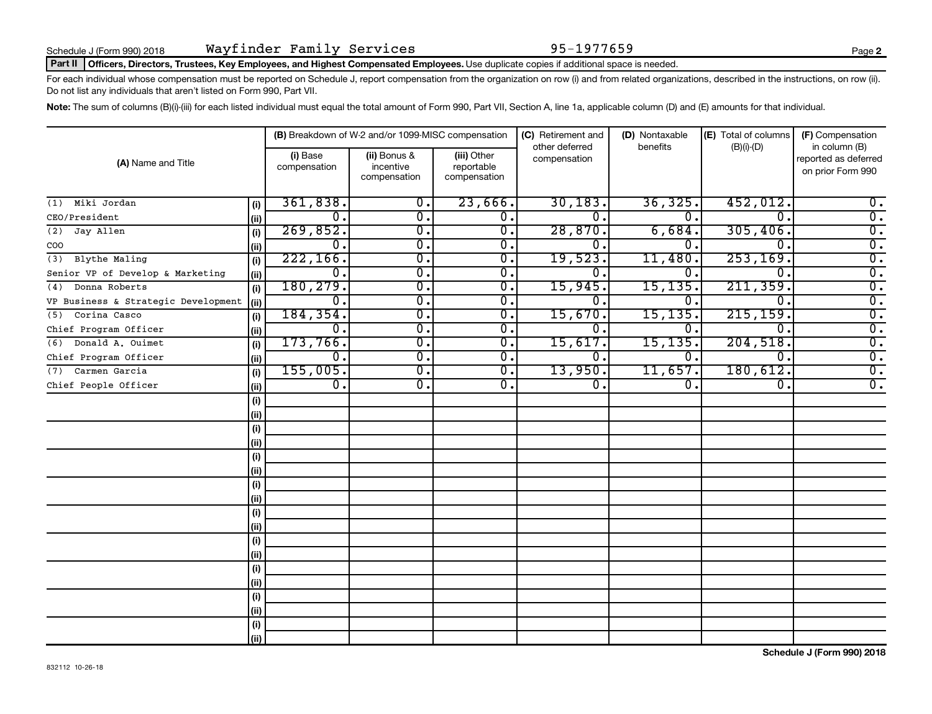#### Part II | Officers, Directors, Trustees, Key Employees, and Highest Compensated Employees. Use duplicate copies if additional space is needed.

For each individual whose compensation must be reported on Schedule J, report compensation from the organization on row (i) and from related organizations, described in the instructions, on row (ii). Do not list any individuals that aren't listed on Form 990, Part VII.

Note: The sum of columns (B)(i)-(iii) for each listed individual must equal the total amount of Form 990, Part VII, Section A, line 1a, applicable column (D) and (E) amounts for that individual.

| (A) Name and Title                  |      |                           | (B) Breakdown of W-2 and/or 1099-MISC compensation |                                           | (C) Retirement and             | (D) Nontaxable | (E) Total of columns | (F) Compensation                                           |
|-------------------------------------|------|---------------------------|----------------------------------------------------|-------------------------------------------|--------------------------------|----------------|----------------------|------------------------------------------------------------|
|                                     |      | (i) Base<br>compensation  | (ii) Bonus &<br>incentive<br>compensation          | (iii) Other<br>reportable<br>compensation | other deferred<br>compensation | benefits       | $(B)(i)$ - $(D)$     | in column (B)<br>reported as deferred<br>on prior Form 990 |
| Miki Jordan<br>(1)                  | (i)  | 361,838.                  | 0.                                                 | 23,666.                                   | 30, 183.                       | 36, 325.       | 452,012.             | $0$ .                                                      |
| CEO/President                       | (i)  | 0.                        | 0.                                                 | 0.                                        | 0                              | $\Omega$ .     | $\Omega$             | $\overline{0}$ .                                           |
| Jay Allen<br>(2)                    | (i)  | 269,852.                  | $\overline{0}$ .                                   | $\overline{0}$ .                          | 28,870.                        | 6,684.         | 305,406.             | $\overline{0}$ .                                           |
| COO                                 | (ii) | 0.                        | $\overline{0}$ .                                   | $\overline{0}$ .                          | 0                              | 0              | $\Omega$ .           | $\overline{0}$ .                                           |
| Blythe Maling<br>(3)                | (i)  | 222, 166.                 | $\overline{0}$ .                                   | $\overline{0}$ .                          | 19,523.                        | 11,480         | 253, 169.            | $\overline{0}$ .                                           |
| Senior VP of Develop & Marketing    | (ii) | 0.                        | $\overline{0}$ .                                   | 0.                                        | 0                              | 0.             | $\overline{0}$       | $\overline{0}$ .                                           |
| Donna Roberts<br>(4)                | (i)  | 180,279.                  | $\overline{0}$ .                                   | $\overline{0}$ .                          | 15,945.                        | 15, 135.       | 211, 359.            | $\overline{0}$ .                                           |
| VP Business & Strategic Development | (ii) | 0.                        | $\overline{0}$ .                                   | $\overline{0}$ .                          | 0.                             | 0.             | 0.                   | $\overline{0}$ .                                           |
| Corina Casco<br>(5)                 | (i)  | 184, 354.                 | $\overline{\mathfrak{o}}$ .                        | $\overline{0}$ .                          | 15,670.                        | 15, 135.       | 215, 159.            | $\overline{0}$ .                                           |
| Chief Program Officer               | (ii) | Ο.                        | $\overline{\mathfrak{o}}$ .                        | $\overline{0}$ .                          | 0.                             | О.             | $\mathbf 0$ .        | $\overline{0}$ .                                           |
| Donald A. Ouimet<br>(6)             | (i)  | 173,766.                  | $\overline{0}$ .                                   | $\overline{0}$ .                          | 15,617.                        | 15, 135.       | 204,518.             | $\overline{0}$ .                                           |
| Chief Program Officer               | (ii) | Ο.                        | $\overline{\mathfrak{o}}$ .                        | $\overline{0}$ .                          | 0.                             | Ο.             | 0.                   | $\overline{0}$ .                                           |
| Carmen Garcia<br>(7)                | (i)  | 155,005.                  | $\overline{0}$ .                                   | $\overline{0}$ .                          | 13,950.                        | 11,657.        | 180,612.             | $\overline{0}$ .                                           |
| Chief People Officer                | (ii) | $\overline{\mathbf{0}}$ . | $\overline{0}$ .                                   | 0.                                        | 0.                             | 0.             | 0.                   | $\overline{0}$ .                                           |
|                                     | (i)  |                           |                                                    |                                           |                                |                |                      |                                                            |
|                                     | (ii) |                           |                                                    |                                           |                                |                |                      |                                                            |
|                                     | (i)  |                           |                                                    |                                           |                                |                |                      |                                                            |
|                                     | (ii) |                           |                                                    |                                           |                                |                |                      |                                                            |
|                                     | (i)  |                           |                                                    |                                           |                                |                |                      |                                                            |
|                                     | (ii) |                           |                                                    |                                           |                                |                |                      |                                                            |
|                                     | (i)  |                           |                                                    |                                           |                                |                |                      |                                                            |
|                                     | (ii) |                           |                                                    |                                           |                                |                |                      |                                                            |
|                                     | (i)  |                           |                                                    |                                           |                                |                |                      |                                                            |
|                                     | (i)  |                           |                                                    |                                           |                                |                |                      |                                                            |
|                                     | (i)  |                           |                                                    |                                           |                                |                |                      |                                                            |
|                                     | (ii) |                           |                                                    |                                           |                                |                |                      |                                                            |
|                                     | (i)  |                           |                                                    |                                           |                                |                |                      |                                                            |
|                                     | (ii) |                           |                                                    |                                           |                                |                |                      |                                                            |
|                                     | (i)  |                           |                                                    |                                           |                                |                |                      |                                                            |
|                                     | (i)  |                           |                                                    |                                           |                                |                |                      |                                                            |
|                                     | (i)  |                           |                                                    |                                           |                                |                |                      |                                                            |
|                                     | (ii) |                           |                                                    |                                           |                                |                |                      |                                                            |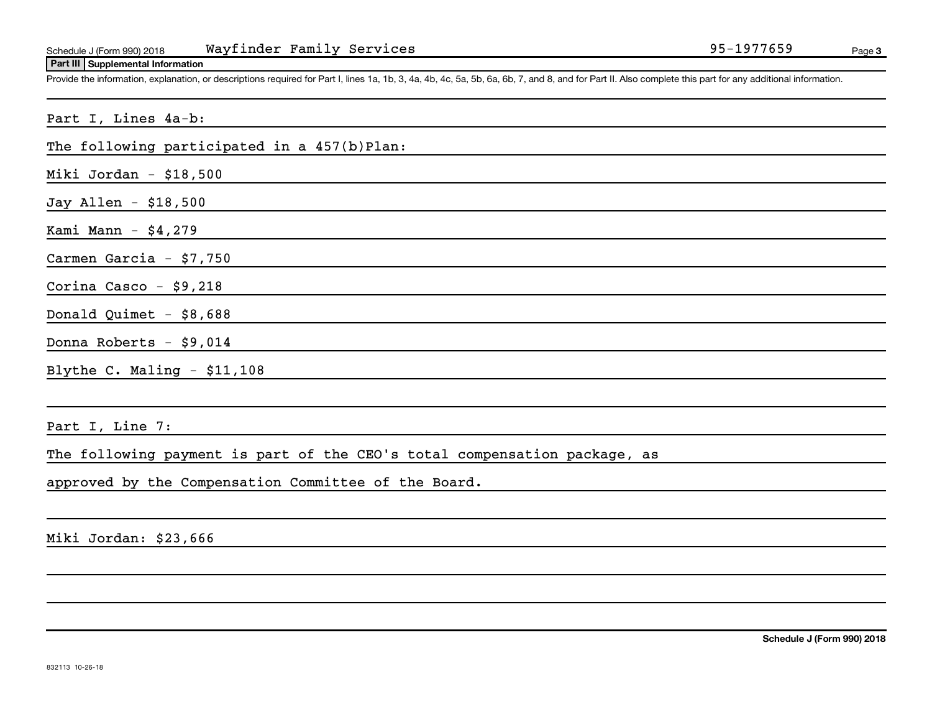#### **Part III Supplemental Information**

Provide the information, explanation, or descriptions required for Part I, lines 1a, 1b, 3, 4a, 4b, 4c, 5a, 5b, 6a, 6b, 7, and 8, and for Part II. Also complete this part for any additional information.

| Part I, Lines 4a-b:                                                       |
|---------------------------------------------------------------------------|
| The following participated in a 457(b)Plan:                               |
| Miki Jordan - $$18,500$                                                   |
| Jay Allen - \$18,500                                                      |
| Kami Mann $-$ \$4,279                                                     |
| Carmen Garcia $-$ \$7,750                                                 |
| Corina Casco - $$9,218$                                                   |
| Donald Quimet $-$ \$8,688                                                 |
| Donna Roberts - \$9,014                                                   |
| Blythe C. Maling $-$ \$11,108                                             |
|                                                                           |
| Part I, Line 7:                                                           |
| The following payment is part of the CEO's total compensation package, as |

approved by the Compensation Committee of the Board.

Miki Jordan: \$23,666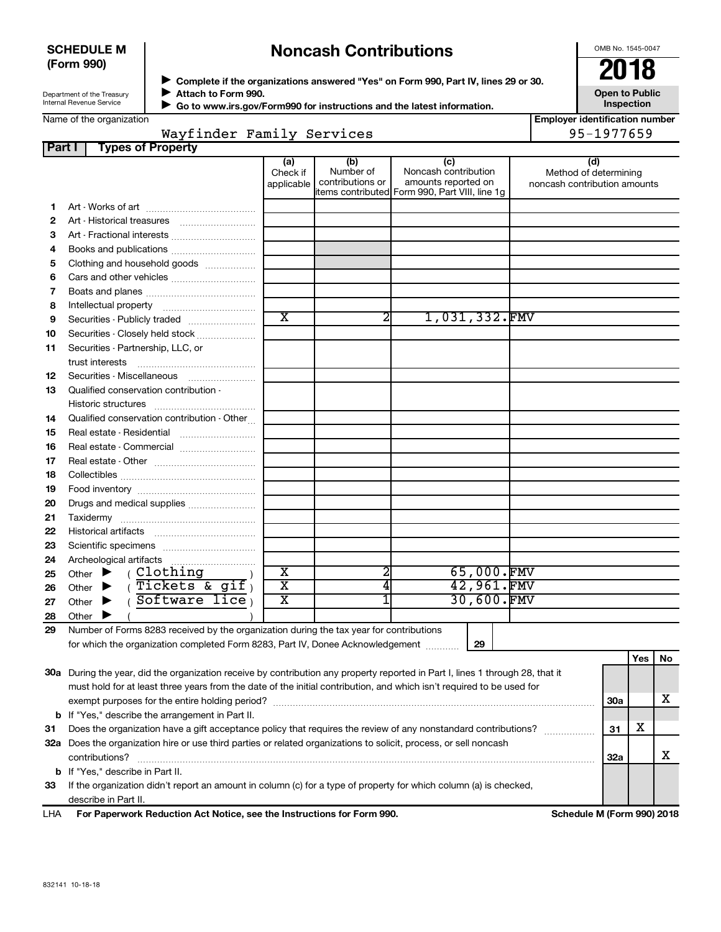### **SCHEDULE M (Form 990)**

# **Noncash Contributions**

OMB No. 1545-0047

| Department of the Treasury |  |
|----------------------------|--|
| Internal Revenue Service   |  |

◆ Complete if the organizations answered "Yes" on Form 990, Part IV, lines 29 or 30.<br>▶ Complete if the organizations answered "Yes" on Form 990, Part IV, lines 29 or 30. **Attach to Form 990.**  $\blacktriangleright$ 

**Open to Public Inspection**

|  | Name of the organization |
|--|--------------------------|
|--|--------------------------|

 **Go to www.irs.gov/Form990 for instructions and the latest information.**

| ame of the organization |  |
|-------------------------|--|
|                         |  |

 $\blacktriangleright$ 

|  | <b>Employer identification number</b> |  |
|--|---------------------------------------|--|
|  | 95-1977659                            |  |

|               | Wayfinder Family Services                                                                                                      |                               |                                      |                                                                                                      |            |                                                              | 95-1977659 |          |    |
|---------------|--------------------------------------------------------------------------------------------------------------------------------|-------------------------------|--------------------------------------|------------------------------------------------------------------------------------------------------|------------|--------------------------------------------------------------|------------|----------|----|
| <b>Part I</b> | <b>Types of Property</b>                                                                                                       |                               |                                      |                                                                                                      |            |                                                              |            |          |    |
|               |                                                                                                                                | (a)<br>Check if<br>applicable | (b)<br>Number of<br>contributions or | (c)<br>Noncash contribution<br>amounts reported on<br>items contributed Form 990, Part VIII, line 1g |            | (d)<br>Method of determining<br>noncash contribution amounts |            |          |    |
| 1.            |                                                                                                                                |                               |                                      |                                                                                                      |            |                                                              |            |          |    |
| 2             |                                                                                                                                |                               |                                      |                                                                                                      |            |                                                              |            |          |    |
| З             | Art - Fractional interests                                                                                                     |                               |                                      |                                                                                                      |            |                                                              |            |          |    |
| 4             | Books and publications                                                                                                         |                               |                                      |                                                                                                      |            |                                                              |            |          |    |
| 5             | Clothing and household goods                                                                                                   |                               |                                      |                                                                                                      |            |                                                              |            |          |    |
| 6             |                                                                                                                                |                               |                                      |                                                                                                      |            |                                                              |            |          |    |
| 7             |                                                                                                                                |                               |                                      |                                                                                                      |            |                                                              |            |          |    |
| 8             |                                                                                                                                |                               |                                      |                                                                                                      |            |                                                              |            |          |    |
| 9             | Securities - Publicly traded                                                                                                   | $\overline{\text{x}}$         | 2                                    | 1,031,332.FMV                                                                                        |            |                                                              |            |          |    |
| 10            | Securities - Closely held stock                                                                                                |                               |                                      |                                                                                                      |            |                                                              |            |          |    |
| 11            | Securities - Partnership, LLC, or                                                                                              |                               |                                      |                                                                                                      |            |                                                              |            |          |    |
|               | trust interests                                                                                                                |                               |                                      |                                                                                                      |            |                                                              |            |          |    |
| 12            | Securities - Miscellaneous                                                                                                     |                               |                                      |                                                                                                      |            |                                                              |            |          |    |
| 13            | Qualified conservation contribution -                                                                                          |                               |                                      |                                                                                                      |            |                                                              |            |          |    |
|               | Historic structures                                                                                                            |                               |                                      |                                                                                                      |            |                                                              |            |          |    |
| 14            | Qualified conservation contribution - Other                                                                                    |                               |                                      |                                                                                                      |            |                                                              |            |          |    |
| 15            | Real estate - Residential                                                                                                      |                               |                                      |                                                                                                      |            |                                                              |            |          |    |
| 16            | Real estate - Commercial                                                                                                       |                               |                                      |                                                                                                      |            |                                                              |            |          |    |
| 17            |                                                                                                                                |                               |                                      |                                                                                                      |            |                                                              |            |          |    |
| 18            |                                                                                                                                |                               |                                      |                                                                                                      |            |                                                              |            |          |    |
| 19            |                                                                                                                                |                               |                                      |                                                                                                      |            |                                                              |            |          |    |
| 20            | Drugs and medical supplies                                                                                                     |                               |                                      |                                                                                                      |            |                                                              |            |          |    |
| 21            |                                                                                                                                |                               |                                      |                                                                                                      |            |                                                              |            |          |    |
| 22            |                                                                                                                                |                               |                                      |                                                                                                      |            |                                                              |            |          |    |
| 23            |                                                                                                                                |                               |                                      |                                                                                                      |            |                                                              |            |          |    |
| 24            | Archeological artifacts                                                                                                        |                               |                                      |                                                                                                      |            |                                                              |            |          |    |
| 25            | Other $\blacktriangleright$ (Clothing                                                                                          | $\overline{\textbf{x}}$       | 2                                    |                                                                                                      | 65,000.FMV |                                                              |            |          |    |
| 26            | (Tickets & gif)<br>Other $\blacktriangleright$                                                                                 | $\overline{\mathtt{x}}$       | 4                                    |                                                                                                      | 42,961.FMV |                                                              |            |          |    |
| 27            | (Software lice)<br>Other $\blacktriangleright$                                                                                 | $\overline{\textbf{x}}$       |                                      |                                                                                                      | 30,600.FMV |                                                              |            |          |    |
| 28            | Other $\blacktriangleright$                                                                                                    |                               |                                      |                                                                                                      |            |                                                              |            |          |    |
| 29            | Number of Forms 8283 received by the organization during the tax year for contributions                                        |                               |                                      |                                                                                                      |            |                                                              |            |          |    |
|               | for which the organization completed Form 8283, Part IV, Donee Acknowledgement                                                 |                               |                                      |                                                                                                      | 29         |                                                              |            |          |    |
|               |                                                                                                                                |                               |                                      |                                                                                                      |            |                                                              |            | $Yes$ No |    |
|               | 30a During the year, did the organization receive by contribution any property reported in Part I, lines 1 through 28, that it |                               |                                      |                                                                                                      |            |                                                              |            |          |    |
|               | must hold for at least three years from the date of the initial contribution, and which isn't required to be used for          |                               |                                      |                                                                                                      |            |                                                              |            |          |    |
|               |                                                                                                                                |                               |                                      |                                                                                                      |            |                                                              | <b>30a</b> |          | х  |
|               | <b>b</b> If "Yes," describe the arrangement in Part II.                                                                        |                               |                                      |                                                                                                      |            |                                                              |            |          |    |
| 31            | Does the organization have a gift acceptance policy that requires the review of any nonstandard contributions?                 |                               |                                      |                                                                                                      |            |                                                              | 31         | х        |    |
|               | 32a Does the organization hire or use third parties or related organizations to solicit, process, or sell noncash              |                               |                                      |                                                                                                      |            |                                                              |            |          |    |
|               | contributions?                                                                                                                 |                               |                                      |                                                                                                      |            |                                                              | 32a        |          | x. |
|               | <b>b</b> If "Yes," describe in Part II.                                                                                        |                               |                                      |                                                                                                      |            |                                                              |            |          |    |
| 33            | If the organization didn't report an amount in column (c) for a type of property for which column (a) is checked,              |                               |                                      |                                                                                                      |            |                                                              |            |          |    |
|               | describe in Part II.                                                                                                           |                               |                                      |                                                                                                      |            |                                                              |            |          |    |

**For Paperwork Reduction Act Notice, see the Instructions for Form 990. Schedule M (Form 990) 2018** LHA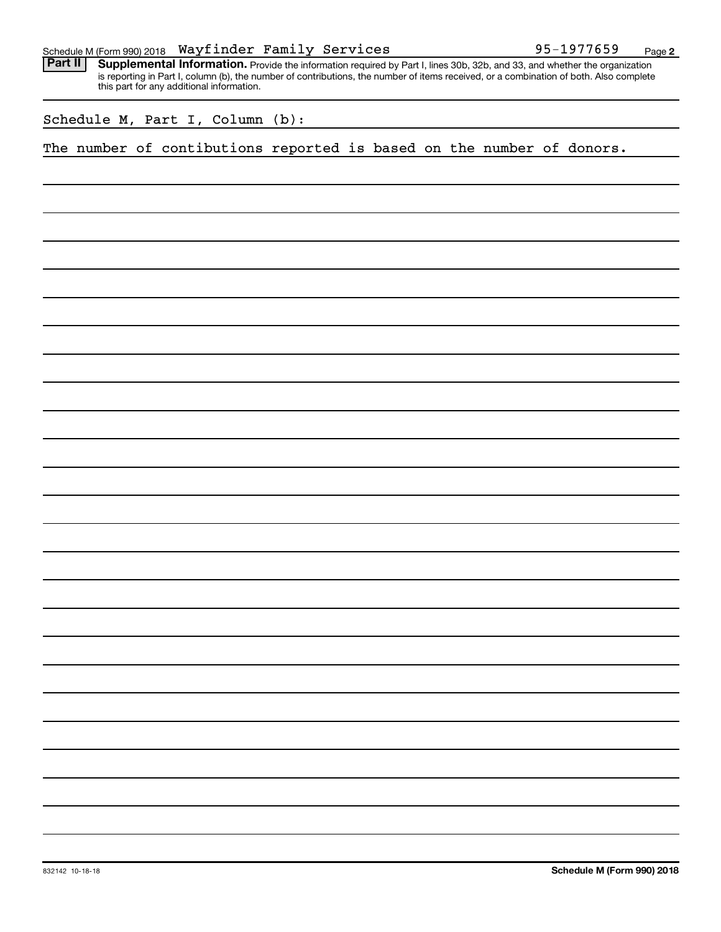|  |  | Schedule M (Form 990) 2018 $\,$ <code>Wayfinder Family Services</code> |  |  | 95-1977659<br>Page |  |
|--|--|------------------------------------------------------------------------|--|--|--------------------|--|
|--|--|------------------------------------------------------------------------|--|--|--------------------|--|

Provide the information required by Part I, lines 30b, 32b, and 33, and whether the organization is reporting in Part I, column (b), the number of contributions, the number of items received, or a combination of both. Also complete this part for any additional information. **Part II Supplemental Information.** 

Schedule M, Part I, Column (b):

The number of contibutions reported is based on the number of donors.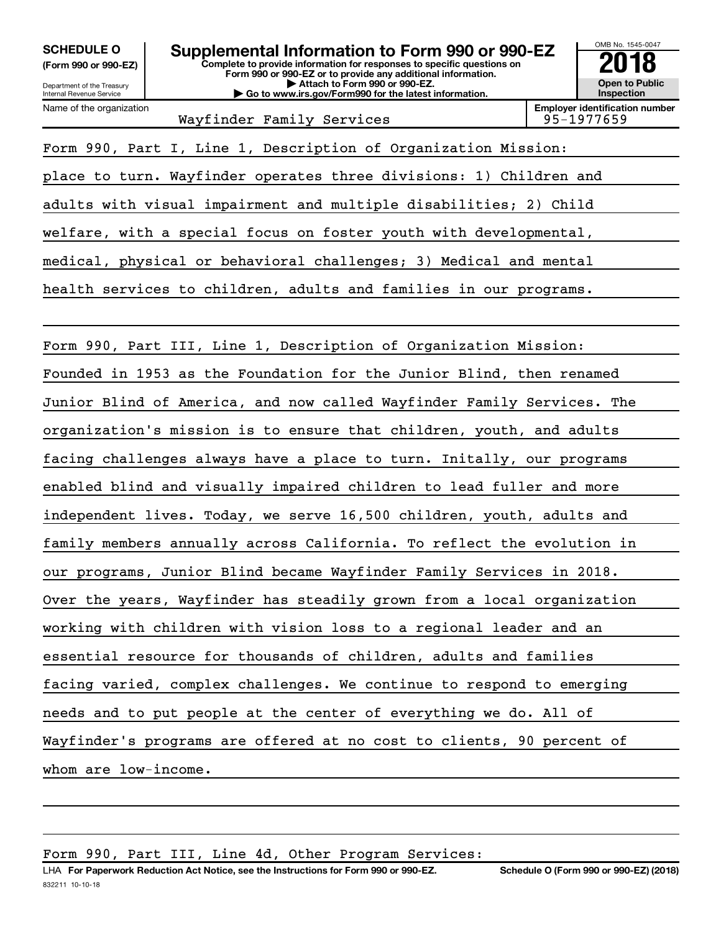Department of the Treasury **(Form 990 or 990-EZ)**

Name of the organization

Internal Revenue Service

**Complete to provide information for responses to specific questions on Form 990 or 990-EZ or to provide any additional information. | Attach to Form 990 or 990-EZ. | Go to www.irs.gov/Form990 for the latest information.** SCHEDULE O **Supplemental Information to Form 990 or 990-EZ** 2018 No. 1545-004<br>(Form 990 or 990-EZ) complete to provide information for responses to specific questions on



Wayfinder Family Services

Form 990, Part I, Line 1, Description of Organization Mission:

place to turn. Wayfinder operates three divisions: 1) Children and

adults with visual impairment and multiple disabilities; 2) Child

welfare, with a special focus on foster youth with developmental,

medical, physical or behavioral challenges; 3) Medical and mental

health services to children, adults and families in our programs.

Form 990, Part III, Line 1, Description of Organization Mission: Founded in 1953 as the Foundation for the Junior Blind, then renamed Junior Blind of America, and now called Wayfinder Family Services. The organization's mission is to ensure that children, youth, and adults facing challenges always have a place to turn. Initally, our programs enabled blind and visually impaired children to lead fuller and more independent lives. Today, we serve 16,500 children, youth, adults and family members annually across California. To reflect the evolution in our programs, Junior Blind became Wayfinder Family Services in 2018. Over the years, Wayfinder has steadily grown from a local organization working with children with vision loss to a regional leader and an essential resource for thousands of children, adults and families facing varied, complex challenges. We continue to respond to emerging needs and to put people at the center of everything we do. All of Wayfinder's programs are offered at no cost to clients, 90 percent of whom are low-income.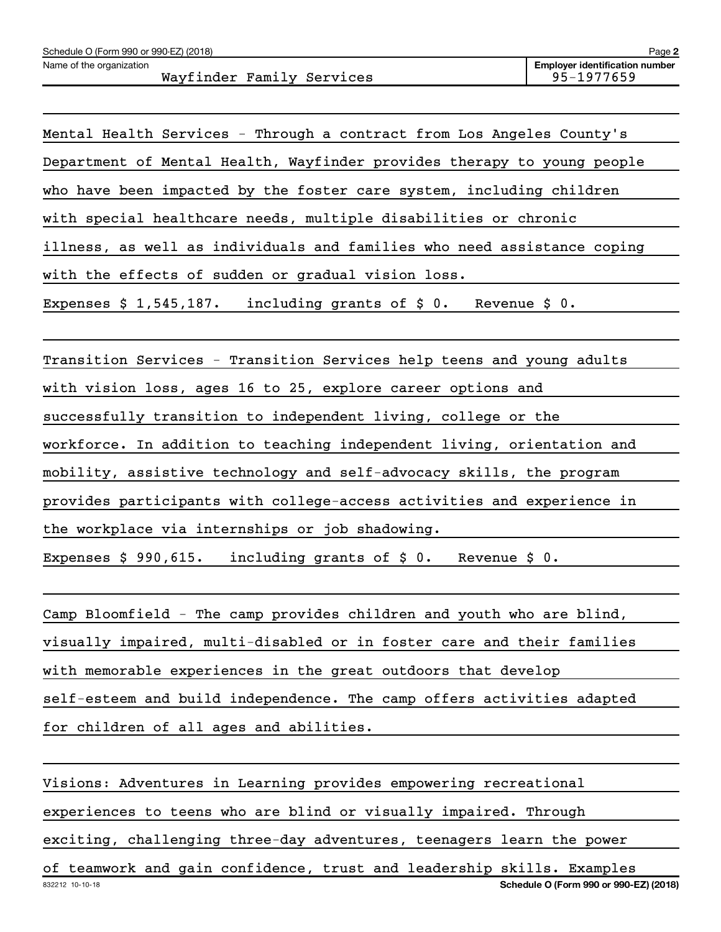| Schedule O (Form 990 or 990-EZ) (2018)                | Page 2                                              |
|-------------------------------------------------------|-----------------------------------------------------|
| Name of the organization<br>Wayfinder Family Services | <b>Employer identification number</b><br>95-1977659 |
|                                                       |                                                     |

| Mental Health Services - Through a contract from Los Angeles County's   |  |  |  |  |
|-------------------------------------------------------------------------|--|--|--|--|
| Department of Mental Health, Wayfinder provides therapy to young people |  |  |  |  |
| who have been impacted by the foster care system, including children    |  |  |  |  |
| with special healthcare needs, multiple disabilities or chronic         |  |  |  |  |
| illness, as well as individuals and families who need assistance coping |  |  |  |  |
| with the effects of sudden or gradual vision loss.                      |  |  |  |  |
| Expenses $$1,545,187$ . including grants of $$0$ . Revenue $$0$ .       |  |  |  |  |

Transition Services - Transition Services help teens and young adults

with vision loss, ages 16 to 25, explore career options and

successfully transition to independent living, college or the

workforce. In addition to teaching independent living, orientation and

mobility, assistive technology and self-advocacy skills, the program

provides participants with college-access activities and experience in

the workplace via internships or job shadowing.

Expenses \$ 990,615. including grants of \$ 0. Revenue \$ 0.

Camp Bloomfield - The camp provides children and youth who are blind, visually impaired, multi-disabled or in foster care and their families with memorable experiences in the great outdoors that develop self-esteem and build independence. The camp offers activities adapted for children of all ages and abilities.

832212 10-10-18 **Schedule O (Form 990 or 990-EZ) (2018)** Visions: Adventures in Learning provides empowering recreational experiences to teens who are blind or visually impaired. Through exciting, challenging three-day adventures, teenagers learn the power of teamwork and gain confidence, trust and leadership skills. Examples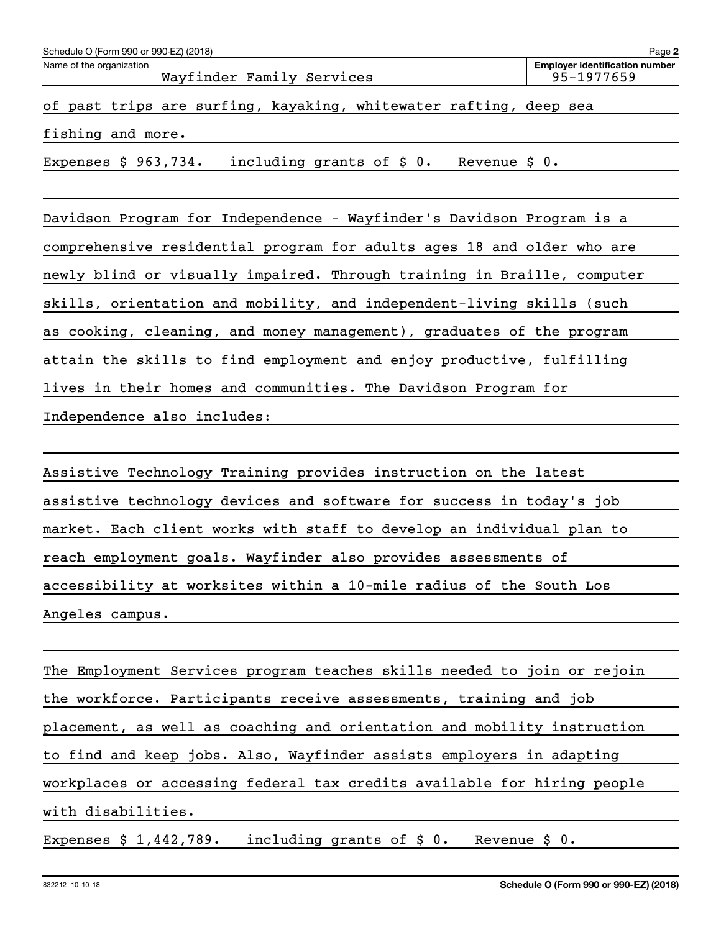| Name of the organization                                                 | <b>Employer identification number</b> |
|--------------------------------------------------------------------------|---------------------------------------|
| Wayfinder Family Services                                                | $95 - 1977659$                        |
| of past trips are surfing, kayaking, whitewater rafting, deep sea        |                                       |
| fishing and more.                                                        |                                       |
| including grants of \$ 0.<br>Expenses $$963,734.$<br>Revenue $\sharp$ 0. |                                       |

Davidson Program for Independence - Wayfinder's Davidson Program is a comprehensive residential program for adults ages 18 and older who are newly blind or visually impaired. Through training in Braille, computer skills, orientation and mobility, and independent-living skills (such as cooking, cleaning, and money management), graduates of the program attain the skills to find employment and enjoy productive, fulfilling lives in their homes and communities. The Davidson Program for Independence also includes:

Assistive Technology Training provides instruction on the latest assistive technology devices and software for success in today's job market. Each client works with staff to develop an individual plan to reach employment goals. Wayfinder also provides assessments of accessibility at worksites within a 10-mile radius of the South Los Angeles campus.

The Employment Services program teaches skills needed to join or rejoin the workforce. Participants receive assessments, training and job placement, as well as coaching and orientation and mobility instruction to find and keep jobs. Also, Wayfinder assists employers in adapting workplaces or accessing federal tax credits available for hiring people with disabilities.

Expenses \$ 1,442,789. including grants of \$ 0. Revenue \$ 0.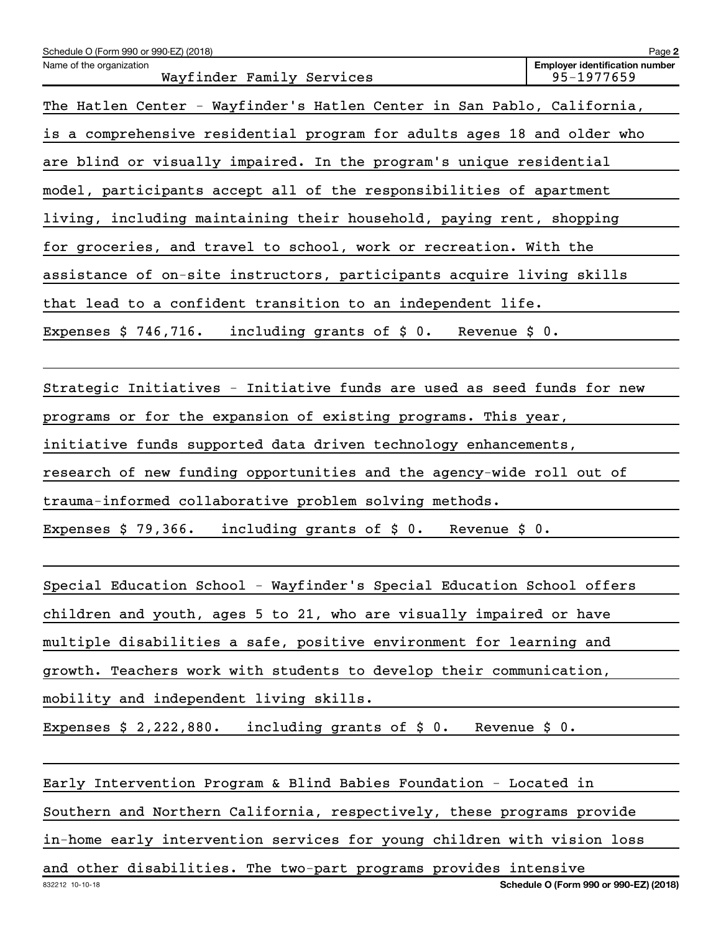| Schedule O (Form 990 or 990-EZ) (2018)                                  | Page 2                                              |
|-------------------------------------------------------------------------|-----------------------------------------------------|
| Name of the organization<br>Wayfinder Family Services                   | <b>Employer identification number</b><br>95-1977659 |
| The Hatlen Center - Wayfinder's Hatlen Center in San Pablo, California, |                                                     |
| is a comprehensive residential program for adults ages 18 and older who |                                                     |
| are blind or visually impaired. In the program's unique residential     |                                                     |
| model, participants accept all of the responsibilities of apartment     |                                                     |
| living, including maintaining their household, paying rent, shopping    |                                                     |
| for groceries, and travel to school, work or recreation. With the       |                                                     |
| assistance of on-site instructors, participants acquire living skills   |                                                     |
| that lead to a confident transition to an independent life.             |                                                     |
| Expenses $$746,716$ . including grants of $$0$ . Revenue $$0$ .         |                                                     |
|                                                                         |                                                     |
| Strategic Initiatives - Initiative funds are used as seed funds for new |                                                     |

programs or for the expansion of existing programs. This year,

initiative funds supported data driven technology enhancements,

research of new funding opportunities and the agency-wide roll out of

trauma-informed collaborative problem solving methods.

Expenses \$ 79,366. including grants of \$ 0. Revenue \$ 0.

Special Education School - Wayfinder's Special Education School offers

children and youth, ages 5 to 21, who are visually impaired or have

multiple disabilities a safe, positive environment for learning and

growth. Teachers work with students to develop their communication,

mobility and independent living skills.

Expenses \$ 2,222,880. including grants of \$ 0. Revenue \$ 0.

Early Intervention Program & Blind Babies Foundation - Located in

Southern and Northern California, respectively, these programs provide

in-home early intervention services for young children with vision loss

832212 10-10-18 **Schedule O (Form 990 or 990-EZ) (2018)** and other disabilities. The two-part programs provides intensive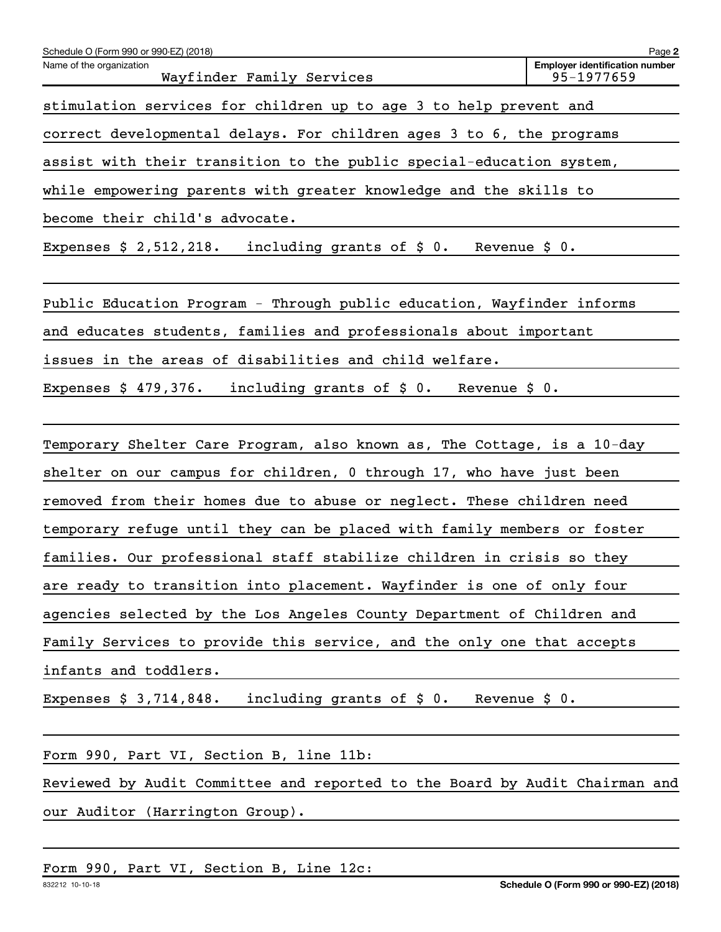| Schedule O (Form 990 or 990-EZ) (2018)                                         | Page 2                                              |
|--------------------------------------------------------------------------------|-----------------------------------------------------|
| Name of the organization<br>Wayfinder Family Services                          | <b>Employer identification number</b><br>95-1977659 |
| stimulation services for children up to age 3 to help prevent and              |                                                     |
| correct developmental delays. For children ages 3 to 6, the programs           |                                                     |
| assist with their transition to the public special-education system,           |                                                     |
| while empowering parents with greater knowledge and the skills to              |                                                     |
| become their child's advocate.                                                 |                                                     |
| including grants of $\sharp$ 0. Revenue $\sharp$ 0.<br>Expenses $$2,512,218.$  |                                                     |
| Public Education Program - Through public education, Wayfinder informs         |                                                     |
| and educates students, families and professionals about important              |                                                     |
| issues in the areas of disabilities and child welfare.                         |                                                     |
| Expenses $$479,376.$<br>including grants of $\sharp$ 0.<br>Revenue $$0.$       |                                                     |
|                                                                                |                                                     |
| Temporary Shelter Care Program, also known as, The Cottage, is a 10-day        |                                                     |
| shelter on our campus for children, 0 through 17, who have just been           |                                                     |
| removed from their homes due to abuse or neglect. These children need          |                                                     |
| temporary refuge until they can be placed with family members or foster        |                                                     |
| families. Our professional staff stabilize children in crisis so they          |                                                     |
| are ready to transition into placement. Wayfinder is one of only four          |                                                     |
| agencies selected by the Los Angeles County Department of Children and         |                                                     |
| Family Services to provide this service, and the only one that accepts         |                                                     |
| infants and toddlers.                                                          |                                                     |
| including grants of $\sharp$ 0. Revenue $\sharp$ 0.<br>Expenses $$3,714,848$ . |                                                     |
|                                                                                |                                                     |
| Form 990, Part VI, Section B, line 11b:                                        |                                                     |
| Reviewed by Audit Committee and reported to the Board by Audit Chairman and    |                                                     |
| our Auditor (Harrington Group).                                                |                                                     |
|                                                                                |                                                     |
| Form 990, Part VI, Section B, Line 12c:                                        |                                                     |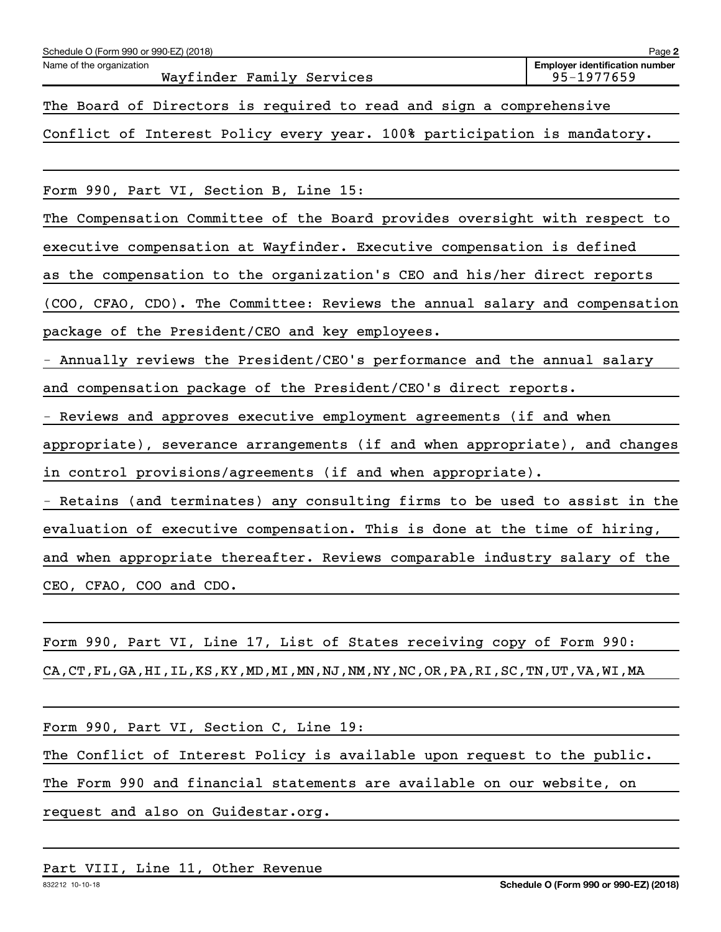| Schedule O (Form 990 or 990-EZ) (2018)                                      | Page 2                                              |
|-----------------------------------------------------------------------------|-----------------------------------------------------|
| Name of the organization<br>Wayfinder Family Services                       | <b>Employer identification number</b><br>95-1977659 |
| The Board of Directors is required to read and sign a comprehensive         |                                                     |
| Conflict of Interest Policy every year. 100% participation is mandatory.    |                                                     |
|                                                                             |                                                     |
| Form 990, Part VI, Section B, Line 15:                                      |                                                     |
| The Compensation Committee of the Board provides oversight with respect to  |                                                     |
| executive compensation at Wayfinder. Executive compensation is defined      |                                                     |
| as the compensation to the organization's CEO and his/her direct reports    |                                                     |
| (COO, CFAO, CDO). The Committee: Reviews the annual salary and compensation |                                                     |
| package of the President/CEO and key employees.                             |                                                     |
| - Annually reviews the President/CEO's performance and the annual salary    |                                                     |
| and compensation package of the President/CEO's direct reports.             |                                                     |
| - Reviews and approves executive employment agreements (if and when         |                                                     |
| appropriate), severance arrangements (if and when appropriate), and changes |                                                     |
| in control provisions/agreements (if and when appropriate).                 |                                                     |
| - Retains (and terminates) any consulting firms to be used to assist in the |                                                     |
| evaluation of executive compensation. This is done at the time of hiring,   |                                                     |
| and when appropriate thereafter. Reviews comparable industry salary of the  |                                                     |

CEO, CFAO, COO and CDO.

Form 990, Part VI, Line 17, List of States receiving copy of Form 990: CA,CT,FL,GA,HI,IL,KS,KY,MD,MI,MN,NJ,NM,NY,NC,OR,PA,RI,SC,TN,UT,VA,WI,MA

Form 990, Part VI, Section C, Line 19:

The Conflict of Interest Policy is available upon request to the public.

The Form 990 and financial statements are available on our website, on

request and also on Guidestar.org.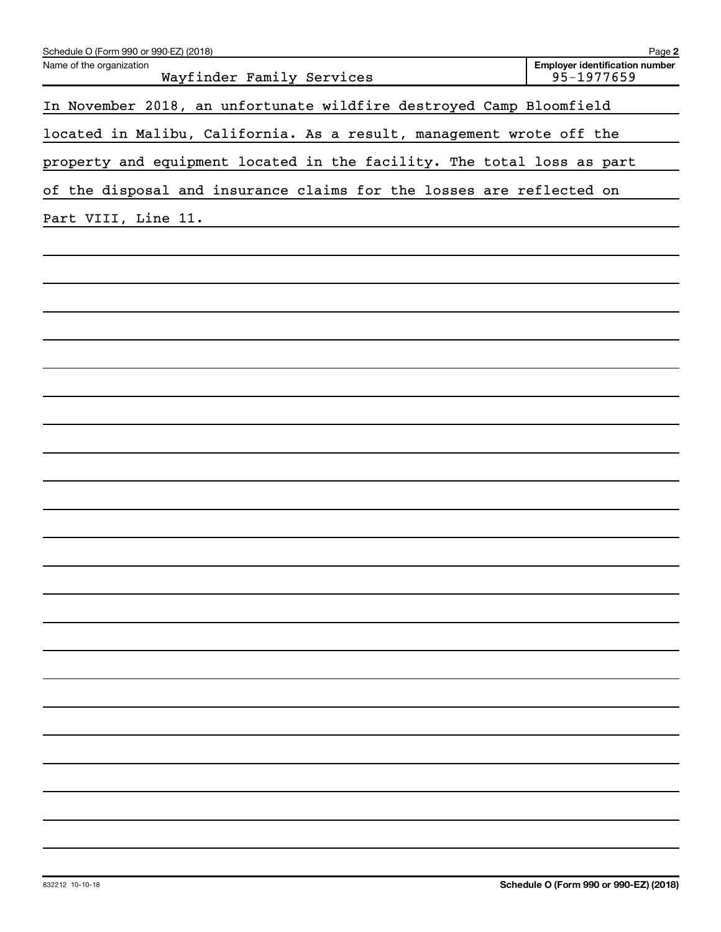| Schedule O (Form 990 or 990-EZ) (2018)                                 | Page 2                                              |
|------------------------------------------------------------------------|-----------------------------------------------------|
| Name of the organization<br>Wayfinder Family Services                  | <b>Employer identification number</b><br>95-1977659 |
| In November 2018, an unfortunate wildfire destroyed Camp Bloomfield    |                                                     |
| located in Malibu, California. As a result, management wrote off the   |                                                     |
| property and equipment located in the facility. The total loss as part |                                                     |
| of the disposal and insurance claims for the losses are reflected on   |                                                     |
| Part VIII, Line 11.                                                    |                                                     |
|                                                                        |                                                     |
|                                                                        |                                                     |
|                                                                        |                                                     |
|                                                                        |                                                     |
|                                                                        |                                                     |
|                                                                        |                                                     |
|                                                                        |                                                     |
|                                                                        |                                                     |
|                                                                        |                                                     |
|                                                                        |                                                     |
|                                                                        |                                                     |
|                                                                        |                                                     |
|                                                                        |                                                     |
|                                                                        |                                                     |
|                                                                        |                                                     |
|                                                                        |                                                     |
|                                                                        |                                                     |
|                                                                        |                                                     |
|                                                                        |                                                     |
|                                                                        |                                                     |
|                                                                        |                                                     |
|                                                                        |                                                     |
|                                                                        |                                                     |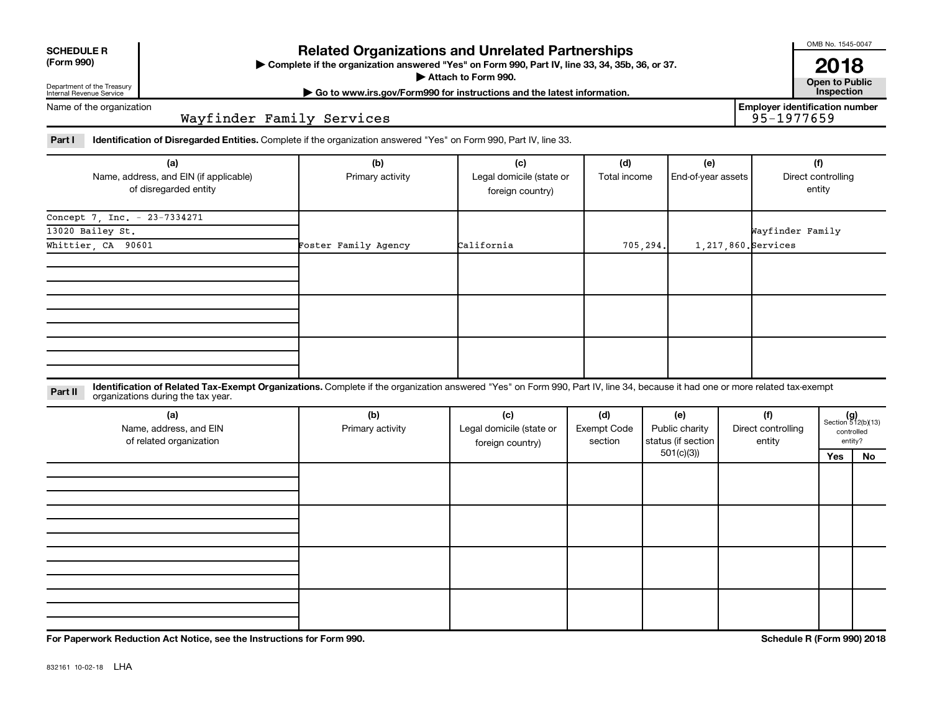| <b>SCHEDULE R</b> |
|-------------------|
|                   |

Department of the Treasury Internal Revenue Service

## **Related Organizations and Unrelated Partnerships**

**(Form 990) Complete if the organization answered "Yes" on Form 990, Part IV, line 33, 34, 35b, 36, or 37.** |

**Attach to Form 990. Contract to Public** 

**2018**<br>Open to Public

**Employer identification number**

OMB No. 1545-0047

**| Go to www.irs.gov/Form990 for instructions and the latest information. Inspection**

Name of the organization

Wayfinder Family Services

Part I ldentification of Disregarded Entities. Complete if the organization answered "Yes" on Form 990, Part IV, line 33.

| (a)                                    | (b)                  | (c)                      | (d)          | (e)                 | (f)                |
|----------------------------------------|----------------------|--------------------------|--------------|---------------------|--------------------|
| Name, address, and EIN (if applicable) | Primary activity     | Legal domicile (state or | Total income | End-of-year assets  | Direct controlling |
| of disregarded entity                  |                      | foreign country)         |              |                     | entity             |
| Concept 7, Inc. - 23-7334271           |                      |                          |              |                     |                    |
| 13020 Bailey St.                       |                      |                          |              |                     | Wayfinder Family   |
| Whittier, CA 90601                     | Foster Family Agency | California               | 705, 294.    | 1,217,860. Services |                    |
|                                        |                      |                          |              |                     |                    |
|                                        |                      |                          |              |                     |                    |
|                                        |                      |                          |              |                     |                    |
|                                        |                      |                          |              |                     |                    |
|                                        |                      |                          |              |                     |                    |
|                                        |                      |                          |              |                     |                    |
|                                        |                      |                          |              |                     |                    |
|                                        |                      |                          |              |                     |                    |
|                                        |                      |                          |              |                     |                    |

**Part II** Identification of Related Tax-Exempt Organizations. Complete if the organization answered "Yes" on Form 990, Part IV, line 34, because it had one or more related tax-exempt<br>Part II acconizations during the tax ye organizations during the tax year.

| (a)<br>Name, address, and EIN<br>of related organization | (b)<br>Primary activity | (c)<br>Legal domicile (state or<br>foreign country) | (d)<br><b>Exempt Code</b><br>section | (e)<br>Public charity<br>status (if section | (f)<br>Direct controlling<br>entity | $(g)$<br>Section 512(b)(13)<br>controlled | entity? |
|----------------------------------------------------------|-------------------------|-----------------------------------------------------|--------------------------------------|---------------------------------------------|-------------------------------------|-------------------------------------------|---------|
|                                                          |                         |                                                     |                                      | 501(c)(3))                                  |                                     | Yes                                       | No      |
|                                                          |                         |                                                     |                                      |                                             |                                     |                                           |         |
|                                                          |                         |                                                     |                                      |                                             |                                     |                                           |         |
|                                                          |                         |                                                     |                                      |                                             |                                     |                                           |         |
|                                                          |                         |                                                     |                                      |                                             |                                     |                                           |         |
|                                                          |                         |                                                     |                                      |                                             |                                     |                                           |         |
|                                                          |                         |                                                     |                                      |                                             |                                     |                                           |         |
|                                                          |                         |                                                     |                                      |                                             |                                     |                                           |         |
|                                                          |                         |                                                     |                                      |                                             |                                     |                                           |         |
|                                                          |                         |                                                     |                                      |                                             |                                     |                                           |         |
|                                                          |                         |                                                     |                                      |                                             |                                     |                                           |         |
|                                                          |                         |                                                     |                                      |                                             |                                     |                                           |         |
|                                                          |                         |                                                     |                                      |                                             |                                     |                                           |         |

**For Paperwork Reduction Act Notice, see the Instructions for Form 990. Schedule R (Form 990) 2018**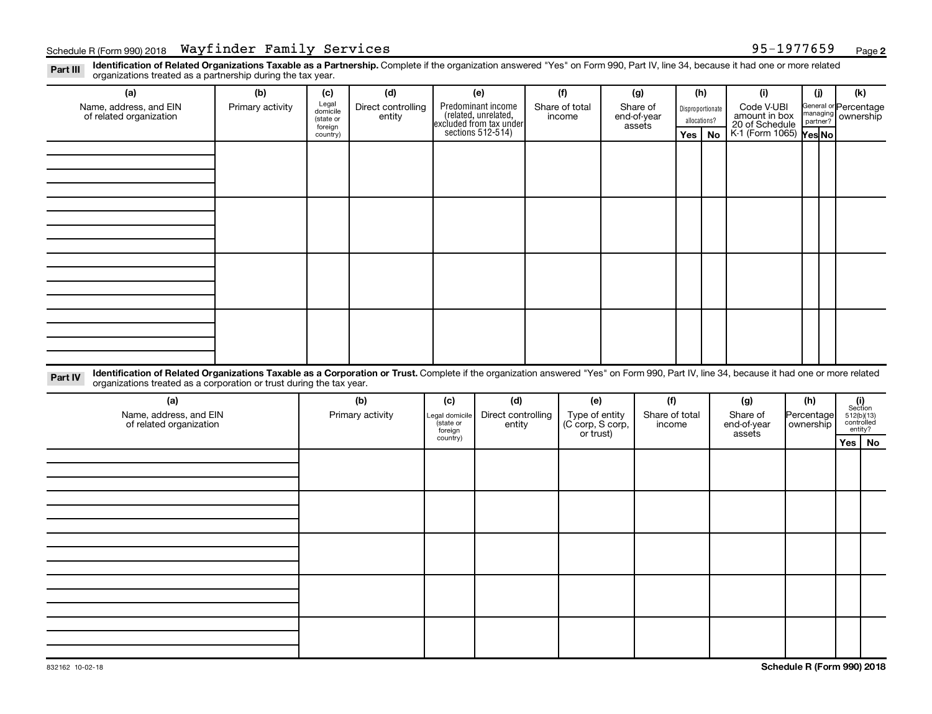Part III Identification of Related Organizations Taxable as a Partnership. Complete if the organization answered "Yes" on Form 990, Part IV, line 34, because it had one or more related<br>Read to the organizations tracted as organizations treated as a partnership during the tax year.

| organizations treated as a partnership during the tax year.                                                                                                                                                                                                                 |                  |                     |                    |                                       |                                                                                            |                                    |                |                          |             |              |                  |                                 |           |                                |                     |  |
|-----------------------------------------------------------------------------------------------------------------------------------------------------------------------------------------------------------------------------------------------------------------------------|------------------|---------------------|--------------------|---------------------------------------|--------------------------------------------------------------------------------------------|------------------------------------|----------------|--------------------------|-------------|--------------|------------------|---------------------------------|-----------|--------------------------------|---------------------|--|
| (a)                                                                                                                                                                                                                                                                         | (b)              | (c)                 | (d)                |                                       | (e)                                                                                        |                                    | (f)            |                          | (g)         |              | (h)              | (i)                             |           | (i)                            | (k)                 |  |
| Name, address, and EIN                                                                                                                                                                                                                                                      | Primary activity | Legal<br>domicile   | Direct controlling |                                       |                                                                                            |                                    | Share of total |                          | Share of    |              | Disproportionate | Code V-UBI                      |           | General or Percentage          |                     |  |
| of related organization                                                                                                                                                                                                                                                     |                  | (state or           | entity             |                                       | Predominant income<br>(related, unrelated,<br>excluded from tax under<br>sections 512-514) |                                    | income         |                          | end-of-year | allocations? |                  | amount in box<br>20 of Schedule |           | managing ownership<br>partner? |                     |  |
|                                                                                                                                                                                                                                                                             |                  | foreign<br>country) |                    |                                       |                                                                                            |                                    |                |                          | assets      | Yes          | No               | K-1 (Form 1065) Yes No          |           |                                |                     |  |
|                                                                                                                                                                                                                                                                             |                  |                     |                    |                                       |                                                                                            |                                    |                |                          |             |              |                  |                                 |           |                                |                     |  |
|                                                                                                                                                                                                                                                                             |                  |                     |                    |                                       |                                                                                            |                                    |                |                          |             |              |                  |                                 |           |                                |                     |  |
|                                                                                                                                                                                                                                                                             |                  |                     |                    |                                       |                                                                                            |                                    |                |                          |             |              |                  |                                 |           |                                |                     |  |
|                                                                                                                                                                                                                                                                             |                  |                     |                    |                                       |                                                                                            |                                    |                |                          |             |              |                  |                                 |           |                                |                     |  |
|                                                                                                                                                                                                                                                                             |                  |                     |                    |                                       |                                                                                            |                                    |                |                          |             |              |                  |                                 |           |                                |                     |  |
|                                                                                                                                                                                                                                                                             |                  |                     |                    |                                       |                                                                                            |                                    |                |                          |             |              |                  |                                 |           |                                |                     |  |
|                                                                                                                                                                                                                                                                             |                  |                     |                    |                                       |                                                                                            |                                    |                |                          |             |              |                  |                                 |           |                                |                     |  |
|                                                                                                                                                                                                                                                                             |                  |                     |                    |                                       |                                                                                            |                                    |                |                          |             |              |                  |                                 |           |                                |                     |  |
|                                                                                                                                                                                                                                                                             |                  |                     |                    |                                       |                                                                                            |                                    |                |                          |             |              |                  |                                 |           |                                |                     |  |
|                                                                                                                                                                                                                                                                             |                  |                     |                    |                                       |                                                                                            |                                    |                |                          |             |              |                  |                                 |           |                                |                     |  |
|                                                                                                                                                                                                                                                                             |                  |                     |                    |                                       |                                                                                            |                                    |                |                          |             |              |                  |                                 |           |                                |                     |  |
|                                                                                                                                                                                                                                                                             |                  |                     |                    |                                       |                                                                                            |                                    |                |                          |             |              |                  |                                 |           |                                |                     |  |
|                                                                                                                                                                                                                                                                             |                  |                     |                    |                                       |                                                                                            |                                    |                |                          |             |              |                  |                                 |           |                                |                     |  |
|                                                                                                                                                                                                                                                                             |                  |                     |                    |                                       |                                                                                            |                                    |                |                          |             |              |                  |                                 |           |                                |                     |  |
|                                                                                                                                                                                                                                                                             |                  |                     |                    |                                       |                                                                                            |                                    |                |                          |             |              |                  |                                 |           |                                |                     |  |
|                                                                                                                                                                                                                                                                             |                  |                     |                    |                                       |                                                                                            |                                    |                |                          |             |              |                  |                                 |           |                                |                     |  |
| Identification of Related Organizations Taxable as a Corporation or Trust. Complete if the organization answered "Yes" on Form 990, Part IV, line 34, because it had one or more related<br>Part IV<br>organizations treated as a corporation or trust during the tax year. |                  |                     |                    |                                       |                                                                                            |                                    |                |                          |             |              |                  |                                 |           |                                |                     |  |
| (a)                                                                                                                                                                                                                                                                         |                  |                     |                    | (c)                                   | (d)                                                                                        |                                    |                |                          | (f)         |              |                  | (g)                             |           | (h)                            |                     |  |
| Name, address, and EIN                                                                                                                                                                                                                                                      |                  | (b)                 |                    |                                       | Direct controlling                                                                         |                                    | (e)            |                          |             |              |                  | Share of                        |           | Percentage                     | (i)<br>Section      |  |
| of related organization                                                                                                                                                                                                                                                     |                  | Primary activity    |                    | Legal domicile<br>(state or<br>entity |                                                                                            | Type of entity<br>(C corp, S corp, |                | Share of total<br>income |             | end-of-year  |                  |                                 | ownership | $512(b)(13)$<br>controlled     |                     |  |
|                                                                                                                                                                                                                                                                             |                  |                     |                    | foreign<br>country)                   |                                                                                            | or trust)                          |                |                          |             |              |                  | assets                          |           |                                | entity?<br>Yes   No |  |
|                                                                                                                                                                                                                                                                             |                  |                     |                    |                                       |                                                                                            |                                    |                |                          |             |              |                  |                                 |           |                                |                     |  |
|                                                                                                                                                                                                                                                                             |                  |                     |                    |                                       |                                                                                            |                                    |                |                          |             |              |                  |                                 |           |                                |                     |  |
|                                                                                                                                                                                                                                                                             |                  |                     |                    |                                       |                                                                                            |                                    |                |                          |             |              |                  |                                 |           |                                |                     |  |
|                                                                                                                                                                                                                                                                             |                  |                     |                    |                                       |                                                                                            |                                    |                |                          |             |              |                  |                                 |           |                                |                     |  |
|                                                                                                                                                                                                                                                                             |                  |                     |                    |                                       |                                                                                            |                                    |                |                          |             |              |                  |                                 |           |                                |                     |  |
|                                                                                                                                                                                                                                                                             |                  |                     |                    |                                       |                                                                                            |                                    |                |                          |             |              |                  |                                 |           |                                |                     |  |
|                                                                                                                                                                                                                                                                             |                  |                     |                    |                                       |                                                                                            |                                    |                |                          |             |              |                  |                                 |           |                                |                     |  |
|                                                                                                                                                                                                                                                                             |                  |                     |                    |                                       |                                                                                            |                                    |                |                          |             |              |                  |                                 |           |                                |                     |  |
|                                                                                                                                                                                                                                                                             |                  |                     |                    |                                       |                                                                                            |                                    |                |                          |             |              |                  |                                 |           |                                |                     |  |
|                                                                                                                                                                                                                                                                             |                  |                     |                    |                                       |                                                                                            |                                    |                |                          |             |              |                  |                                 |           |                                |                     |  |
|                                                                                                                                                                                                                                                                             |                  |                     |                    |                                       |                                                                                            |                                    |                |                          |             |              |                  |                                 |           |                                |                     |  |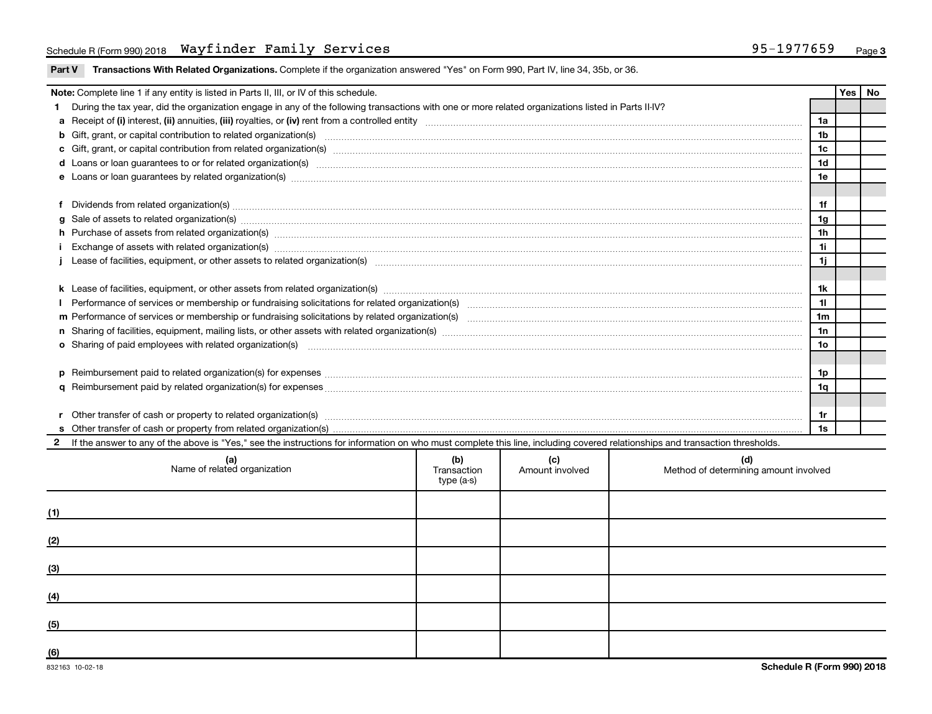| Part V Transactions With Related Organizations. Complete if the organization answered "Yes" on Form 990, Part IV, line 34, 35b, or 36. |  |  |
|----------------------------------------------------------------------------------------------------------------------------------------|--|--|
|                                                                                                                                        |  |  |

| <b>Note:</b> Complete line 1 if any entity is listed in Parts II, III, or IV of this schedule. |                                                                                                                                                                                                                                |                |  |  |  |
|------------------------------------------------------------------------------------------------|--------------------------------------------------------------------------------------------------------------------------------------------------------------------------------------------------------------------------------|----------------|--|--|--|
|                                                                                                | During the tax year, did the organization engage in any of the following transactions with one or more related organizations listed in Parts II-IV?                                                                            |                |  |  |  |
|                                                                                                |                                                                                                                                                                                                                                | 1a             |  |  |  |
|                                                                                                | b Gift, grant, or capital contribution to related organization(s) manufaction content and content and contribution to related organization(s) manufaction content and content and contribution to related organization(s) manu | 1 <sub>b</sub> |  |  |  |
|                                                                                                | c Gift, grant, or capital contribution from related organization(s) manufaction(s) and contribution from related organization(s) manufaction contribution from related organization(s) manufaction contribution contribution f | 1c             |  |  |  |
|                                                                                                | d Loans or loan guarantees to or for related organization(s) www.communically.com/www.communically.com/www.communically.com/www.communically.com/www.communically.com/www.communically.com/www.communically.com/www.communical | 1 <sub>d</sub> |  |  |  |
|                                                                                                |                                                                                                                                                                                                                                | 1e             |  |  |  |
|                                                                                                |                                                                                                                                                                                                                                |                |  |  |  |
|                                                                                                | Dividends from related organization(s) www.andron.com/www.andron.com/www.andron.com/www.andron.com/www.andron.com/www.andron.com/www.andron.com/www.andron.com/www.andron.com/www.andron.com/www.andron.com/www.andron.com/www | 1f             |  |  |  |
|                                                                                                | g Sale of assets to related organization(s) manufactured assembly contained as a set of assets to related organization(s) manufactured assets to related organization(s)                                                       | 1 <sub>g</sub> |  |  |  |
|                                                                                                |                                                                                                                                                                                                                                | 1 <sub>h</sub> |  |  |  |
|                                                                                                |                                                                                                                                                                                                                                | 1i             |  |  |  |
|                                                                                                |                                                                                                                                                                                                                                | 1j             |  |  |  |
|                                                                                                |                                                                                                                                                                                                                                |                |  |  |  |
|                                                                                                |                                                                                                                                                                                                                                | 1k             |  |  |  |
|                                                                                                |                                                                                                                                                                                                                                | 11             |  |  |  |
|                                                                                                |                                                                                                                                                                                                                                | 1 <sub>m</sub> |  |  |  |
|                                                                                                |                                                                                                                                                                                                                                | 1n             |  |  |  |
|                                                                                                |                                                                                                                                                                                                                                | 1o             |  |  |  |
|                                                                                                |                                                                                                                                                                                                                                |                |  |  |  |
| <b>p</b>                                                                                       |                                                                                                                                                                                                                                | 1p             |  |  |  |
|                                                                                                |                                                                                                                                                                                                                                | 1q             |  |  |  |
|                                                                                                |                                                                                                                                                                                                                                |                |  |  |  |
|                                                                                                | Other transfer of cash or property to related organization(s) CONFIDENTIAL CONFIDENTIAL CONFIDENTIAL CONFIDENTIAL CONFIDENTIAL CONFIDENTIAL CONFIDENTIAL CONFIDENTIAL CONFIDENTIAL CONFIDENTIAL CONFIDENTIAL CONFIDENTIAL CONF | 1r             |  |  |  |
|                                                                                                |                                                                                                                                                                                                                                | 1s             |  |  |  |
|                                                                                                | 2 If the answer to any of the above is "Yes," see the instructions for information on who must complete this line, including covered relationships and transaction thresholds.                                                 |                |  |  |  |

|     | (a)<br>Name of related organization | (b)<br>Transaction<br>type (a-s) | (c)<br>Amount involved | (d)<br>Method of determining amount involved |
|-----|-------------------------------------|----------------------------------|------------------------|----------------------------------------------|
| (1) |                                     |                                  |                        |                                              |
| (2) |                                     |                                  |                        |                                              |
| (3) |                                     |                                  |                        |                                              |
| (4) |                                     |                                  |                        |                                              |
| (5) |                                     |                                  |                        |                                              |
| (6) |                                     |                                  |                        |                                              |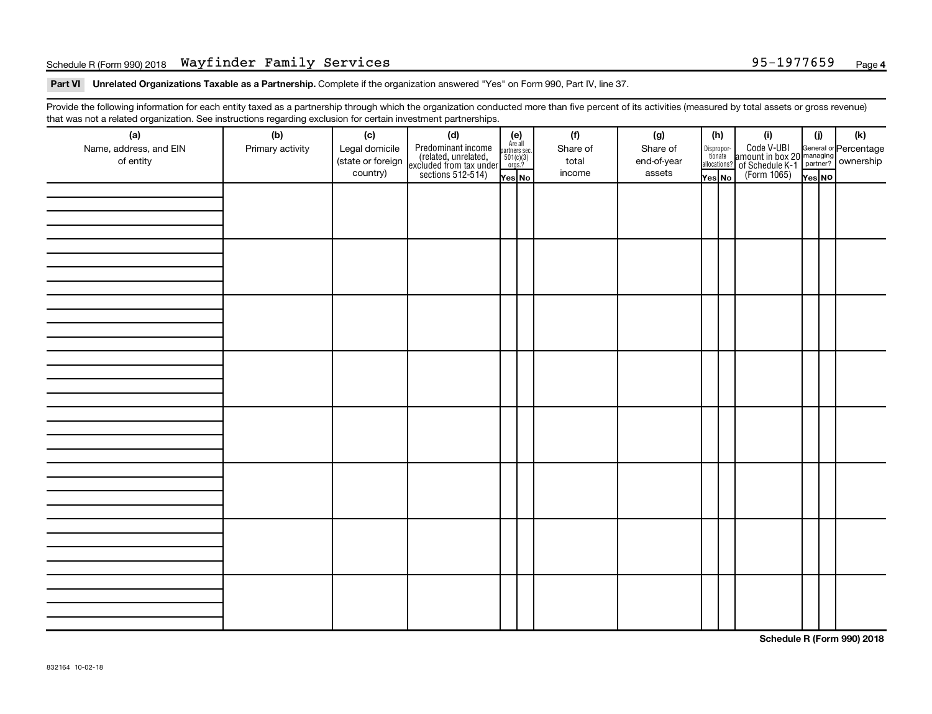#### Schedule R (Form 990) 2018 Page Wayfinder Family Services 95-1977659

Part VI Unrelated Organizations Taxable as a Partnership. Complete if the organization answered "Yes" on Form 990, Part IV, line 37.

Provide the following information for each entity taxed as a partnership through which the organization conducted more than five percent of its activities (measured by total assets or gross revenue) that was not a related organization. See instructions regarding exclusion for certain investment partnerships.

| (a)<br>Name, address, and EIN<br>of entity | . ت<br>(b)<br>Primary activity | (c)<br>Legal domicile<br>(state or foreign<br>country) | (d)<br>Predominant income<br>(related, unrelated,<br>excluded from tax under<br>sections 512-514) | (e)<br>Are all<br>partners sec.<br>$501(c)(3)$<br>orgs.?<br>Yes No | (f)<br>Share of<br>total<br>income | (g)<br>Share of<br>end-of-year<br>assets | (h)<br>Dispropor-<br>tionate<br>allocations?<br>Yes No | (i)<br>Code V-UBI<br>amount in box 20 managing<br>of Schedule K-1<br>(Form 1065)<br>$\overline{V}$ ves No | (i)<br>Yes NO | $(\mathsf{k})$ |
|--------------------------------------------|--------------------------------|--------------------------------------------------------|---------------------------------------------------------------------------------------------------|--------------------------------------------------------------------|------------------------------------|------------------------------------------|--------------------------------------------------------|-----------------------------------------------------------------------------------------------------------|---------------|----------------|
|                                            |                                |                                                        |                                                                                                   |                                                                    |                                    |                                          |                                                        |                                                                                                           |               |                |
|                                            |                                |                                                        |                                                                                                   |                                                                    |                                    |                                          |                                                        |                                                                                                           |               |                |
|                                            |                                |                                                        |                                                                                                   |                                                                    |                                    |                                          |                                                        |                                                                                                           |               |                |
|                                            |                                |                                                        |                                                                                                   |                                                                    |                                    |                                          |                                                        |                                                                                                           |               |                |
|                                            |                                |                                                        |                                                                                                   |                                                                    |                                    |                                          |                                                        |                                                                                                           |               |                |
|                                            |                                |                                                        |                                                                                                   |                                                                    |                                    |                                          |                                                        |                                                                                                           |               |                |
|                                            |                                |                                                        |                                                                                                   |                                                                    |                                    |                                          |                                                        |                                                                                                           |               |                |
|                                            |                                |                                                        |                                                                                                   |                                                                    |                                    |                                          |                                                        |                                                                                                           |               |                |

**Schedule R (Form 990) 2018**